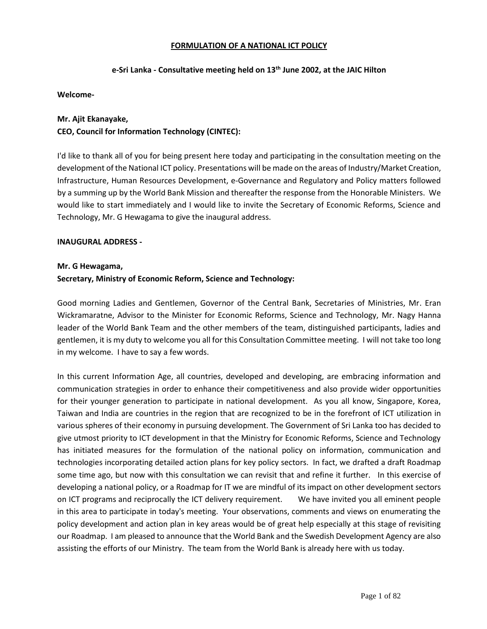### **FORMULATION OF A NATIONAL ICT POLICY**

### **e-Sri Lanka - Consultative meeting held on 13th June 2002, at the JAIC Hilton**

#### **Welcome-**

### **Mr. Ajit Ekanayake,**

### **CEO, Council for Information Technology (CINTEC):**

I'd like to thank all of you for being present here today and participating in the consultation meeting on the development of the National ICT policy. Presentations will be made on the areas of Industry/Market Creation, Infrastructure, Human Resources Development, e-Governance and Regulatory and Policy matters followed by a summing up by the World Bank Mission and thereafter the response from the Honorable Ministers. We would like to start immediately and I would like to invite the Secretary of Economic Reforms, Science and Technology, Mr. G Hewagama to give the inaugural address.

#### **INAUGURAL ADDRESS -**

#### **Mr. G Hewagama,**

### **Secretary, Ministry of Economic Reform, Science and Technology:**

Good morning Ladies and Gentlemen, Governor of the Central Bank, Secretaries of Ministries, Mr. Eran Wickramaratne, Advisor to the Minister for Economic Reforms, Science and Technology, Mr. Nagy Hanna leader of the World Bank Team and the other members of the team, distinguished participants, ladies and gentlemen, it is my duty to welcome you all for this Consultation Committee meeting. I will not take too long in my welcome. I have to say a few words.

In this current Information Age, all countries, developed and developing, are embracing information and communication strategies in order to enhance their competitiveness and also provide wider opportunities for their younger generation to participate in national development. As you all know, Singapore, Korea, Taiwan and India are countries in the region that are recognized to be in the forefront of ICT utilization in various spheres of their economy in pursuing development. The Government of Sri Lanka too has decided to give utmost priority to ICT development in that the Ministry for Economic Reforms, Science and Technology has initiated measures for the formulation of the national policy on information, communication and technologies incorporating detailed action plans for key policy sectors. In fact, we drafted a draft Roadmap some time ago, but now with this consultation we can revisit that and refine it further. In this exercise of developing a national policy, or a Roadmap for IT we are mindful of its impact on other development sectors on ICT programs and reciprocally the ICT delivery requirement. We have invited you all eminent people in this area to participate in today's meeting. Your observations, comments and views on enumerating the policy development and action plan in key areas would be of great help especially at this stage of revisiting our Roadmap. I am pleased to announce that the World Bank and the Swedish Development Agency are also assisting the efforts of our Ministry. The team from the World Bank is already here with us today.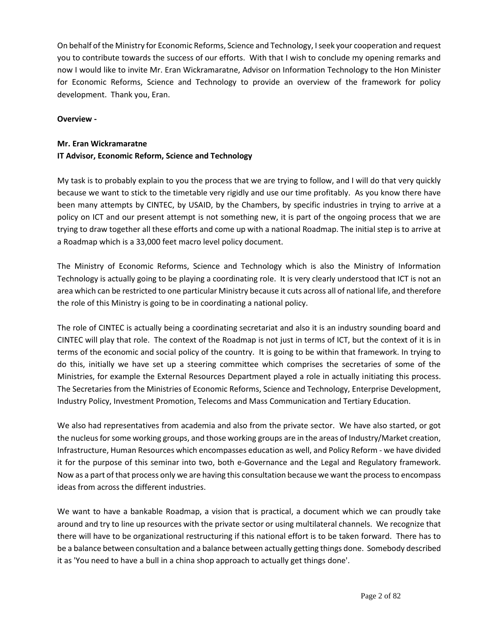On behalf of the Ministry for Economic Reforms, Science and Technology, I seek your cooperation and request you to contribute towards the success of our efforts. With that I wish to conclude my opening remarks and now I would like to invite Mr. Eran Wickramaratne, Advisor on Information Technology to the Hon Minister for Economic Reforms, Science and Technology to provide an overview of the framework for policy development. Thank you, Eran.

### **Overview -**

# **Mr. Eran Wickramaratne IT Advisor, Economic Reform, Science and Technology**

My task is to probably explain to you the process that we are trying to follow, and I will do that very quickly because we want to stick to the timetable very rigidly and use our time profitably. As you know there have been many attempts by CINTEC, by USAID, by the Chambers, by specific industries in trying to arrive at a policy on ICT and our present attempt is not something new, it is part of the ongoing process that we are trying to draw together all these efforts and come up with a national Roadmap. The initial step is to arrive at a Roadmap which is a 33,000 feet macro level policy document.

The Ministry of Economic Reforms, Science and Technology which is also the Ministry of Information Technology is actually going to be playing a coordinating role. It is very clearly understood that ICT is not an area which can be restricted to one particular Ministry because it cuts across all of national life, and therefore the role of this Ministry is going to be in coordinating a national policy.

The role of CINTEC is actually being a coordinating secretariat and also it is an industry sounding board and CINTEC will play that role. The context of the Roadmap is not just in terms of ICT, but the context of it is in terms of the economic and social policy of the country. It is going to be within that framework. In trying to do this, initially we have set up a steering committee which comprises the secretaries of some of the Ministries, for example the External Resources Department played a role in actually initiating this process. The Secretaries from the Ministries of Economic Reforms, Science and Technology, Enterprise Development, Industry Policy, Investment Promotion, Telecoms and Mass Communication and Tertiary Education.

We also had representatives from academia and also from the private sector. We have also started, or got the nucleus for some working groups, and those working groups are in the areas of Industry/Market creation, Infrastructure, Human Resources which encompasses education as well, and Policy Reform - we have divided it for the purpose of this seminar into two, both e-Governance and the Legal and Regulatory framework. Now as a part of that process only we are having this consultation because we want the process to encompass ideas from across the different industries.

We want to have a bankable Roadmap, a vision that is practical, a document which we can proudly take around and try to line up resources with the private sector or using multilateral channels. We recognize that there will have to be organizational restructuring if this national effort is to be taken forward. There has to be a balance between consultation and a balance between actually getting things done. Somebody described it as 'You need to have a bull in a china shop approach to actually get things done'.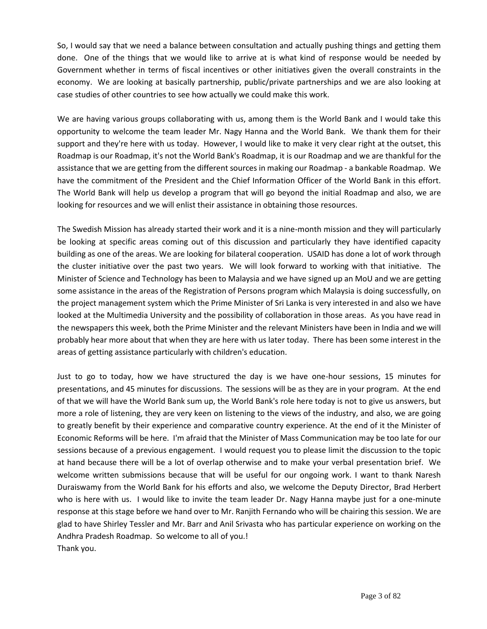So, I would say that we need a balance between consultation and actually pushing things and getting them done. One of the things that we would like to arrive at is what kind of response would be needed by Government whether in terms of fiscal incentives or other initiatives given the overall constraints in the economy. We are looking at basically partnership, public/private partnerships and we are also looking at case studies of other countries to see how actually we could make this work.

We are having various groups collaborating with us, among them is the World Bank and I would take this opportunity to welcome the team leader Mr. Nagy Hanna and the World Bank. We thank them for their support and they're here with us today. However, I would like to make it very clear right at the outset, this Roadmap is our Roadmap, it's not the World Bank's Roadmap, it is our Roadmap and we are thankful for the assistance that we are getting from the different sources in making our Roadmap - a bankable Roadmap. We have the commitment of the President and the Chief Information Officer of the World Bank in this effort. The World Bank will help us develop a program that will go beyond the initial Roadmap and also, we are looking for resources and we will enlist their assistance in obtaining those resources.

The Swedish Mission has already started their work and it is a nine-month mission and they will particularly be looking at specific areas coming out of this discussion and particularly they have identified capacity building as one of the areas. We are looking for bilateral cooperation. USAID has done a lot of work through the cluster initiative over the past two years. We will look forward to working with that initiative. The Minister of Science and Technology has been to Malaysia and we have signed up an MoU and we are getting some assistance in the areas of the Registration of Persons program which Malaysia is doing successfully, on the project management system which the Prime Minister of Sri Lanka is very interested in and also we have looked at the Multimedia University and the possibility of collaboration in those areas. As you have read in the newspapers this week, both the Prime Minister and the relevant Ministers have been in India and we will probably hear more about that when they are here with us later today. There has been some interest in the areas of getting assistance particularly with children's education.

Just to go to today, how we have structured the day is we have one-hour sessions, 15 minutes for presentations, and 45 minutes for discussions. The sessions will be as they are in your program. At the end of that we will have the World Bank sum up, the World Bank's role here today is not to give us answers, but more a role of listening, they are very keen on listening to the views of the industry, and also, we are going to greatly benefit by their experience and comparative country experience. At the end of it the Minister of Economic Reforms will be here. I'm afraid that the Minister of Mass Communication may be too late for our sessions because of a previous engagement. I would request you to please limit the discussion to the topic at hand because there will be a lot of overlap otherwise and to make your verbal presentation brief. We welcome written submissions because that will be useful for our ongoing work. I want to thank Naresh Duraiswamy from the World Bank for his efforts and also, we welcome the Deputy Director, Brad Herbert who is here with us. I would like to invite the team leader Dr. Nagy Hanna maybe just for a one-minute response at this stage before we hand over to Mr. Ranjith Fernando who will be chairing this session. We are glad to have Shirley Tessler and Mr. Barr and Anil Srivasta who has particular experience on working on the Andhra Pradesh Roadmap. So welcome to all of you.! Thank you.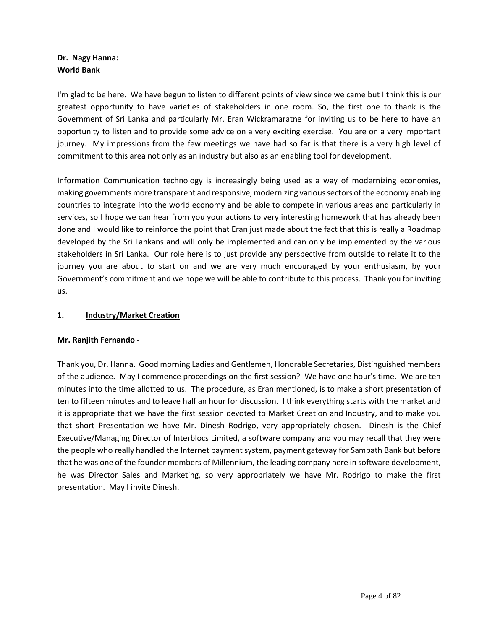# **Dr. Nagy Hanna: World Bank**

I'm glad to be here. We have begun to listen to different points of view since we came but I think this is our greatest opportunity to have varieties of stakeholders in one room. So, the first one to thank is the Government of Sri Lanka and particularly Mr. Eran Wickramaratne for inviting us to be here to have an opportunity to listen and to provide some advice on a very exciting exercise. You are on a very important journey. My impressions from the few meetings we have had so far is that there is a very high level of commitment to this area not only as an industry but also as an enabling tool for development.

Information Communication technology is increasingly being used as a way of modernizing economies, making governments more transparent and responsive, modernizing various sectors of the economy enabling countries to integrate into the world economy and be able to compete in various areas and particularly in services, so I hope we can hear from you your actions to very interesting homework that has already been done and I would like to reinforce the point that Eran just made about the fact that this is really a Roadmap developed by the Sri Lankans and will only be implemented and can only be implemented by the various stakeholders in Sri Lanka. Our role here is to just provide any perspective from outside to relate it to the journey you are about to start on and we are very much encouraged by your enthusiasm, by your Government's commitment and we hope we will be able to contribute to this process. Thank you for inviting us.

## **1. Industry/Market Creation**

### **Mr. Ranjith Fernando -**

Thank you, Dr. Hanna. Good morning Ladies and Gentlemen, Honorable Secretaries, Distinguished members of the audience. May I commence proceedings on the first session? We have one hour's time. We are ten minutes into the time allotted to us. The procedure, as Eran mentioned, is to make a short presentation of ten to fifteen minutes and to leave half an hour for discussion. I think everything starts with the market and it is appropriate that we have the first session devoted to Market Creation and Industry, and to make you that short Presentation we have Mr. Dinesh Rodrigo, very appropriately chosen. Dinesh is the Chief Executive/Managing Director of Interblocs Limited, a software company and you may recall that they were the people who really handled the Internet payment system, payment gateway for Sampath Bank but before that he was one of the founder members of Millennium, the leading company here in software development, he was Director Sales and Marketing, so very appropriately we have Mr. Rodrigo to make the first presentation. May I invite Dinesh.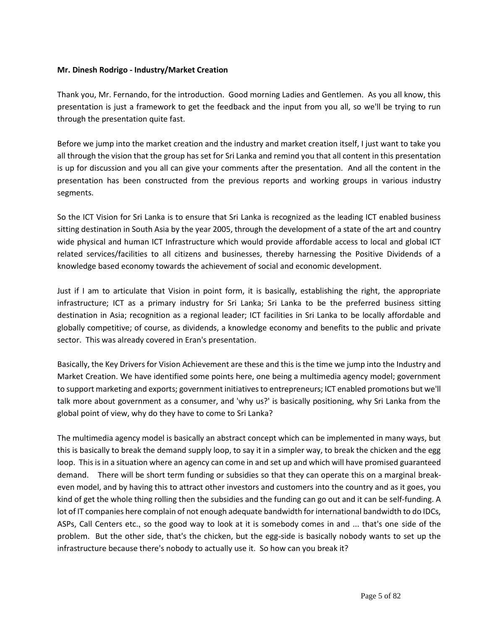### **Mr. Dinesh Rodrigo - Industry/Market Creation**

Thank you, Mr. Fernando, for the introduction. Good morning Ladies and Gentlemen. As you all know, this presentation is just a framework to get the feedback and the input from you all, so we'll be trying to run through the presentation quite fast.

Before we jump into the market creation and the industry and market creation itself, I just want to take you all through the vision that the group has set for Sri Lanka and remind you that all content in this presentation is up for discussion and you all can give your comments after the presentation. And all the content in the presentation has been constructed from the previous reports and working groups in various industry segments.

So the ICT Vision for Sri Lanka is to ensure that Sri Lanka is recognized as the leading ICT enabled business sitting destination in South Asia by the year 2005, through the development of a state of the art and country wide physical and human ICT Infrastructure which would provide affordable access to local and global ICT related services/facilities to all citizens and businesses, thereby harnessing the Positive Dividends of a knowledge based economy towards the achievement of social and economic development.

Just if I am to articulate that Vision in point form, it is basically, establishing the right, the appropriate infrastructure; ICT as a primary industry for Sri Lanka; Sri Lanka to be the preferred business sitting destination in Asia; recognition as a regional leader; ICT facilities in Sri Lanka to be locally affordable and globally competitive; of course, as dividends, a knowledge economy and benefits to the public and private sector. This was already covered in Eran's presentation.

Basically, the Key Drivers for Vision Achievement are these and this is the time we jump into the Industry and Market Creation. We have identified some points here, one being a multimedia agency model; government to support marketing and exports; government initiatives to entrepreneurs; ICT enabled promotions but we'll talk more about government as a consumer, and 'why us?' is basically positioning, why Sri Lanka from the global point of view, why do they have to come to Sri Lanka?

The multimedia agency model is basically an abstract concept which can be implemented in many ways, but this is basically to break the demand supply loop, to say it in a simpler way, to break the chicken and the egg loop. This is in a situation where an agency can come in and set up and which will have promised guaranteed demand. There will be short term funding or subsidies so that they can operate this on a marginal breakeven model, and by having this to attract other investors and customers into the country and as it goes, you kind of get the whole thing rolling then the subsidies and the funding can go out and it can be self-funding. A lot of IT companies here complain of not enough adequate bandwidth for international bandwidth to do IDCs, ASPs, Call Centers etc., so the good way to look at it is somebody comes in and ... that's one side of the problem. But the other side, that's the chicken, but the egg-side is basically nobody wants to set up the infrastructure because there's nobody to actually use it. So how can you break it?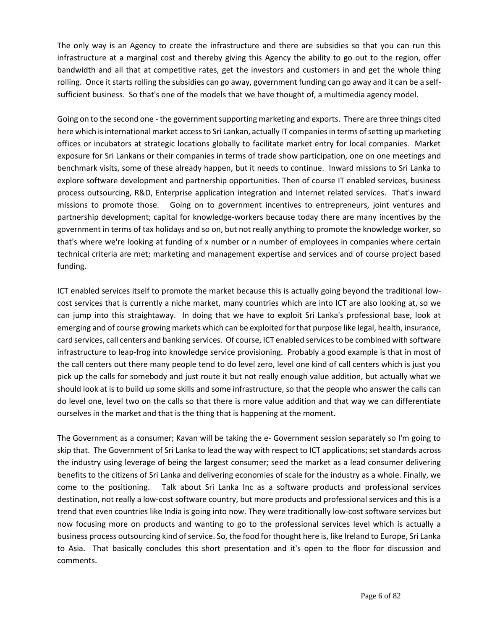The only way is an Agency to create the infrastructure and there are subsidies so that you can run this infrastructure at a marginal cost and thereby giving this Agency the ability to go out to the region, offer bandwidth and all that at competitive rates, get the investors and customers in and get the whole thing rolling. Once it starts rolling the subsidies can go away, government funding can go away and it can be a selfsufficient business. So that's one of the models that we have thought of, a multimedia agency model.

Going on to the second one -the government supporting marketing and exports. There are three things cited here which is international market access to Sri Lankan, actually IT companies in terms of setting up marketing offices or incubators at strategic locations globally to facilitate market entry for local companies. Market exposure for Sri Lankans or their companies in terms of trade show participation, one on one meetings and benchmark visits, some of these already happen, but it needs to continue. Inward missions to Sri Lanka to explore software development and partnership opportunities. Then of course IT enabled services, business process outsourcing, R&D, Enterprise application integration and Internet related services. That's inward missions to promote those. Going on to government incentives to entrepreneurs, joint ventures and partnership development; capital for knowledge-workers because today there are many incentives by the government in terms of tax holidays and so on, but not really anything to promote the knowledge worker, so that's where we're looking at funding of x number or n number of employees in companies where certain technical criteria are met; marketing and management expertise and services and of course project based funding.

ICT enabled services itself to promote the market because this is actually going beyond the traditional lowcost services that is currently a niche market, many countries which are into ICT are also looking at, so we can jump into this straightaway. In doing that we have to exploit Sri Lanka's professional base, look at emerging and of course growing markets which can be exploited for that purpose like legal, health, insurance, card services, call centers and banking services. Of course, ICT enabled services to be combined with software infrastructure to leap-frog into knowledge service provisioning. Probably a good example is that in most of the call centers out there many people tend to do level zero, level one kind of call centers which is just you pick up the calls for somebody and just route it but not really enough value addition, but actually what we should look at is to build up some skills and some infrastructure, so that the people who answer the calls can do level one, level two on the calls so that there is more value addition and that way we can differentiate ourselves in the market and that is the thing that is happening at the moment.

The Government as a consumer; Kavan will be taking the e- Government session separately so I'm going to skip that. The Government of Sri Lanka to lead the way with respect to ICT applications; set standards across the industry using leverage of being the largest consumer; seed the market as a lead consumer delivering benefits to the citizens of Sri Lanka and delivering economies of scale for the industry as a whole. Finally, we come to the positioning. Talk about Sri Lanka Inc as a software products and professional services destination, not really a low-cost software country, but more products and professional services and this is a trend that even countries like India is going into now. They were traditionally low-cost software services but now focusing more on products and wanting to go to the professional services level which is actually a business process outsourcing kind of service. So, the food for thought here is, like Ireland to Europe, Sri Lanka to Asia. That basically concludes this short presentation and it's open to the floor for discussion and comments.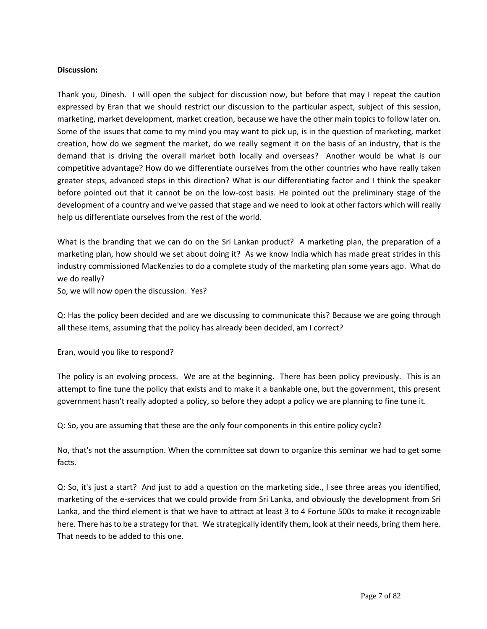### **Discussion:**

Thank you, Dinesh. I will open the subject for discussion now, but before that may I repeat the caution expressed by Eran that we should restrict our discussion to the particular aspect, subject of this session, marketing, market development, market creation, because we have the other main topics to follow later on. Some of the issues that come to my mind you may want to pick up, is in the question of marketing, market creation, how do we segment the market, do we really segment it on the basis of an industry, that is the demand that is driving the overall market both locally and overseas? Another would be what is our competitive advantage? How do we differentiate ourselves from the other countries who have really taken greater steps, advanced steps in this direction? What is our differentiating factor and I think the speaker before pointed out that it cannot be on the low-cost basis. He pointed out the preliminary stage of the development of a country and we've passed that stage and we need to look at other factors which will really help us differentiate ourselves from the rest of the world.

What is the branding that we can do on the Sri Lankan product? A marketing plan, the preparation of a marketing plan, how should we set about doing it? As we know India which has made great strides in this industry commissioned MacKenzies to do a complete study of the marketing plan some years ago. What do we do really?

So, we will now open the discussion. Yes?

Q: Has the policy been decided and are we discussing to communicate this? Because we are going through all these items, assuming that the policy has already been decided, am I correct?

Eran, would you like to respond?

The policy is an evolving process. We are at the beginning. There has been policy previously. This is an attempt to fine tune the policy that exists and to make it a bankable one, but the government, this present government hasn't really adopted a policy, so before they adopt a policy we are planning to fine tune it.

Q: So, you are assuming that these are the only four components in this entire policy cycle?

No, that's not the assumption. When the committee sat down to organize this seminar we had to get some facts.

Q: So, it's just a start? And just to add a question on the marketing side., I see three areas you identified, marketing of the e-services that we could provide from Sri Lanka, and obviously the development from Sri Lanka, and the third element is that we have to attract at least 3 to 4 Fortune 500s to make it recognizable here. There has to be a strategy for that. We strategically identify them, look at their needs, bring them here. That needs to be added to this one.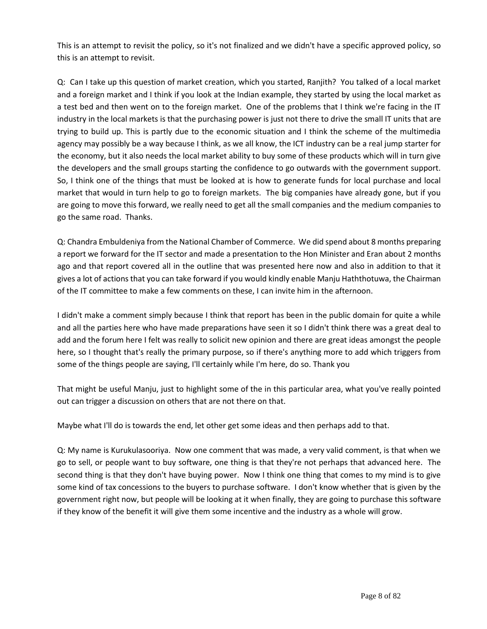This is an attempt to revisit the policy, so it's not finalized and we didn't have a specific approved policy, so this is an attempt to revisit.

Q: Can I take up this question of market creation, which you started, Ranjith? You talked of a local market and a foreign market and I think if you look at the Indian example, they started by using the local market as a test bed and then went on to the foreign market. One of the problems that I think we're facing in the IT industry in the local markets is that the purchasing power is just not there to drive the small IT units that are trying to build up. This is partly due to the economic situation and I think the scheme of the multimedia agency may possibly be a way because I think, as we all know, the ICT industry can be a real jump starter for the economy, but it also needs the local market ability to buy some of these products which will in turn give the developers and the small groups starting the confidence to go outwards with the government support. So, I think one of the things that must be looked at is how to generate funds for local purchase and local market that would in turn help to go to foreign markets. The big companies have already gone, but if you are going to move this forward, we really need to get all the small companies and the medium companies to go the same road. Thanks.

Q: Chandra Embuldeniya from the National Chamber of Commerce. We did spend about 8 months preparing a report we forward for the IT sector and made a presentation to the Hon Minister and Eran about 2 months ago and that report covered all in the outline that was presented here now and also in addition to that it gives a lot of actions that you can take forward if you would kindly enable Manju Haththotuwa, the Chairman of the IT committee to make a few comments on these, I can invite him in the afternoon.

I didn't make a comment simply because I think that report has been in the public domain for quite a while and all the parties here who have made preparations have seen it so I didn't think there was a great deal to add and the forum here I felt was really to solicit new opinion and there are great ideas amongst the people here, so I thought that's really the primary purpose, so if there's anything more to add which triggers from some of the things people are saying, I'll certainly while I'm here, do so. Thank you

That might be useful Manju, just to highlight some of the in this particular area, what you've really pointed out can trigger a discussion on others that are not there on that.

Maybe what I'll do is towards the end, let other get some ideas and then perhaps add to that.

Q: My name is Kurukulasooriya. Now one comment that was made, a very valid comment, is that when we go to sell, or people want to buy software, one thing is that they're not perhaps that advanced here. The second thing is that they don't have buying power. Now I think one thing that comes to my mind is to give some kind of tax concessions to the buyers to purchase software. I don't know whether that is given by the government right now, but people will be looking at it when finally, they are going to purchase this software if they know of the benefit it will give them some incentive and the industry as a whole will grow.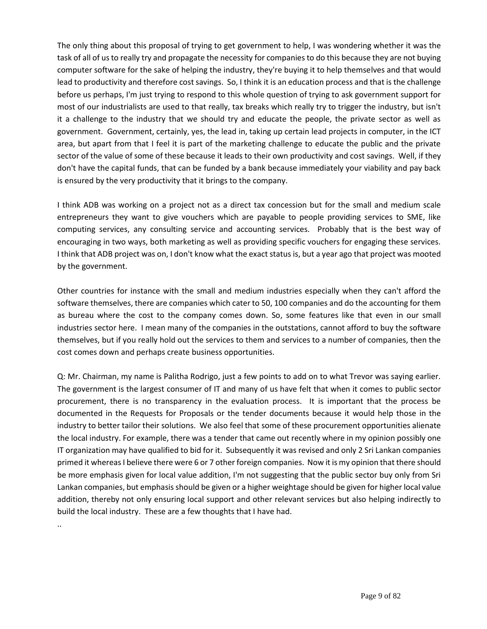The only thing about this proposal of trying to get government to help, I was wondering whether it was the task of all of us to really try and propagate the necessity for companies to do this because they are not buying computer software for the sake of helping the industry, they're buying it to help themselves and that would lead to productivity and therefore cost savings. So, I think it is an education process and that is the challenge before us perhaps, I'm just trying to respond to this whole question of trying to ask government support for most of our industrialists are used to that really, tax breaks which really try to trigger the industry, but isn't it a challenge to the industry that we should try and educate the people, the private sector as well as government. Government, certainly, yes, the lead in, taking up certain lead projects in computer, in the ICT area, but apart from that I feel it is part of the marketing challenge to educate the public and the private sector of the value of some of these because it leads to their own productivity and cost savings. Well, if they don't have the capital funds, that can be funded by a bank because immediately your viability and pay back is ensured by the very productivity that it brings to the company.

I think ADB was working on a project not as a direct tax concession but for the small and medium scale entrepreneurs they want to give vouchers which are payable to people providing services to SME, like computing services, any consulting service and accounting services. Probably that is the best way of encouraging in two ways, both marketing as well as providing specific vouchers for engaging these services. I think that ADB project was on, I don't know what the exact status is, but a year ago that project was mooted by the government.

Other countries for instance with the small and medium industries especially when they can't afford the software themselves, there are companies which cater to 50, 100 companies and do the accounting for them as bureau where the cost to the company comes down. So, some features like that even in our small industries sector here. I mean many of the companies in the outstations, cannot afford to buy the software themselves, but if you really hold out the services to them and services to a number of companies, then the cost comes down and perhaps create business opportunities.

Q: Mr. Chairman, my name is Palitha Rodrigo, just a few points to add on to what Trevor was saying earlier. The government is the largest consumer of IT and many of us have felt that when it comes to public sector procurement, there is no transparency in the evaluation process. It is important that the process be documented in the Requests for Proposals or the tender documents because it would help those in the industry to better tailor their solutions. We also feel that some of these procurement opportunities alienate the local industry. For example, there was a tender that came out recently where in my opinion possibly one IT organization may have qualified to bid for it. Subsequently it was revised and only 2 Sri Lankan companies primed it whereas I believe there were 6 or 7 other foreign companies. Now it is my opinion that there should be more emphasis given for local value addition, I'm not suggesting that the public sector buy only from Sri Lankan companies, but emphasis should be given or a higher weightage should be given for higher local value addition, thereby not only ensuring local support and other relevant services but also helping indirectly to build the local industry. These are a few thoughts that I have had.

..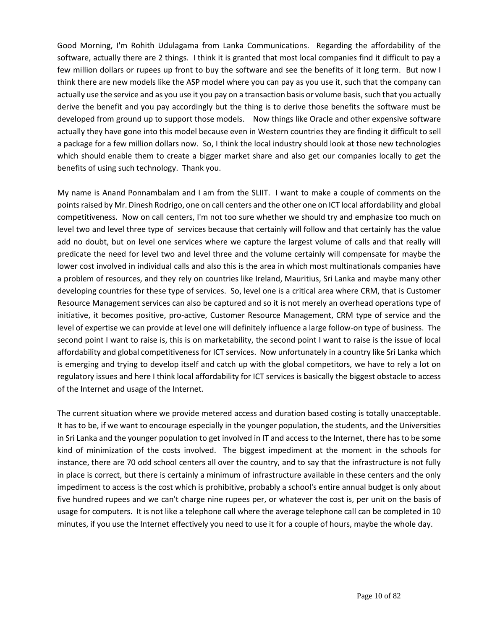Good Morning, I'm Rohith Udulagama from Lanka Communications. Regarding the affordability of the software, actually there are 2 things. I think it is granted that most local companies find it difficult to pay a few million dollars or rupees up front to buy the software and see the benefits of it long term. But now I think there are new models like the ASP model where you can pay as you use it, such that the company can actually use the service and as you use it you pay on a transaction basis or volume basis, such that you actually derive the benefit and you pay accordingly but the thing is to derive those benefits the software must be developed from ground up to support those models. Now things like Oracle and other expensive software actually they have gone into this model because even in Western countries they are finding it difficult to sell a package for a few million dollars now. So, I think the local industry should look at those new technologies which should enable them to create a bigger market share and also get our companies locally to get the benefits of using such technology. Thank you.

My name is Anand Ponnambalam and I am from the SLIIT. I want to make a couple of comments on the points raised by Mr. Dinesh Rodrigo, one on call centers and the other one on ICT local affordability and global competitiveness. Now on call centers, I'm not too sure whether we should try and emphasize too much on level two and level three type of services because that certainly will follow and that certainly has the value add no doubt, but on level one services where we capture the largest volume of calls and that really will predicate the need for level two and level three and the volume certainly will compensate for maybe the lower cost involved in individual calls and also this is the area in which most multinationals companies have a problem of resources, and they rely on countries like Ireland, Mauritius, Sri Lanka and maybe many other developing countries for these type of services. So, level one is a critical area where CRM, that is Customer Resource Management services can also be captured and so it is not merely an overhead operations type of initiative, it becomes positive, pro-active, Customer Resource Management, CRM type of service and the level of expertise we can provide at level one will definitely influence a large follow-on type of business. The second point I want to raise is, this is on marketability, the second point I want to raise is the issue of local affordability and global competitiveness for ICT services. Now unfortunately in a country like Sri Lanka which is emerging and trying to develop itself and catch up with the global competitors, we have to rely a lot on regulatory issues and here I think local affordability for ICT services is basically the biggest obstacle to access of the Internet and usage of the Internet.

The current situation where we provide metered access and duration based costing is totally unacceptable. It has to be, if we want to encourage especially in the younger population, the students, and the Universities in Sri Lanka and the younger population to get involved in IT and access to the Internet, there has to be some kind of minimization of the costs involved. The biggest impediment at the moment in the schools for instance, there are 70 odd school centers all over the country, and to say that the infrastructure is not fully in place is correct, but there is certainly a minimum of infrastructure available in these centers and the only impediment to access is the cost which is prohibitive, probably a school's entire annual budget is only about five hundred rupees and we can't charge nine rupees per, or whatever the cost is, per unit on the basis of usage for computers. It is not like a telephone call where the average telephone call can be completed in 10 minutes, if you use the Internet effectively you need to use it for a couple of hours, maybe the whole day.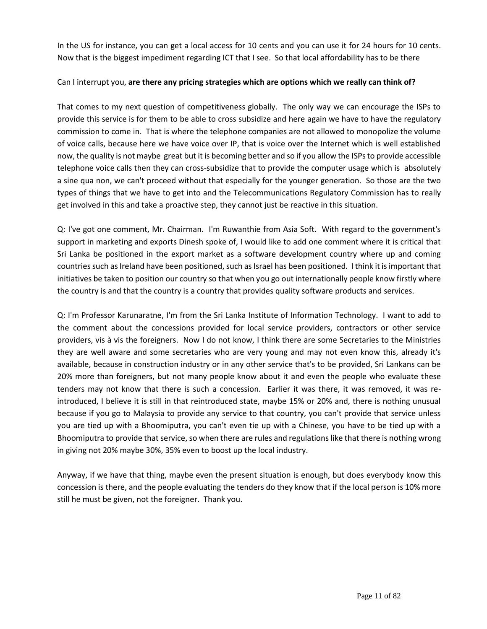In the US for instance, you can get a local access for 10 cents and you can use it for 24 hours for 10 cents. Now that is the biggest impediment regarding ICT that I see. So that local affordability has to be there

### Can I interrupt you, **are there any pricing strategies which are options which we really can think of?**

That comes to my next question of competitiveness globally. The only way we can encourage the ISPs to provide this service is for them to be able to cross subsidize and here again we have to have the regulatory commission to come in. That is where the telephone companies are not allowed to monopolize the volume of voice calls, because here we have voice over IP, that is voice over the Internet which is well established now, the quality is not maybe great but it is becoming better and so if you allow the ISPs to provide accessible telephone voice calls then they can cross-subsidize that to provide the computer usage which is absolutely a sine qua non, we can't proceed without that especially for the younger generation. So those are the two types of things that we have to get into and the Telecommunications Regulatory Commission has to really get involved in this and take a proactive step, they cannot just be reactive in this situation.

Q: I've got one comment, Mr. Chairman. I'm Ruwanthie from Asia Soft. With regard to the government's support in marketing and exports Dinesh spoke of, I would like to add one comment where it is critical that Sri Lanka be positioned in the export market as a software development country where up and coming countries such as Ireland have been positioned, such as Israel has been positioned. I think it is important that initiatives be taken to position our country so that when you go out internationally people know firstly where the country is and that the country is a country that provides quality software products and services.

Q: I'm Professor Karunaratne, I'm from the Sri Lanka Institute of Information Technology. I want to add to the comment about the concessions provided for local service providers, contractors or other service providers, vis à vis the foreigners. Now I do not know, I think there are some Secretaries to the Ministries they are well aware and some secretaries who are very young and may not even know this, already it's available, because in construction industry or in any other service that's to be provided, Sri Lankans can be 20% more than foreigners, but not many people know about it and even the people who evaluate these tenders may not know that there is such a concession. Earlier it was there, it was removed, it was reintroduced, I believe it is still in that reintroduced state, maybe 15% or 20% and, there is nothing unusual because if you go to Malaysia to provide any service to that country, you can't provide that service unless you are tied up with a Bhoomiputra, you can't even tie up with a Chinese, you have to be tied up with a Bhoomiputra to provide that service, so when there are rules and regulations like that there is nothing wrong in giving not 20% maybe 30%, 35% even to boost up the local industry.

Anyway, if we have that thing, maybe even the present situation is enough, but does everybody know this concession is there, and the people evaluating the tenders do they know that if the local person is 10% more still he must be given, not the foreigner. Thank you.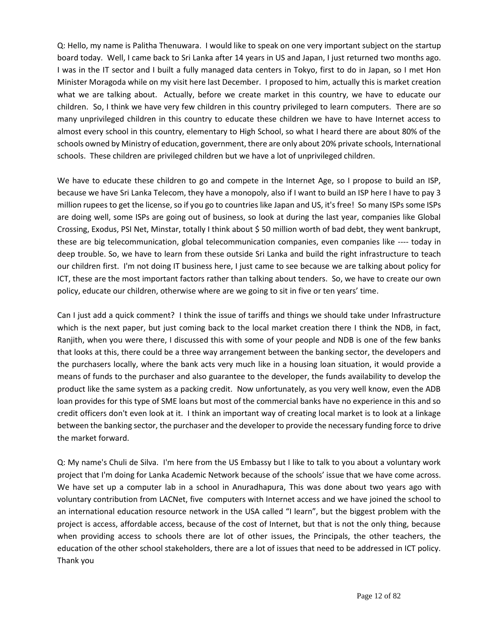Q: Hello, my name is Palitha Thenuwara. I would like to speak on one very important subject on the startup board today. Well, I came back to Sri Lanka after 14 years in US and Japan, I just returned two months ago. I was in the IT sector and I built a fully managed data centers in Tokyo, first to do in Japan, so I met Hon Minister Moragoda while on my visit here last December. I proposed to him, actually this is market creation what we are talking about. Actually, before we create market in this country, we have to educate our children. So, I think we have very few children in this country privileged to learn computers. There are so many unprivileged children in this country to educate these children we have to have Internet access to almost every school in this country, elementary to High School, so what I heard there are about 80% of the schools owned by Ministry of education, government, there are only about 20% private schools, International schools. These children are privileged children but we have a lot of unprivileged children.

We have to educate these children to go and compete in the Internet Age, so I propose to build an ISP, because we have Sri Lanka Telecom, they have a monopoly, also if I want to build an ISP here I have to pay 3 million rupees to get the license, so if you go to countries like Japan and US, it's free! So many ISPs some ISPs are doing well, some ISPs are going out of business, so look at during the last year, companies like Global Crossing, Exodus, PSI Net, Minstar, totally I think about \$ 50 million worth of bad debt, they went bankrupt, these are big telecommunication, global telecommunication companies, even companies like ---- today in deep trouble. So, we have to learn from these outside Sri Lanka and build the right infrastructure to teach our children first. I'm not doing IT business here, I just came to see because we are talking about policy for ICT, these are the most important factors rather than talking about tenders. So, we have to create our own policy, educate our children, otherwise where are we going to sit in five or ten years' time.

Can I just add a quick comment? I think the issue of tariffs and things we should take under Infrastructure which is the next paper, but just coming back to the local market creation there I think the NDB, in fact, Ranjith, when you were there, I discussed this with some of your people and NDB is one of the few banks that looks at this, there could be a three way arrangement between the banking sector, the developers and the purchasers locally, where the bank acts very much like in a housing loan situation, it would provide a means of funds to the purchaser and also guarantee to the developer, the funds availability to develop the product like the same system as a packing credit. Now unfortunately, as you very well know, even the ADB loan provides for this type of SME loans but most of the commercial banks have no experience in this and so credit officers don't even look at it. I think an important way of creating local market is to look at a linkage between the banking sector, the purchaser and the developer to provide the necessary funding force to drive the market forward.

Q: My name's Chuli de Silva. I'm here from the US Embassy but I like to talk to you about a voluntary work project that I'm doing for Lanka Academic Network because of the schools' issue that we have come across. We have set up a computer lab in a school in Anuradhapura, This was done about two years ago with voluntary contribution from LACNet, five computers with Internet access and we have joined the school to an international education resource network in the USA called "I learn", but the biggest problem with the project is access, affordable access, because of the cost of Internet, but that is not the only thing, because when providing access to schools there are lot of other issues, the Principals, the other teachers, the education of the other school stakeholders, there are a lot of issues that need to be addressed in ICT policy. Thank you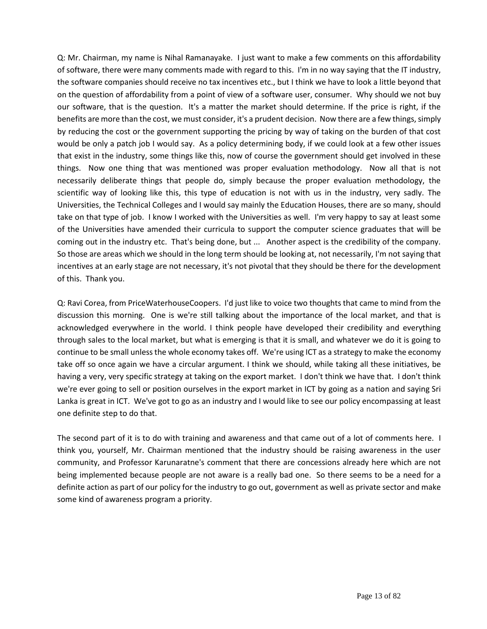Q: Mr. Chairman, my name is Nihal Ramanayake. I just want to make a few comments on this affordability of software, there were many comments made with regard to this. I'm in no way saying that the IT industry, the software companies should receive no tax incentives etc., but I think we have to look a little beyond that on the question of affordability from a point of view of a software user, consumer. Why should we not buy our software, that is the question. It's a matter the market should determine. If the price is right, if the benefits are more than the cost, we must consider, it's a prudent decision. Now there are a few things, simply by reducing the cost or the government supporting the pricing by way of taking on the burden of that cost would be only a patch job I would say. As a policy determining body, if we could look at a few other issues that exist in the industry, some things like this, now of course the government should get involved in these things. Now one thing that was mentioned was proper evaluation methodology. Now all that is not necessarily deliberate things that people do, simply because the proper evaluation methodology, the scientific way of looking like this, this type of education is not with us in the industry, very sadly. The Universities, the Technical Colleges and I would say mainly the Education Houses, there are so many, should take on that type of job. I know I worked with the Universities as well. I'm very happy to say at least some of the Universities have amended their curricula to support the computer science graduates that will be coming out in the industry etc. That's being done, but ... Another aspect is the credibility of the company. So those are areas which we should in the long term should be looking at, not necessarily, I'm not saying that incentives at an early stage are not necessary, it's not pivotal that they should be there for the development of this. Thank you.

Q: Ravi Corea, from PriceWaterhouseCoopers. I'd just like to voice two thoughts that came to mind from the discussion this morning. One is we're still talking about the importance of the local market, and that is acknowledged everywhere in the world. I think people have developed their credibility and everything through sales to the local market, but what is emerging is that it is small, and whatever we do it is going to continue to be small unless the whole economy takes off. We're using ICT as a strategy to make the economy take off so once again we have a circular argument. I think we should, while taking all these initiatives, be having a very, very specific strategy at taking on the export market. I don't think we have that. I don't think we're ever going to sell or position ourselves in the export market in ICT by going as a nation and saying Sri Lanka is great in ICT. We've got to go as an industry and I would like to see our policy encompassing at least one definite step to do that.

The second part of it is to do with training and awareness and that came out of a lot of comments here. I think you, yourself, Mr. Chairman mentioned that the industry should be raising awareness in the user community, and Professor Karunaratne's comment that there are concessions already here which are not being implemented because people are not aware is a really bad one. So there seems to be a need for a definite action as part of our policy for the industry to go out, government as well as private sector and make some kind of awareness program a priority.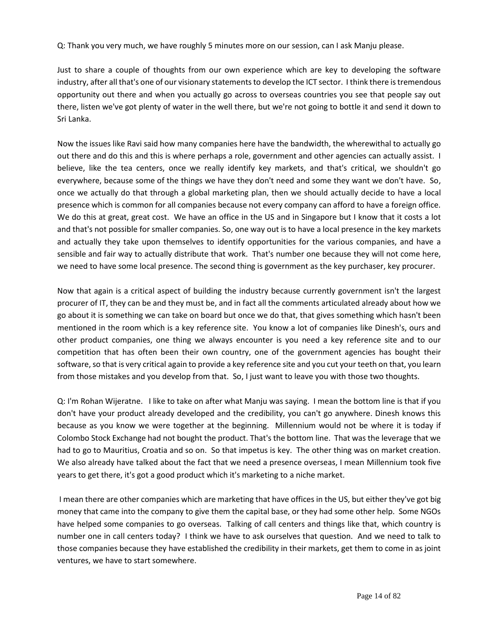Q: Thank you very much, we have roughly 5 minutes more on our session, can I ask Manju please.

Just to share a couple of thoughts from our own experience which are key to developing the software industry, after all that's one of our visionary statements to develop the ICT sector. I think there is tremendous opportunity out there and when you actually go across to overseas countries you see that people say out there, listen we've got plenty of water in the well there, but we're not going to bottle it and send it down to Sri Lanka.

Now the issues like Ravi said how many companies here have the bandwidth, the wherewithal to actually go out there and do this and this is where perhaps a role, government and other agencies can actually assist. I believe, like the tea centers, once we really identify key markets, and that's critical, we shouldn't go everywhere, because some of the things we have they don't need and some they want we don't have. So, once we actually do that through a global marketing plan, then we should actually decide to have a local presence which is common for all companies because not every company can afford to have a foreign office. We do this at great, great cost. We have an office in the US and in Singapore but I know that it costs a lot and that's not possible for smaller companies. So, one way out is to have a local presence in the key markets and actually they take upon themselves to identify opportunities for the various companies, and have a sensible and fair way to actually distribute that work. That's number one because they will not come here, we need to have some local presence. The second thing is government as the key purchaser, key procurer.

Now that again is a critical aspect of building the industry because currently government isn't the largest procurer of IT, they can be and they must be, and in fact all the comments articulated already about how we go about it is something we can take on board but once we do that, that gives something which hasn't been mentioned in the room which is a key reference site. You know a lot of companies like Dinesh's, ours and other product companies, one thing we always encounter is you need a key reference site and to our competition that has often been their own country, one of the government agencies has bought their software, so that is very critical again to provide a key reference site and you cut your teeth on that, you learn from those mistakes and you develop from that. So, I just want to leave you with those two thoughts.

Q: I'm Rohan Wijeratne. I like to take on after what Manju was saying. I mean the bottom line is that if you don't have your product already developed and the credibility, you can't go anywhere. Dinesh knows this because as you know we were together at the beginning. Millennium would not be where it is today if Colombo Stock Exchange had not bought the product. That's the bottom line. That was the leverage that we had to go to Mauritius, Croatia and so on. So that impetus is key. The other thing was on market creation. We also already have talked about the fact that we need a presence overseas, I mean Millennium took five years to get there, it's got a good product which it's marketing to a niche market.

I mean there are other companies which are marketing that have offices in the US, but either they've got big money that came into the company to give them the capital base, or they had some other help. Some NGOs have helped some companies to go overseas. Talking of call centers and things like that, which country is number one in call centers today? I think we have to ask ourselves that question. And we need to talk to those companies because they have established the credibility in their markets, get them to come in as joint ventures, we have to start somewhere.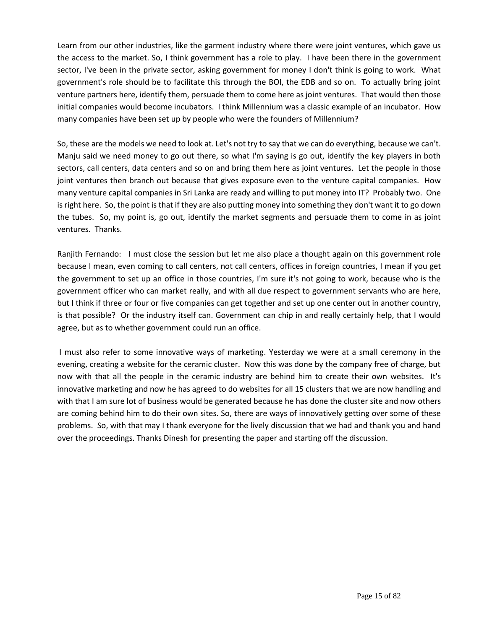Learn from our other industries, like the garment industry where there were joint ventures, which gave us the access to the market. So, I think government has a role to play. I have been there in the government sector, I've been in the private sector, asking government for money I don't think is going to work. What government's role should be to facilitate this through the BOI, the EDB and so on. To actually bring joint venture partners here, identify them, persuade them to come here as joint ventures. That would then those initial companies would become incubators. I think Millennium was a classic example of an incubator. How many companies have been set up by people who were the founders of Millennium?

So, these are the models we need to look at. Let's not try to say that we can do everything, because we can't. Manju said we need money to go out there, so what I'm saying is go out, identify the key players in both sectors, call centers, data centers and so on and bring them here as joint ventures. Let the people in those joint ventures then branch out because that gives exposure even to the venture capital companies. How many venture capital companies in Sri Lanka are ready and willing to put money into IT? Probably two. One is right here. So, the point is that if they are also putting money into something they don't want it to go down the tubes. So, my point is, go out, identify the market segments and persuade them to come in as joint ventures. Thanks.

Ranjith Fernando: I must close the session but let me also place a thought again on this government role because I mean, even coming to call centers, not call centers, offices in foreign countries, I mean if you get the government to set up an office in those countries, I'm sure it's not going to work, because who is the government officer who can market really, and with all due respect to government servants who are here, but I think if three or four or five companies can get together and set up one center out in another country, is that possible? Or the industry itself can. Government can chip in and really certainly help, that I would agree, but as to whether government could run an office.

I must also refer to some innovative ways of marketing. Yesterday we were at a small ceremony in the evening, creating a website for the ceramic cluster. Now this was done by the company free of charge, but now with that all the people in the ceramic industry are behind him to create their own websites. It's innovative marketing and now he has agreed to do websites for all 15 clusters that we are now handling and with that I am sure lot of business would be generated because he has done the cluster site and now others are coming behind him to do their own sites. So, there are ways of innovatively getting over some of these problems. So, with that may I thank everyone for the lively discussion that we had and thank you and hand over the proceedings. Thanks Dinesh for presenting the paper and starting off the discussion.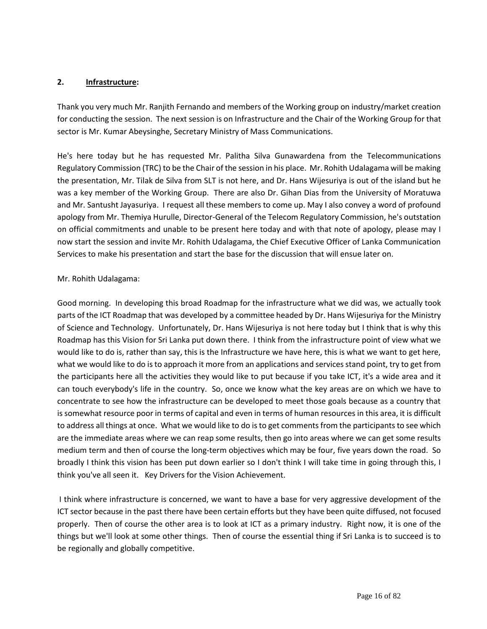### **2. Infrastructure:**

Thank you very much Mr. Ranjith Fernando and members of the Working group on industry/market creation for conducting the session. The next session is on Infrastructure and the Chair of the Working Group for that sector is Mr. Kumar Abeysinghe, Secretary Ministry of Mass Communications.

He's here today but he has requested Mr. Palitha Silva Gunawardena from the Telecommunications Regulatory Commission (TRC) to be the Chair of the session in his place. Mr. Rohith Udalagama will be making the presentation, Mr. Tilak de Silva from SLT is not here, and Dr. Hans Wijesuriya is out of the island but he was a key member of the Working Group. There are also Dr. Gihan Dias from the University of Moratuwa and Mr. Santusht Jayasuriya. I request all these members to come up. May I also convey a word of profound apology from Mr. Themiya Hurulle, Director-General of the Telecom Regulatory Commission, he's outstation on official commitments and unable to be present here today and with that note of apology, please may I now start the session and invite Mr. Rohith Udalagama, the Chief Executive Officer of Lanka Communication Services to make his presentation and start the base for the discussion that will ensue later on.

## Mr. Rohith Udalagama:

Good morning. In developing this broad Roadmap for the infrastructure what we did was, we actually took parts of the ICT Roadmap that was developed by a committee headed by Dr. Hans Wijesuriya for the Ministry of Science and Technology. Unfortunately, Dr. Hans Wijesuriya is not here today but I think that is why this Roadmap has this Vision for Sri Lanka put down there. I think from the infrastructure point of view what we would like to do is, rather than say, this is the Infrastructure we have here, this is what we want to get here, what we would like to do is to approach it more from an applications and services stand point, try to get from the participants here all the activities they would like to put because if you take ICT, it's a wide area and it can touch everybody's life in the country. So, once we know what the key areas are on which we have to concentrate to see how the infrastructure can be developed to meet those goals because as a country that is somewhat resource poor in terms of capital and even in terms of human resources in this area, it is difficult to address all things at once. What we would like to do is to get comments from the participants to see which are the immediate areas where we can reap some results, then go into areas where we can get some results medium term and then of course the long-term objectives which may be four, five years down the road. So broadly I think this vision has been put down earlier so I don't think I will take time in going through this, I think you've all seen it. Key Drivers for the Vision Achievement.

I think where infrastructure is concerned, we want to have a base for very aggressive development of the ICT sector because in the past there have been certain efforts but they have been quite diffused, not focused properly. Then of course the other area is to look at ICT as a primary industry. Right now, it is one of the things but we'll look at some other things. Then of course the essential thing if Sri Lanka is to succeed is to be regionally and globally competitive.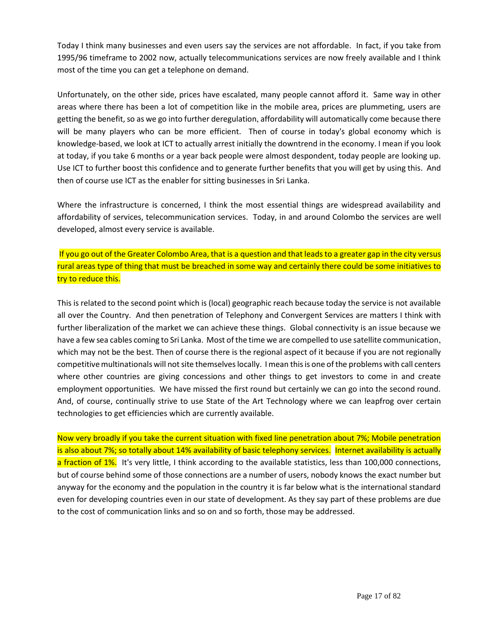Today I think many businesses and even users say the services are not affordable. In fact, if you take from 1995/96 timeframe to 2002 now, actually telecommunications services are now freely available and I think most of the time you can get a telephone on demand.

Unfortunately, on the other side, prices have escalated, many people cannot afford it. Same way in other areas where there has been a lot of competition like in the mobile area, prices are plummeting, users are getting the benefit, so as we go into further deregulation, affordability will automatically come because there will be many players who can be more efficient. Then of course in today's global economy which is knowledge-based, we look at ICT to actually arrest initially the downtrend in the economy. I mean if you look at today, if you take 6 months or a year back people were almost despondent, today people are looking up. Use ICT to further boost this confidence and to generate further benefits that you will get by using this. And then of course use ICT as the enabler for sitting businesses in Sri Lanka.

Where the infrastructure is concerned, I think the most essential things are widespread availability and affordability of services, telecommunication services. Today, in and around Colombo the services are well developed, almost every service is available.

If you go out of the Greater Colombo Area, that is a question and that leads to a greater gap in the city versus rural areas type of thing that must be breached in some way and certainly there could be some initiatives to try to reduce this.

This is related to the second point which is (local) geographic reach because today the service is not available all over the Country. And then penetration of Telephony and Convergent Services are matters I think with further liberalization of the market we can achieve these things. Global connectivity is an issue because we have a few sea cables coming to Sri Lanka. Most of the time we are compelled to use satellite communication, which may not be the best. Then of course there is the regional aspect of it because if you are not regionally competitive multinationals will not site themselves locally. I mean this is one of the problems with call centers where other countries are giving concessions and other things to get investors to come in and create employment opportunities. We have missed the first round but certainly we can go into the second round. And, of course, continually strive to use State of the Art Technology where we can leapfrog over certain technologies to get efficiencies which are currently available.

Now very broadly if you take the current situation with fixed line penetration about 7%; Mobile penetration is also about 7%; so totally about 14% availability of basic telephony services. Internet availability is actually a fraction of 1%. It's very little, I think according to the available statistics, less than 100,000 connections, but of course behind some of those connections are a number of users, nobody knows the exact number but anyway for the economy and the population in the country it is far below what is the international standard even for developing countries even in our state of development. As they say part of these problems are due to the cost of communication links and so on and so forth, those may be addressed.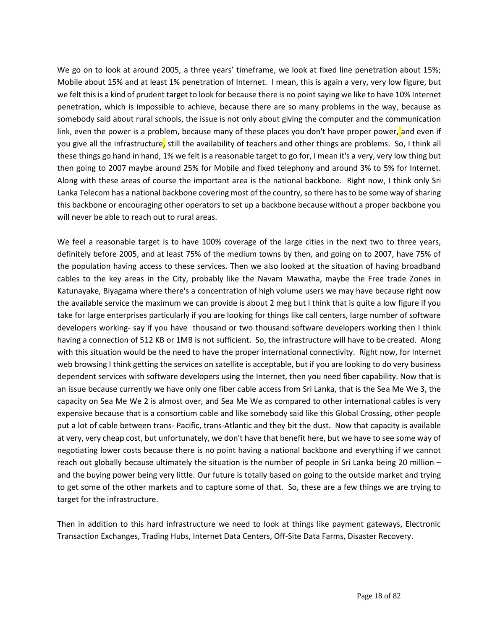We go on to look at around 2005, a three years' timeframe, we look at fixed line penetration about 15%; Mobile about 15% and at least 1% penetration of Internet. I mean, this is again a very, very low figure, but we felt this is a kind of prudent target to look for because there is no point saying we like to have 10% Internet penetration, which is impossible to achieve, because there are so many problems in the way, because as somebody said about rural schools, the issue is not only about giving the computer and the communication link, even the power is a problem, because many of these places you don't have proper power, and even if you give all the infrastructure, still the availability of teachers and other things are problems. So, I think all these things go hand in hand, 1% we felt is a reasonable target to go for, I mean it's a very, very low thing but then going to 2007 maybe around 25% for Mobile and fixed telephony and around 3% to 5% for Internet. Along with these areas of course the important area is the national backbone. Right now, I think only Sri Lanka Telecom has a national backbone covering most of the country, so there has to be some way of sharing this backbone or encouraging other operators to set up a backbone because without a proper backbone you will never be able to reach out to rural areas.

We feel a reasonable target is to have 100% coverage of the large cities in the next two to three years, definitely before 2005, and at least 75% of the medium towns by then, and going on to 2007, have 75% of the population having access to these services. Then we also looked at the situation of having broadband cables to the key areas in the City, probably like the Navam Mawatha, maybe the Free trade Zones in Katunayake, Biyagama where there's a concentration of high volume users we may have because right now the available service the maximum we can provide is about 2 meg but I think that is quite a low figure if you take for large enterprises particularly if you are looking for things like call centers, large number of software developers working- say if you have thousand or two thousand software developers working then I think having a connection of 512 KB or 1MB is not sufficient. So, the infrastructure will have to be created. Along with this situation would be the need to have the proper international connectivity. Right now, for Internet web browsing I think getting the services on satellite is acceptable, but if you are looking to do very business dependent services with software developers using the Internet, then you need fiber capability. Now that is an issue because currently we have only one fiber cable access from Sri Lanka, that is the Sea Me We 3, the capacity on Sea Me We 2 is almost over, and Sea Me We as compared to other international cables is very expensive because that is a consortium cable and like somebody said like this Global Crossing, other people put a lot of cable between trans- Pacific, trans-Atlantic and they bit the dust. Now that capacity is available at very, very cheap cost, but unfortunately, we don't have that benefit here, but we have to see some way of negotiating lower costs because there is no point having a national backbone and everything if we cannot reach out globally because ultimately the situation is the number of people in Sri Lanka being 20 million – and the buying power being very little. Our future is totally based on going to the outside market and trying to get some of the other markets and to capture some of that. So, these are a few things we are trying to target for the infrastructure.

Then in addition to this hard infrastructure we need to look at things like payment gateways, Electronic Transaction Exchanges, Trading Hubs, Internet Data Centers, Off-Site Data Farms, Disaster Recovery.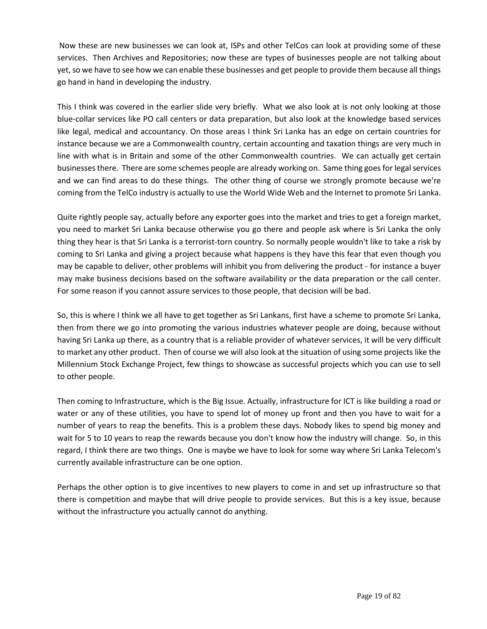Now these are new businesses we can look at, ISPs and other TelCos can look at providing some of these services. Then Archives and Repositories; now these are types of businesses people are not talking about yet, so we have to see how we can enable these businesses and get people to provide them because all things go hand in hand in developing the industry.

This I think was covered in the earlier slide very briefly. What we also look at is not only looking at those blue-collar services like PO call centers or data preparation, but also look at the knowledge based services like legal, medical and accountancy. On those areas I think Sri Lanka has an edge on certain countries for instance because we are a Commonwealth country, certain accounting and taxation things are very much in line with what is in Britain and some of the other Commonwealth countries. We can actually get certain businessesthere. There are some schemes people are already working on. Same thing goes for legal services and we can find areas to do these things. The other thing of course we strongly promote because we're coming from the TelCo industry is actually to use the World Wide Web and the Internet to promote Sri Lanka.

Quite rightly people say, actually before any exporter goes into the market and tries to get a foreign market, you need to market Sri Lanka because otherwise you go there and people ask where is Sri Lanka the only thing they hear is that Sri Lanka is a terrorist-torn country. So normally people wouldn't like to take a risk by coming to Sri Lanka and giving a project because what happens is they have this fear that even though you may be capable to deliver, other problems will inhibit you from delivering the product - for instance a buyer may make business decisions based on the software availability or the data preparation or the call center. For some reason if you cannot assure services to those people, that decision will be bad.

So, this is where I think we all have to get together as Sri Lankans, first have a scheme to promote Sri Lanka, then from there we go into promoting the various industries whatever people are doing, because without having Sri Lanka up there, as a country that is a reliable provider of whatever services, it will be very difficult to market any other product. Then of course we will also look at the situation of using some projects like the Millennium Stock Exchange Project, few things to showcase as successful projects which you can use to sell to other people.

Then coming to Infrastructure, which is the Big Issue. Actually, infrastructure for ICT is like building a road or water or any of these utilities, you have to spend lot of money up front and then you have to wait for a number of years to reap the benefits. This is a problem these days. Nobody likes to spend big money and wait for 5 to 10 years to reap the rewards because you don't know how the industry will change. So, in this regard, I think there are two things. One is maybe we have to look for some way where Sri Lanka Telecom's currently available infrastructure can be one option.

Perhaps the other option is to give incentives to new players to come in and set up infrastructure so that there is competition and maybe that will drive people to provide services. But this is a key issue, because without the infrastructure you actually cannot do anything.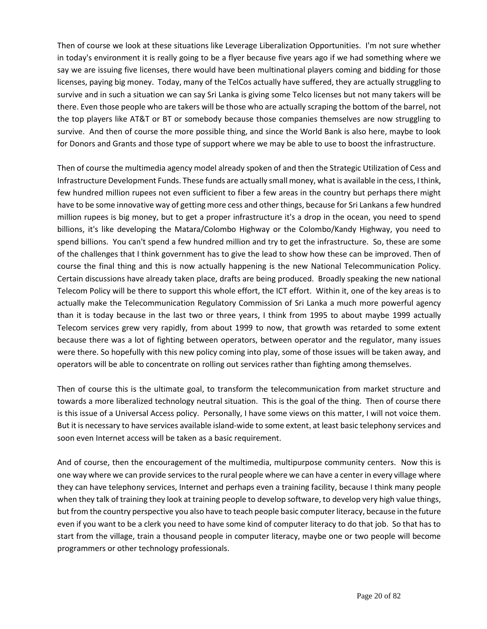Then of course we look at these situations like Leverage Liberalization Opportunities. I'm not sure whether in today's environment it is really going to be a flyer because five years ago if we had something where we say we are issuing five licenses, there would have been multinational players coming and bidding for those licenses, paying big money. Today, many of the TelCos actually have suffered, they are actually struggling to survive and in such a situation we can say Sri Lanka is giving some Telco licenses but not many takers will be there. Even those people who are takers will be those who are actually scraping the bottom of the barrel, not the top players like AT&T or BT or somebody because those companies themselves are now struggling to survive. And then of course the more possible thing, and since the World Bank is also here, maybe to look for Donors and Grants and those type of support where we may be able to use to boost the infrastructure.

Then of course the multimedia agency model already spoken of and then the Strategic Utilization of Cess and Infrastructure Development Funds. These funds are actually small money, what is available in the cess, I think, few hundred million rupees not even sufficient to fiber a few areas in the country but perhaps there might have to be some innovative way of getting more cess and other things, because for Sri Lankans a few hundred million rupees is big money, but to get a proper infrastructure it's a drop in the ocean, you need to spend billions, it's like developing the Matara/Colombo Highway or the Colombo/Kandy Highway, you need to spend billions. You can't spend a few hundred million and try to get the infrastructure. So, these are some of the challenges that I think government has to give the lead to show how these can be improved. Then of course the final thing and this is now actually happening is the new National Telecommunication Policy. Certain discussions have already taken place, drafts are being produced. Broadly speaking the new national Telecom Policy will be there to support this whole effort, the ICT effort. Within it, one of the key areas is to actually make the Telecommunication Regulatory Commission of Sri Lanka a much more powerful agency than it is today because in the last two or three years, I think from 1995 to about maybe 1999 actually Telecom services grew very rapidly, from about 1999 to now, that growth was retarded to some extent because there was a lot of fighting between operators, between operator and the regulator, many issues were there. So hopefully with this new policy coming into play, some of those issues will be taken away, and operators will be able to concentrate on rolling out services rather than fighting among themselves.

Then of course this is the ultimate goal, to transform the telecommunication from market structure and towards a more liberalized technology neutral situation. This is the goal of the thing. Then of course there is this issue of a Universal Access policy. Personally, I have some views on this matter, I will not voice them. But it is necessary to have services available island-wide to some extent, at least basic telephony services and soon even Internet access will be taken as a basic requirement.

And of course, then the encouragement of the multimedia, multipurpose community centers. Now this is one way where we can provide services to the rural people where we can have a center in every village where they can have telephony services, Internet and perhaps even a training facility, because I think many people when they talk of training they look at training people to develop software, to develop very high value things, but from the country perspective you also have to teach people basic computer literacy, because in the future even if you want to be a clerk you need to have some kind of computer literacy to do that job. So that has to start from the village, train a thousand people in computer literacy, maybe one or two people will become programmers or other technology professionals.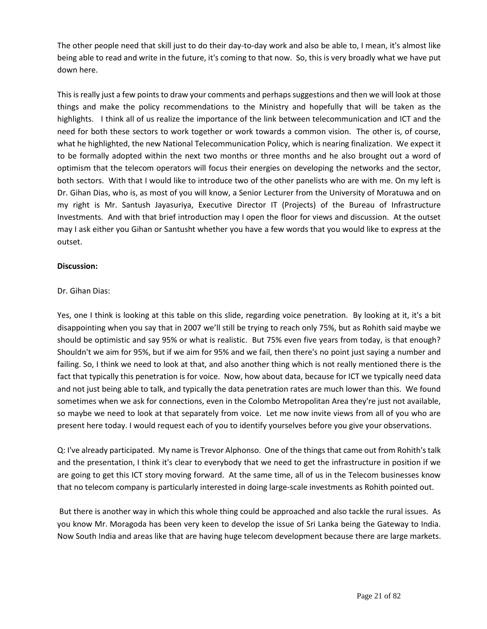The other people need that skill just to do their day-to-day work and also be able to, I mean, it's almost like being able to read and write in the future, it's coming to that now. So, this is very broadly what we have put down here.

This is really just a few points to draw your comments and perhaps suggestions and then we will look at those things and make the policy recommendations to the Ministry and hopefully that will be taken as the highlights. I think all of us realize the importance of the link between telecommunication and ICT and the need for both these sectors to work together or work towards a common vision. The other is, of course, what he highlighted, the new National Telecommunication Policy, which is nearing finalization. We expect it to be formally adopted within the next two months or three months and he also brought out a word of optimism that the telecom operators will focus their energies on developing the networks and the sector, both sectors. With that I would like to introduce two of the other panelists who are with me. On my left is Dr. Gihan Dias, who is, as most of you will know, a Senior Lecturer from the University of Moratuwa and on my right is Mr. Santush Jayasuriya, Executive Director IT (Projects) of the Bureau of Infrastructure Investments. And with that brief introduction may I open the floor for views and discussion. At the outset may I ask either you Gihan or Santusht whether you have a few words that you would like to express at the outset.

### **Discussion:**

## Dr. Gihan Dias:

Yes, one I think is looking at this table on this slide, regarding voice penetration. By looking at it, it's a bit disappointing when you say that in 2007 we'll still be trying to reach only 75%, but as Rohith said maybe we should be optimistic and say 95% or what is realistic. But 75% even five years from today, is that enough? Shouldn't we aim for 95%, but if we aim for 95% and we fail, then there's no point just saying a number and failing. So, I think we need to look at that, and also another thing which is not really mentioned there is the fact that typically this penetration is for voice. Now, how about data, because for ICT we typically need data and not just being able to talk, and typically the data penetration rates are much lower than this. We found sometimes when we ask for connections, even in the Colombo Metropolitan Area they're just not available, so maybe we need to look at that separately from voice. Let me now invite views from all of you who are present here today. I would request each of you to identify yourselves before you give your observations.

Q: I've already participated. My name is Trevor Alphonso. One of the things that came out from Rohith's talk and the presentation, I think it's clear to everybody that we need to get the infrastructure in position if we are going to get this ICT story moving forward. At the same time, all of us in the Telecom businesses know that no telecom company is particularly interested in doing large-scale investments as Rohith pointed out.

But there is another way in which this whole thing could be approached and also tackle the rural issues. As you know Mr. Moragoda has been very keen to develop the issue of Sri Lanka being the Gateway to India. Now South India and areas like that are having huge telecom development because there are large markets.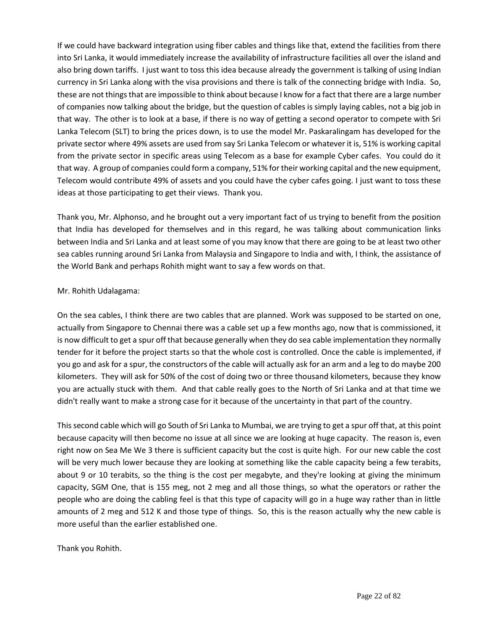If we could have backward integration using fiber cables and things like that, extend the facilities from there into Sri Lanka, it would immediately increase the availability of infrastructure facilities all over the island and also bring down tariffs. I just want to toss this idea because already the government is talking of using Indian currency in Sri Lanka along with the visa provisions and there is talk of the connecting bridge with India. So, these are not things that are impossible to think about because I know for a fact that there are a large number of companies now talking about the bridge, but the question of cables is simply laying cables, not a big job in that way. The other is to look at a base, if there is no way of getting a second operator to compete with Sri Lanka Telecom (SLT) to bring the prices down, is to use the model Mr. Paskaralingam has developed for the private sector where 49% assets are used from say Sri Lanka Telecom or whatever it is, 51% is working capital from the private sector in specific areas using Telecom as a base for example Cyber cafes. You could do it that way. A group of companies could form a company, 51% for their working capital and the new equipment, Telecom would contribute 49% of assets and you could have the cyber cafes going. I just want to toss these ideas at those participating to get their views. Thank you.

Thank you, Mr. Alphonso, and he brought out a very important fact of us trying to benefit from the position that India has developed for themselves and in this regard, he was talking about communication links between India and Sri Lanka and at least some of you may know that there are going to be at least two other sea cables running around Sri Lanka from Malaysia and Singapore to India and with, I think, the assistance of the World Bank and perhaps Rohith might want to say a few words on that.

## Mr. Rohith Udalagama:

On the sea cables, I think there are two cables that are planned. Work was supposed to be started on one, actually from Singapore to Chennai there was a cable set up a few months ago, now that is commissioned, it is now difficult to get a spur off that because generally when they do sea cable implementation they normally tender for it before the project starts so that the whole cost is controlled. Once the cable is implemented, if you go and ask for a spur, the constructors of the cable will actually ask for an arm and a leg to do maybe 200 kilometers. They will ask for 50% of the cost of doing two or three thousand kilometers, because they know you are actually stuck with them. And that cable really goes to the North of Sri Lanka and at that time we didn't really want to make a strong case for it because of the uncertainty in that part of the country.

This second cable which will go South of Sri Lanka to Mumbai, we are trying to get a spur off that, at this point because capacity will then become no issue at all since we are looking at huge capacity. The reason is, even right now on Sea Me We 3 there is sufficient capacity but the cost is quite high. For our new cable the cost will be very much lower because they are looking at something like the cable capacity being a few terabits, about 9 or 10 terabits, so the thing is the cost per megabyte, and they're looking at giving the minimum capacity, SGM One, that is 155 meg, not 2 meg and all those things, so what the operators or rather the people who are doing the cabling feel is that this type of capacity will go in a huge way rather than in little amounts of 2 meg and 512 K and those type of things. So, this is the reason actually why the new cable is more useful than the earlier established one.

Thank you Rohith.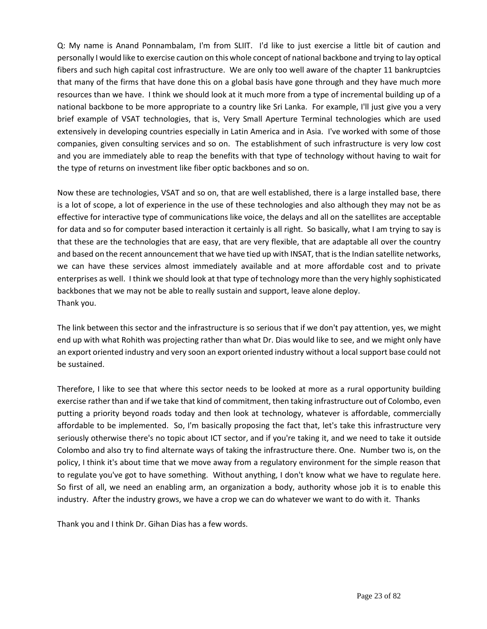Q: My name is Anand Ponnambalam, I'm from SLIIT. I'd like to just exercise a little bit of caution and personally I would like to exercise caution on this whole concept of national backbone and trying to lay optical fibers and such high capital cost infrastructure. We are only too well aware of the chapter 11 bankruptcies that many of the firms that have done this on a global basis have gone through and they have much more resources than we have. I think we should look at it much more from a type of incremental building up of a national backbone to be more appropriate to a country like Sri Lanka. For example, I'll just give you a very brief example of VSAT technologies, that is, Very Small Aperture Terminal technologies which are used extensively in developing countries especially in Latin America and in Asia. I've worked with some of those companies, given consulting services and so on. The establishment of such infrastructure is very low cost and you are immediately able to reap the benefits with that type of technology without having to wait for the type of returns on investment like fiber optic backbones and so on.

Now these are technologies, VSAT and so on, that are well established, there is a large installed base, there is a lot of scope, a lot of experience in the use of these technologies and also although they may not be as effective for interactive type of communications like voice, the delays and all on the satellites are acceptable for data and so for computer based interaction it certainly is all right. So basically, what I am trying to say is that these are the technologies that are easy, that are very flexible, that are adaptable all over the country and based on the recent announcement that we have tied up with INSAT, that is the Indian satellite networks, we can have these services almost immediately available and at more affordable cost and to private enterprises as well. I think we should look at that type of technology more than the very highly sophisticated backbones that we may not be able to really sustain and support, leave alone deploy. Thank you.

The link between this sector and the infrastructure is so serious that if we don't pay attention, yes, we might end up with what Rohith was projecting rather than what Dr. Dias would like to see, and we might only have an export oriented industry and very soon an export oriented industry without a local support base could not be sustained.

Therefore, I like to see that where this sector needs to be looked at more as a rural opportunity building exercise rather than and if we take that kind of commitment, then taking infrastructure out of Colombo, even putting a priority beyond roads today and then look at technology, whatever is affordable, commercially affordable to be implemented. So, I'm basically proposing the fact that, let's take this infrastructure very seriously otherwise there's no topic about ICT sector, and if you're taking it, and we need to take it outside Colombo and also try to find alternate ways of taking the infrastructure there. One. Number two is, on the policy, I think it's about time that we move away from a regulatory environment for the simple reason that to regulate you've got to have something. Without anything, I don't know what we have to regulate here. So first of all, we need an enabling arm, an organization a body, authority whose job it is to enable this industry. After the industry grows, we have a crop we can do whatever we want to do with it. Thanks

Thank you and I think Dr. Gihan Dias has a few words.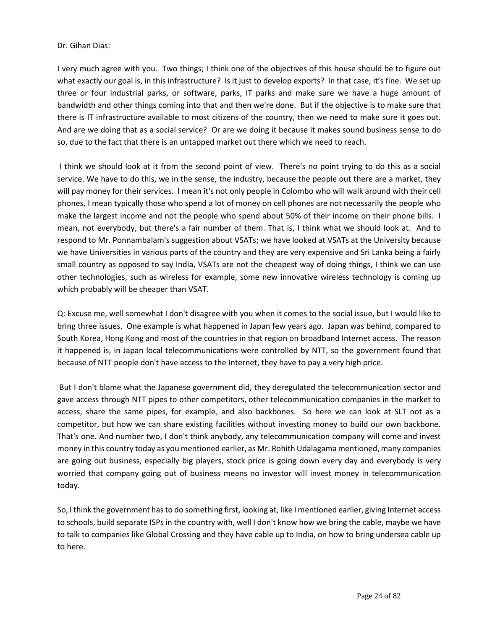#### Dr. Gihan Dias:

I very much agree with you. Two things; I think one of the objectives of this house should be to figure out what exactly our goal is, in this infrastructure? Is it just to develop exports? In that case, it's fine. We set up three or four industrial parks, or software, parks, IT parks and make sure we have a huge amount of bandwidth and other things coming into that and then we're done. But if the objective is to make sure that there is IT infrastructure available to most citizens of the country, then we need to make sure it goes out. And are we doing that as a social service? Or are we doing it because it makes sound business sense to do so, due to the fact that there is an untapped market out there which we need to reach.

I think we should look at it from the second point of view. There's no point trying to do this as a social service. We have to do this, we in the sense, the industry, because the people out there are a market, they will pay money for their services. I mean it's not only people in Colombo who will walk around with their cell phones, I mean typically those who spend a lot of money on cell phones are not necessarily the people who make the largest income and not the people who spend about 50% of their income on their phone bills. I mean, not everybody, but there's a fair number of them. That is, I think what we should look at. And to respond to Mr. Ponnambalam's suggestion about VSATs; we have looked at VSATs at the University because we have Universities in various parts of the country and they are very expensive and Sri Lanka being a fairly small country as opposed to say India, VSATs are not the cheapest way of doing things, I think we can use other technologies, such as wireless for example, some new innovative wireless technology is coming up which probably will be cheaper than VSAT.

Q: Excuse me, well somewhat I don't disagree with you when it comes to the social issue, but I would like to bring three issues. One example is what happened in Japan few years ago. Japan was behind, compared to South Korea, Hong Kong and most of the countries in that region on broadband Internet access. The reason it happened is, in Japan local telecommunications were controlled by NTT, so the government found that because of NTT people don't have access to the Internet, they have to pay a very high price.

But I don't blame what the Japanese government did, they deregulated the telecommunication sector and gave access through NTT pipes to other competitors, other telecommunication companies in the market to access, share the same pipes, for example, and also backbones. So here we can look at SLT not as a competitor, but how we can share existing facilities without investing money to build our own backbone. That's one. And number two, I don't think anybody, any telecommunication company will come and invest money in this country today as you mentioned earlier, as Mr. Rohith Udalagama mentioned, many companies are going out business, especially big players, stock price is going down every day and everybody is very worried that company going out of business means no investor will invest money in telecommunication today.

So, I think the government has to do something first, looking at, like I mentioned earlier, giving Internet access to schools, build separate ISPs in the country with, well I don't know how we bring the cable, maybe we have to talk to companies like Global Crossing and they have cable up to India, on how to bring undersea cable up to here.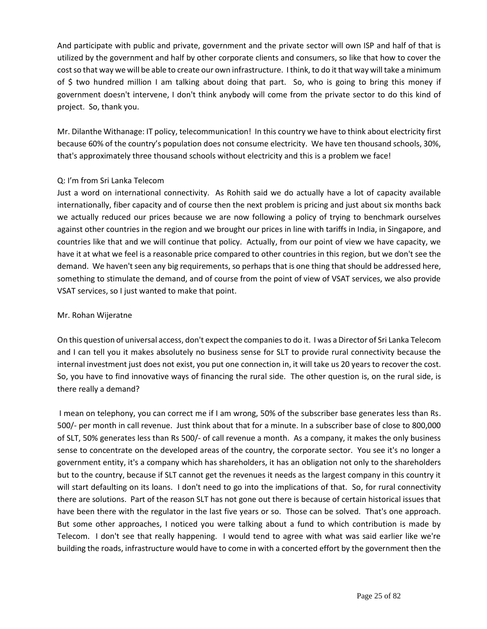And participate with public and private, government and the private sector will own ISP and half of that is utilized by the government and half by other corporate clients and consumers, so like that how to cover the cost so that way we will be able to create our own infrastructure. I think, to do it that way will take a minimum of \$ two hundred million I am talking about doing that part. So, who is going to bring this money if government doesn't intervene, I don't think anybody will come from the private sector to do this kind of project. So, thank you.

Mr. Dilanthe Withanage: IT policy, telecommunication! In this country we have to think about electricity first because 60% of the country's population does not consume electricity. We have ten thousand schools, 30%, that's approximately three thousand schools without electricity and this is a problem we face!

## Q: I'm from Sri Lanka Telecom

Just a word on international connectivity. As Rohith said we do actually have a lot of capacity available internationally, fiber capacity and of course then the next problem is pricing and just about six months back we actually reduced our prices because we are now following a policy of trying to benchmark ourselves against other countries in the region and we brought our prices in line with tariffs in India, in Singapore, and countries like that and we will continue that policy. Actually, from our point of view we have capacity, we have it at what we feel is a reasonable price compared to other countries in this region, but we don't see the demand. We haven't seen any big requirements, so perhaps that is one thing that should be addressed here, something to stimulate the demand, and of course from the point of view of VSAT services, we also provide VSAT services, so I just wanted to make that point.

### Mr. Rohan Wijeratne

On this question of universal access, don't expect the companies to do it. I was a Director of Sri Lanka Telecom and I can tell you it makes absolutely no business sense for SLT to provide rural connectivity because the internal investment just does not exist, you put one connection in, it will take us 20 years to recover the cost. So, you have to find innovative ways of financing the rural side. The other question is, on the rural side, is there really a demand?

I mean on telephony, you can correct me if I am wrong, 50% of the subscriber base generates less than Rs. 500/- per month in call revenue. Just think about that for a minute. In a subscriber base of close to 800,000 of SLT, 50% generates less than Rs 500/- of call revenue a month. As a company, it makes the only business sense to concentrate on the developed areas of the country, the corporate sector. You see it's no longer a government entity, it's a company which has shareholders, it has an obligation not only to the shareholders but to the country, because if SLT cannot get the revenues it needs as the largest company in this country it will start defaulting on its loans. I don't need to go into the implications of that. So, for rural connectivity there are solutions. Part of the reason SLT has not gone out there is because of certain historical issues that have been there with the regulator in the last five years or so. Those can be solved. That's one approach. But some other approaches, I noticed you were talking about a fund to which contribution is made by Telecom. I don't see that really happening. I would tend to agree with what was said earlier like we're building the roads, infrastructure would have to come in with a concerted effort by the government then the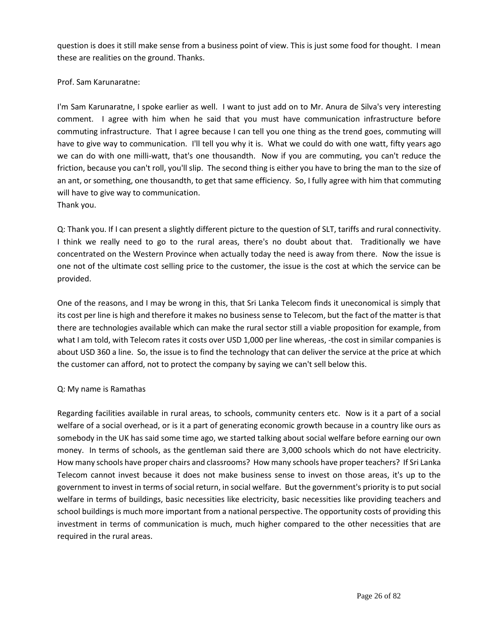question is does it still make sense from a business point of view. This is just some food for thought. I mean these are realities on the ground. Thanks.

## Prof. Sam Karunaratne:

I'm Sam Karunaratne, I spoke earlier as well. I want to just add on to Mr. Anura de Silva's very interesting comment. I agree with him when he said that you must have communication infrastructure before commuting infrastructure. That I agree because I can tell you one thing as the trend goes, commuting will have to give way to communication. I'll tell you why it is. What we could do with one watt, fifty years ago we can do with one milli-watt, that's one thousandth. Now if you are commuting, you can't reduce the friction, because you can't roll, you'll slip. The second thing is either you have to bring the man to the size of an ant, or something, one thousandth, to get that same efficiency. So, I fully agree with him that commuting will have to give way to communication. Thank you.

Q: Thank you. If I can present a slightly different picture to the question of SLT, tariffs and rural connectivity. I think we really need to go to the rural areas, there's no doubt about that. Traditionally we have concentrated on the Western Province when actually today the need is away from there. Now the issue is one not of the ultimate cost selling price to the customer, the issue is the cost at which the service can be provided.

One of the reasons, and I may be wrong in this, that Sri Lanka Telecom finds it uneconomical is simply that its cost per line is high and therefore it makes no business sense to Telecom, but the fact of the matter is that there are technologies available which can make the rural sector still a viable proposition for example, from what I am told, with Telecom rates it costs over USD 1,000 per line whereas, -the cost in similar companies is about USD 360 a line. So, the issue is to find the technology that can deliver the service at the price at which the customer can afford, not to protect the company by saying we can't sell below this.

# Q: My name is Ramathas

Regarding facilities available in rural areas, to schools, community centers etc. Now is it a part of a social welfare of a social overhead, or is it a part of generating economic growth because in a country like ours as somebody in the UK has said some time ago, we started talking about social welfare before earning our own money. In terms of schools, as the gentleman said there are 3,000 schools which do not have electricity. How many schools have proper chairs and classrooms? How many schools have proper teachers? If Sri Lanka Telecom cannot invest because it does not make business sense to invest on those areas, it's up to the government to invest in terms of social return, in social welfare. But the government's priority is to put social welfare in terms of buildings, basic necessities like electricity, basic necessities like providing teachers and school buildings is much more important from a national perspective. The opportunity costs of providing this investment in terms of communication is much, much higher compared to the other necessities that are required in the rural areas.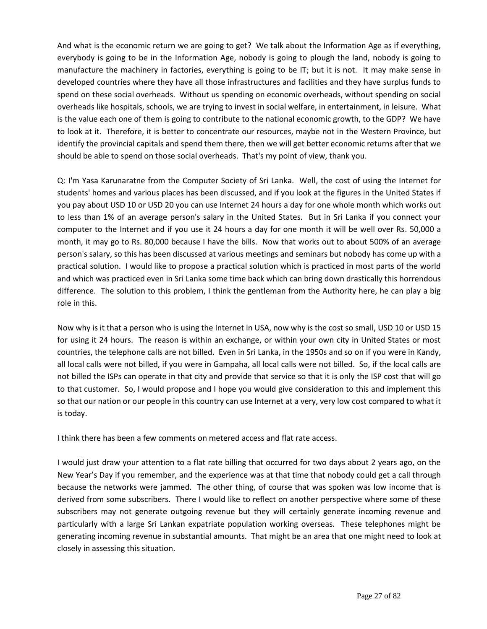And what is the economic return we are going to get? We talk about the Information Age as if everything, everybody is going to be in the Information Age, nobody is going to plough the land, nobody is going to manufacture the machinery in factories, everything is going to be IT; but it is not. It may make sense in developed countries where they have all those infrastructures and facilities and they have surplus funds to spend on these social overheads. Without us spending on economic overheads, without spending on social overheads like hospitals, schools, we are trying to invest in social welfare, in entertainment, in leisure. What is the value each one of them is going to contribute to the national economic growth, to the GDP? We have to look at it. Therefore, it is better to concentrate our resources, maybe not in the Western Province, but identify the provincial capitals and spend them there, then we will get better economic returns after that we should be able to spend on those social overheads. That's my point of view, thank you.

Q: I'm Yasa Karunaratne from the Computer Society of Sri Lanka. Well, the cost of using the Internet for students' homes and various places has been discussed, and if you look at the figures in the United States if you pay about USD 10 or USD 20 you can use Internet 24 hours a day for one whole month which works out to less than 1% of an average person's salary in the United States. But in Sri Lanka if you connect your computer to the Internet and if you use it 24 hours a day for one month it will be well over Rs. 50,000 a month, it may go to Rs. 80,000 because I have the bills. Now that works out to about 500% of an average person's salary, so this has been discussed at various meetings and seminars but nobody has come up with a practical solution. I would like to propose a practical solution which is practiced in most parts of the world and which was practiced even in Sri Lanka some time back which can bring down drastically this horrendous difference. The solution to this problem, I think the gentleman from the Authority here, he can play a big role in this.

Now why is it that a person who is using the Internet in USA, now why is the cost so small, USD 10 or USD 15 for using it 24 hours. The reason is within an exchange, or within your own city in United States or most countries, the telephone calls are not billed. Even in Sri Lanka, in the 1950s and so on if you were in Kandy, all local calls were not billed, if you were in Gampaha, all local calls were not billed. So, if the local calls are not billed the ISPs can operate in that city and provide that service so that it is only the ISP cost that will go to that customer. So, I would propose and I hope you would give consideration to this and implement this so that our nation or our people in this country can use Internet at a very, very low cost compared to what it is today.

I think there has been a few comments on metered access and flat rate access.

I would just draw your attention to a flat rate billing that occurred for two days about 2 years ago, on the New Year's Day if you remember, and the experience was at that time that nobody could get a call through because the networks were jammed. The other thing, of course that was spoken was low income that is derived from some subscribers. There I would like to reflect on another perspective where some of these subscribers may not generate outgoing revenue but they will certainly generate incoming revenue and particularly with a large Sri Lankan expatriate population working overseas. These telephones might be generating incoming revenue in substantial amounts. That might be an area that one might need to look at closely in assessing this situation.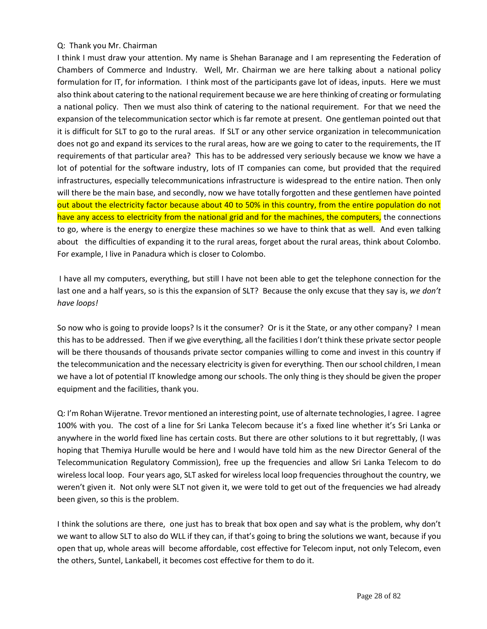### Q: Thank you Mr. Chairman

I think I must draw your attention. My name is Shehan Baranage and I am representing the Federation of Chambers of Commerce and Industry. Well, Mr. Chairman we are here talking about a national policy formulation for IT, for information. I think most of the participants gave lot of ideas, inputs. Here we must also think about catering to the national requirement because we are here thinking of creating or formulating a national policy. Then we must also think of catering to the national requirement. For that we need the expansion of the telecommunication sector which is far remote at present. One gentleman pointed out that it is difficult for SLT to go to the rural areas. If SLT or any other service organization in telecommunication does not go and expand its services to the rural areas, how are we going to cater to the requirements, the IT requirements of that particular area? This has to be addressed very seriously because we know we have a lot of potential for the software industry, lots of IT companies can come, but provided that the required infrastructures, especially telecommunications infrastructure is widespread to the entire nation. Then only will there be the main base, and secondly, now we have totally forgotten and these gentlemen have pointed out about the electricity factor because about 40 to 50% in this country, from the entire population do not have any access to electricity from the national grid and for the machines, the computers, the connections to go, where is the energy to energize these machines so we have to think that as well. And even talking about the difficulties of expanding it to the rural areas, forget about the rural areas, think about Colombo. For example, I live in Panadura which is closer to Colombo.

I have all my computers, everything, but still I have not been able to get the telephone connection for the last one and a half years, so is this the expansion of SLT? Because the only excuse that they say is, *we don't have loops!*

So now who is going to provide loops? Is it the consumer? Or is it the State, or any other company? I mean this has to be addressed. Then if we give everything, all the facilities I don't think these private sector people will be there thousands of thousands private sector companies willing to come and invest in this country if the telecommunication and the necessary electricity is given for everything. Then our school children, I mean we have a lot of potential IT knowledge among our schools. The only thing is they should be given the proper equipment and the facilities, thank you.

Q: I'm Rohan Wijeratne. Trevor mentioned an interesting point, use of alternate technologies, I agree. I agree 100% with you. The cost of a line for Sri Lanka Telecom because it's a fixed line whether it's Sri Lanka or anywhere in the world fixed line has certain costs. But there are other solutions to it but regrettably, (I was hoping that Themiya Hurulle would be here and I would have told him as the new Director General of the Telecommunication Regulatory Commission), free up the frequencies and allow Sri Lanka Telecom to do wireless local loop. Four years ago, SLT asked for wireless local loop frequencies throughout the country, we weren't given it. Not only were SLT not given it, we were told to get out of the frequencies we had already been given, so this is the problem.

I think the solutions are there, one just has to break that box open and say what is the problem, why don't we want to allow SLT to also do WLL if they can, if that's going to bring the solutions we want, because if you open that up, whole areas will become affordable, cost effective for Telecom input, not only Telecom, even the others, Suntel, Lankabell, it becomes cost effective for them to do it.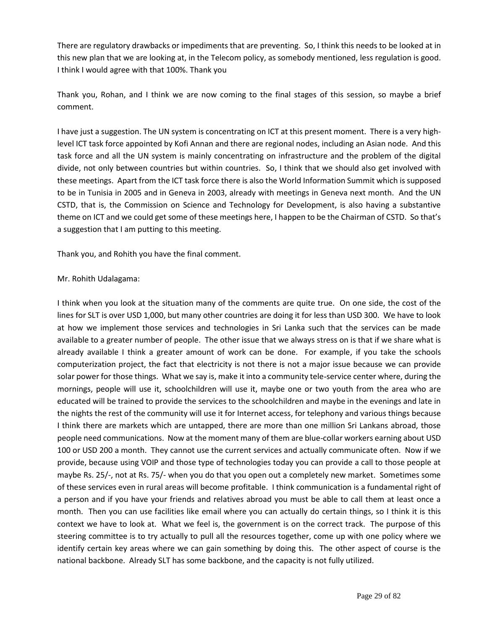There are regulatory drawbacks or impediments that are preventing. So, I think this needs to be looked at in this new plan that we are looking at, in the Telecom policy, as somebody mentioned, less regulation is good. I think I would agree with that 100%. Thank you

Thank you, Rohan, and I think we are now coming to the final stages of this session, so maybe a brief comment.

I have just a suggestion. The UN system is concentrating on ICT at this present moment. There is a very highlevel ICT task force appointed by Kofi Annan and there are regional nodes, including an Asian node. And this task force and all the UN system is mainly concentrating on infrastructure and the problem of the digital divide, not only between countries but within countries. So, I think that we should also get involved with these meetings. Apart from the ICT task force there is also the World Information Summit which is supposed to be in Tunisia in 2005 and in Geneva in 2003, already with meetings in Geneva next month. And the UN CSTD, that is, the Commission on Science and Technology for Development, is also having a substantive theme on ICT and we could get some of these meetings here, I happen to be the Chairman of CSTD. So that's a suggestion that I am putting to this meeting.

Thank you, and Rohith you have the final comment.

### Mr. Rohith Udalagama:

I think when you look at the situation many of the comments are quite true. On one side, the cost of the lines for SLT is over USD 1,000, but many other countries are doing it for less than USD 300. We have to look at how we implement those services and technologies in Sri Lanka such that the services can be made available to a greater number of people. The other issue that we always stress on is that if we share what is already available I think a greater amount of work can be done. For example, if you take the schools computerization project, the fact that electricity is not there is not a major issue because we can provide solar power for those things. What we say is, make it into a community tele-service center where, during the mornings, people will use it, schoolchildren will use it, maybe one or two youth from the area who are educated will be trained to provide the services to the schoolchildren and maybe in the evenings and late in the nights the rest of the community will use it for Internet access, for telephony and various things because I think there are markets which are untapped, there are more than one million Sri Lankans abroad, those people need communications. Now at the moment many of them are blue-collar workers earning about USD 100 or USD 200 a month. They cannot use the current services and actually communicate often. Now if we provide, because using VOIP and those type of technologies today you can provide a call to those people at maybe Rs. 25/-, not at Rs. 75/- when you do that you open out a completely new market. Sometimes some of these services even in rural areas will become profitable. I think communication is a fundamental right of a person and if you have your friends and relatives abroad you must be able to call them at least once a month. Then you can use facilities like email where you can actually do certain things, so I think it is this context we have to look at. What we feel is, the government is on the correct track. The purpose of this steering committee is to try actually to pull all the resources together, come up with one policy where we identify certain key areas where we can gain something by doing this. The other aspect of course is the national backbone. Already SLT has some backbone, and the capacity is not fully utilized.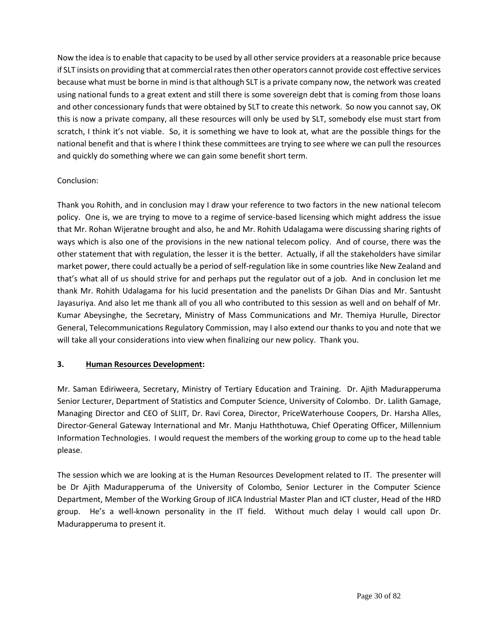Now the idea is to enable that capacity to be used by all other service providers at a reasonable price because if SLT insists on providing that at commercial rates then other operators cannot provide cost effective services because what must be borne in mind is that although SLT is a private company now, the network was created using national funds to a great extent and still there is some sovereign debt that is coming from those loans and other concessionary funds that were obtained by SLT to create this network. So now you cannot say, OK this is now a private company, all these resources will only be used by SLT, somebody else must start from scratch, I think it's not viable. So, it is something we have to look at, what are the possible things for the national benefit and that is where I think these committees are trying to see where we can pull the resources and quickly do something where we can gain some benefit short term.

## Conclusion:

Thank you Rohith, and in conclusion may I draw your reference to two factors in the new national telecom policy. One is, we are trying to move to a regime of service-based licensing which might address the issue that Mr. Rohan Wijeratne brought and also, he and Mr. Rohith Udalagama were discussing sharing rights of ways which is also one of the provisions in the new national telecom policy. And of course, there was the other statement that with regulation, the lesser it is the better. Actually, if all the stakeholders have similar market power, there could actually be a period of self-regulation like in some countries like New Zealand and that's what all of us should strive for and perhaps put the regulator out of a job. And in conclusion let me thank Mr. Rohith Udalagama for his lucid presentation and the panelists Dr Gihan Dias and Mr. Santusht Jayasuriya. And also let me thank all of you all who contributed to this session as well and on behalf of Mr. Kumar Abeysinghe, the Secretary, Ministry of Mass Communications and Mr. Themiya Hurulle, Director General, Telecommunications Regulatory Commission, may I also extend our thanks to you and note that we will take all your considerations into view when finalizing our new policy. Thank you.

# **3. Human Resources Development:**

Mr. Saman Ediriweera, Secretary, Ministry of Tertiary Education and Training. Dr. Ajith Madurapperuma Senior Lecturer, Department of Statistics and Computer Science, University of Colombo. Dr. Lalith Gamage, Managing Director and CEO of SLIIT, Dr. Ravi Corea, Director, PriceWaterhouse Coopers, Dr. Harsha Alles, Director-General Gateway International and Mr. Manju Haththotuwa, Chief Operating Officer, Millennium Information Technologies. I would request the members of the working group to come up to the head table please.

The session which we are looking at is the Human Resources Development related to IT. The presenter will be Dr Ajith Madurapperuma of the University of Colombo, Senior Lecturer in the Computer Science Department, Member of the Working Group of JICA Industrial Master Plan and ICT cluster, Head of the HRD group. He's a well-known personality in the IT field. Without much delay I would call upon Dr. Madurapperuma to present it.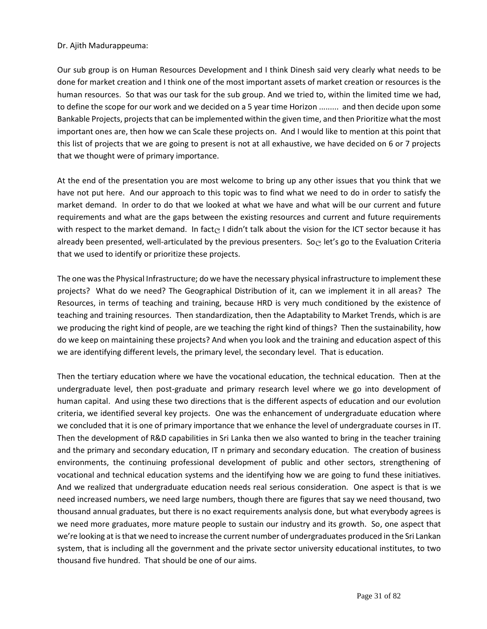#### Dr. Ajith Madurappeuma:

Our sub group is on Human Resources Development and I think Dinesh said very clearly what needs to be done for market creation and I think one of the most important assets of market creation or resources is the human resources. So that was our task for the sub group. And we tried to, within the limited time we had, to define the scope for our work and we decided on a 5 year time Horizon ......... and then decide upon some Bankable Projects, projects that can be implemented within the given time, and then Prioritize what the most important ones are, then how we can Scale these projects on. And I would like to mention at this point that this list of projects that we are going to present is not at all exhaustive, we have decided on 6 or 7 projects that we thought were of primary importance.

At the end of the presentation you are most welcome to bring up any other issues that you think that we have not put here. And our approach to this topic was to find what we need to do in order to satisfy the market demand. In order to do that we looked at what we have and what will be our current and future requirements and what are the gaps between the existing resources and current and future requirements with respect to the market demand. In fact  $\odot$  I didn't talk about the vision for the ICT sector because it has already been presented, well-articulated by the previous presenters. So elet's go to the Evaluation Criteria that we used to identify or prioritize these projects.

The one was the Physical Infrastructure; do we have the necessary physical infrastructure to implement these projects? What do we need? The Geographical Distribution of it, can we implement it in all areas? The Resources, in terms of teaching and training, because HRD is very much conditioned by the existence of teaching and training resources. Then standardization, then the Adaptability to Market Trends, which is are we producing the right kind of people, are we teaching the right kind of things? Then the sustainability, how do we keep on maintaining these projects? And when you look and the training and education aspect of this we are identifying different levels, the primary level, the secondary level. That is education.

Then the tertiary education where we have the vocational education, the technical education. Then at the undergraduate level, then post-graduate and primary research level where we go into development of human capital. And using these two directions that is the different aspects of education and our evolution criteria, we identified several key projects. One was the enhancement of undergraduate education where we concluded that it is one of primary importance that we enhance the level of undergraduate courses in IT. Then the development of R&D capabilities in Sri Lanka then we also wanted to bring in the teacher training and the primary and secondary education, IT n primary and secondary education. The creation of business environments, the continuing professional development of public and other sectors, strengthening of vocational and technical education systems and the identifying how we are going to fund these initiatives. And we realized that undergraduate education needs real serious consideration. One aspect is that is we need increased numbers, we need large numbers, though there are figures that say we need thousand, two thousand annual graduates, but there is no exact requirements analysis done, but what everybody agrees is we need more graduates, more mature people to sustain our industry and its growth. So, one aspect that we're looking at is that we need to increase the current number of undergraduates produced in the Sri Lankan system, that is including all the government and the private sector university educational institutes, to two thousand five hundred. That should be one of our aims.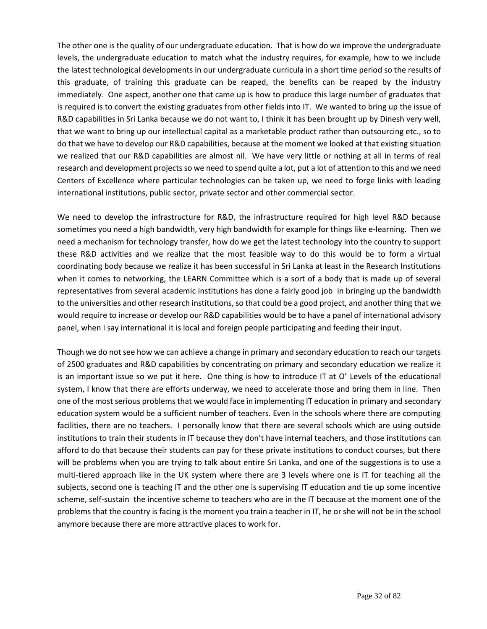The other one is the quality of our undergraduate education. That is how do we improve the undergraduate levels, the undergraduate education to match what the industry requires, for example, how to we include the latest technological developments in our undergraduate curricula in a short time period so the results of this graduate, of training this graduate can be reaped, the benefits can be reaped by the industry immediately. One aspect, another one that came up is how to produce this large number of graduates that is required is to convert the existing graduates from other fields into IT. We wanted to bring up the issue of R&D capabilities in Sri Lanka because we do not want to, I think it has been brought up by Dinesh very well, that we want to bring up our intellectual capital as a marketable product rather than outsourcing etc., so to do that we have to develop our R&D capabilities, because at the moment we looked at that existing situation we realized that our R&D capabilities are almost nil. We have very little or nothing at all in terms of real research and development projects so we need to spend quite a lot, put a lot of attention to this and we need Centers of Excellence where particular technologies can be taken up, we need to forge links with leading international institutions, public sector, private sector and other commercial sector.

We need to develop the infrastructure for R&D, the infrastructure required for high level R&D because sometimes you need a high bandwidth, very high bandwidth for example for things like e-learning. Then we need a mechanism for technology transfer, how do we get the latest technology into the country to support these R&D activities and we realize that the most feasible way to do this would be to form a virtual coordinating body because we realize it has been successful in Sri Lanka at least in the Research Institutions when it comes to networking, the LEARN Committee which is a sort of a body that is made up of several representatives from several academic institutions has done a fairly good job in bringing up the bandwidth to the universities and other research institutions, so that could be a good project, and another thing that we would require to increase or develop our R&D capabilities would be to have a panel of international advisory panel, when I say international it is local and foreign people participating and feeding their input.

Though we do not see how we can achieve a change in primary and secondary education to reach our targets of 2500 graduates and R&D capabilities by concentrating on primary and secondary education we realize it is an important issue so we put it here. One thing is how to introduce IT at O' Levels of the educational system, I know that there are efforts underway, we need to accelerate those and bring them in line. Then one of the most serious problems that we would face in implementing IT education in primary and secondary education system would be a sufficient number of teachers. Even in the schools where there are computing facilities, there are no teachers. I personally know that there are several schools which are using outside institutions to train their students in IT because they don't have internal teachers, and those institutions can afford to do that because their students can pay for these private institutions to conduct courses, but there will be problems when you are trying to talk about entire Sri Lanka, and one of the suggestions is to use a multi-tiered approach like in the UK system where there are 3 levels where one is IT for teaching all the subjects, second one is teaching IT and the other one is supervising IT education and tie up some incentive scheme, self-sustain the incentive scheme to teachers who are in the IT because at the moment one of the problems that the country is facing is the moment you train a teacher in IT, he or she will not be in the school anymore because there are more attractive places to work for.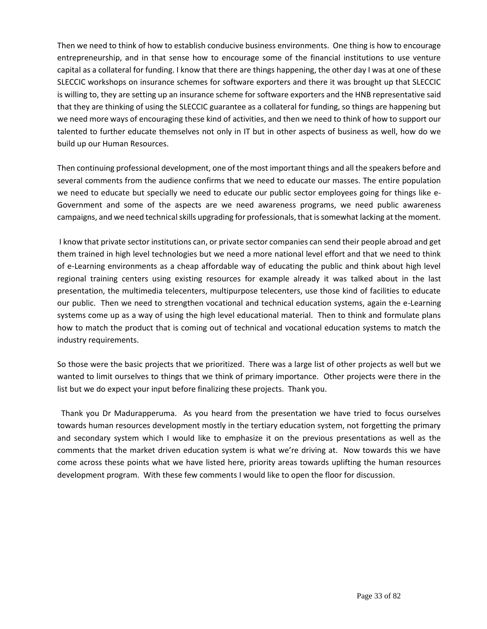Then we need to think of how to establish conducive business environments. One thing is how to encourage entrepreneurship, and in that sense how to encourage some of the financial institutions to use venture capital as a collateral for funding. I know that there are things happening, the other day I was at one of these SLECCIC workshops on insurance schemes for software exporters and there it was brought up that SLECCIC is willing to, they are setting up an insurance scheme for software exporters and the HNB representative said that they are thinking of using the SLECCIC guarantee as a collateral for funding, so things are happening but we need more ways of encouraging these kind of activities, and then we need to think of how to support our talented to further educate themselves not only in IT but in other aspects of business as well, how do we build up our Human Resources.

Then continuing professional development, one of the most important things and all the speakers before and several comments from the audience confirms that we need to educate our masses. The entire population we need to educate but specially we need to educate our public sector employees going for things like e-Government and some of the aspects are we need awareness programs, we need public awareness campaigns, and we need technical skills upgrading for professionals, that is somewhat lacking at the moment.

I know that private sector institutions can, or private sector companies can send their people abroad and get them trained in high level technologies but we need a more national level effort and that we need to think of e-Learning environments as a cheap affordable way of educating the public and think about high level regional training centers using existing resources for example already it was talked about in the last presentation, the multimedia telecenters, multipurpose telecenters, use those kind of facilities to educate our public. Then we need to strengthen vocational and technical education systems, again the e-Learning systems come up as a way of using the high level educational material. Then to think and formulate plans how to match the product that is coming out of technical and vocational education systems to match the industry requirements.

So those were the basic projects that we prioritized. There was a large list of other projects as well but we wanted to limit ourselves to things that we think of primary importance. Other projects were there in the list but we do expect your input before finalizing these projects. Thank you.

 Thank you Dr Madurapperuma. As you heard from the presentation we have tried to focus ourselves towards human resources development mostly in the tertiary education system, not forgetting the primary and secondary system which I would like to emphasize it on the previous presentations as well as the comments that the market driven education system is what we're driving at. Now towards this we have come across these points what we have listed here, priority areas towards uplifting the human resources development program. With these few comments I would like to open the floor for discussion.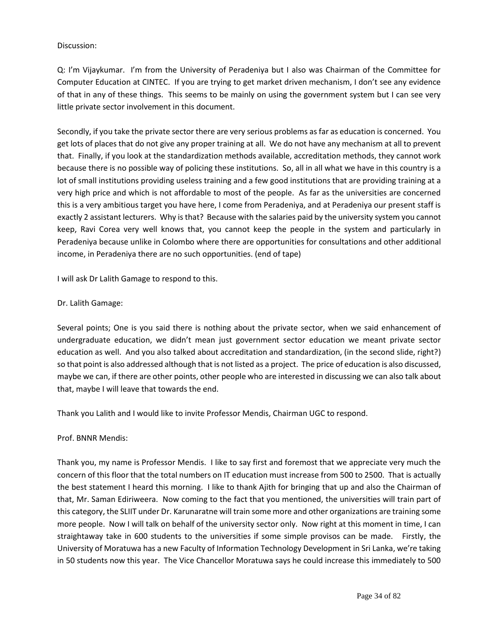### Discussion:

Q: I'm Vijaykumar. I'm from the University of Peradeniya but I also was Chairman of the Committee for Computer Education at CINTEC. If you are trying to get market driven mechanism, I don't see any evidence of that in any of these things. This seems to be mainly on using the government system but I can see very little private sector involvement in this document.

Secondly, if you take the private sector there are very serious problems as far as education is concerned. You get lots of places that do not give any proper training at all. We do not have any mechanism at all to prevent that. Finally, if you look at the standardization methods available, accreditation methods, they cannot work because there is no possible way of policing these institutions. So, all in all what we have in this country is a lot of small institutions providing useless training and a few good institutions that are providing training at a very high price and which is not affordable to most of the people. As far as the universities are concerned this is a very ambitious target you have here, I come from Peradeniya, and at Peradeniya our present staff is exactly 2 assistant lecturers. Why is that? Because with the salaries paid by the university system you cannot keep, Ravi Corea very well knows that, you cannot keep the people in the system and particularly in Peradeniya because unlike in Colombo where there are opportunities for consultations and other additional income, in Peradeniya there are no such opportunities. (end of tape)

I will ask Dr Lalith Gamage to respond to this.

#### Dr. Lalith Gamage:

Several points; One is you said there is nothing about the private sector, when we said enhancement of undergraduate education, we didn't mean just government sector education we meant private sector education as well. And you also talked about accreditation and standardization, (in the second slide, right?) so that point is also addressed although that is not listed as a project. The price of education is also discussed, maybe we can, if there are other points, other people who are interested in discussing we can also talk about that, maybe I will leave that towards the end.

Thank you Lalith and I would like to invite Professor Mendis, Chairman UGC to respond.

#### Prof. BNNR Mendis:

Thank you, my name is Professor Mendis. I like to say first and foremost that we appreciate very much the concern of this floor that the total numbers on IT education must increase from 500 to 2500. That is actually the best statement I heard this morning. I like to thank Ajith for bringing that up and also the Chairman of that, Mr. Saman Ediriweera. Now coming to the fact that you mentioned, the universities will train part of this category, the SLIIT under Dr. Karunaratne will train some more and other organizations are training some more people. Now I will talk on behalf of the university sector only. Now right at this moment in time, I can straightaway take in 600 students to the universities if some simple provisos can be made. Firstly, the University of Moratuwa has a new Faculty of Information Technology Development in Sri Lanka, we're taking in 50 students now this year. The Vice Chancellor Moratuwa says he could increase this immediately to 500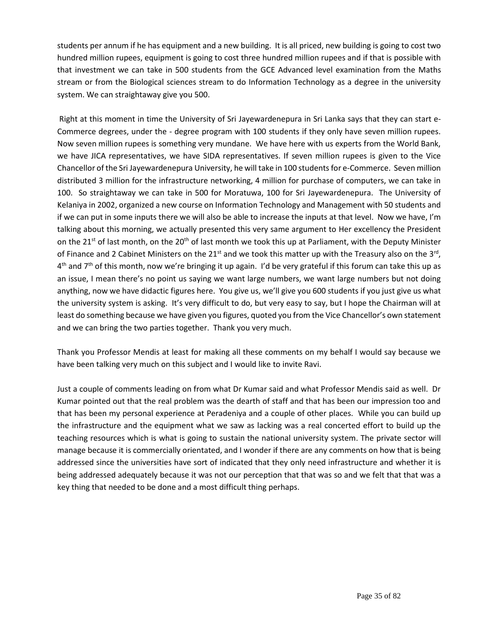students per annum if he has equipment and a new building. It is all priced, new building is going to cost two hundred million rupees, equipment is going to cost three hundred million rupees and if that is possible with that investment we can take in 500 students from the GCE Advanced level examination from the Maths stream or from the Biological sciences stream to do Information Technology as a degree in the university system. We can straightaway give you 500.

Right at this moment in time the University of Sri Jayewardenepura in Sri Lanka says that they can start e-Commerce degrees, under the - degree program with 100 students if they only have seven million rupees. Now seven million rupees is something very mundane. We have here with us experts from the World Bank, we have JICA representatives, we have SIDA representatives. If seven million rupees is given to the Vice Chancellor of the Sri Jayewardenepura University, he will take in 100 students for e-Commerce. Seven million distributed 3 million for the infrastructure networking, 4 million for purchase of computers, we can take in 100. So straightaway we can take in 500 for Moratuwa, 100 for Sri Jayewardenepura. The University of Kelaniya in 2002, organized a new course on Information Technology and Management with 50 students and if we can put in some inputs there we will also be able to increase the inputs at that level. Now we have, I'm talking about this morning, we actually presented this very same argument to Her excellency the President on the 21<sup>st</sup> of last month, on the 20<sup>th</sup> of last month we took this up at Parliament, with the Deputy Minister of Finance and 2 Cabinet Ministers on the 21<sup>st</sup> and we took this matter up with the Treasury also on the 3<sup>rd</sup>, 4<sup>th</sup> and 7<sup>th</sup> of this month, now we're bringing it up again. I'd be very grateful if this forum can take this up as an issue, I mean there's no point us saying we want large numbers, we want large numbers but not doing anything, now we have didactic figures here. You give us, we'll give you 600 students if you just give us what the university system is asking. It's very difficult to do, but very easy to say, but I hope the Chairman will at least do something because we have given you figures, quoted you from the Vice Chancellor's own statement and we can bring the two parties together. Thank you very much.

Thank you Professor Mendis at least for making all these comments on my behalf I would say because we have been talking very much on this subject and I would like to invite Ravi.

Just a couple of comments leading on from what Dr Kumar said and what Professor Mendis said as well. Dr Kumar pointed out that the real problem was the dearth of staff and that has been our impression too and that has been my personal experience at Peradeniya and a couple of other places. While you can build up the infrastructure and the equipment what we saw as lacking was a real concerted effort to build up the teaching resources which is what is going to sustain the national university system. The private sector will manage because it is commercially orientated, and I wonder if there are any comments on how that is being addressed since the universities have sort of indicated that they only need infrastructure and whether it is being addressed adequately because it was not our perception that that was so and we felt that that was a key thing that needed to be done and a most difficult thing perhaps.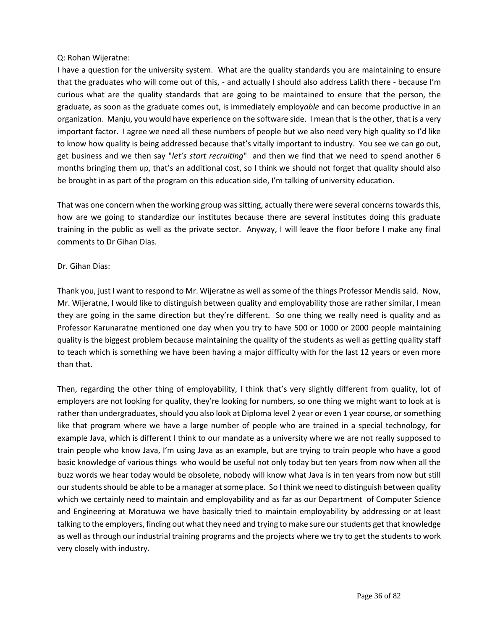### Q: Rohan Wijeratne:

I have a question for the university system. What are the quality standards you are maintaining to ensure that the graduates who will come out of this, - and actually I should also address Lalith there - because I'm curious what are the quality standards that are going to be maintained to ensure that the person, the graduate, as soon as the graduate comes out, is immediately employ*able* and can become productive in an organization. Manju, you would have experience on the software side. I mean that is the other, that is a very important factor. I agree we need all these numbers of people but we also need very high quality so I'd like to know how quality is being addressed because that's vitally important to industry. You see we can go out, get business and we then say "*let's start recruiting*" and then we find that we need to spend another 6 months bringing them up, that's an additional cost, so I think we should not forget that quality should also be brought in as part of the program on this education side, I'm talking of university education.

That was one concern when the working group was sitting, actually there were several concerns towards this, how are we going to standardize our institutes because there are several institutes doing this graduate training in the public as well as the private sector. Anyway, I will leave the floor before I make any final comments to Dr Gihan Dias.

### Dr. Gihan Dias:

Thank you, just I want to respond to Mr. Wijeratne as well as some of the things Professor Mendis said. Now, Mr. Wijeratne, I would like to distinguish between quality and employability those are rather similar, I mean they are going in the same direction but they're different. So one thing we really need is quality and as Professor Karunaratne mentioned one day when you try to have 500 or 1000 or 2000 people maintaining quality is the biggest problem because maintaining the quality of the students as well as getting quality staff to teach which is something we have been having a major difficulty with for the last 12 years or even more than that.

Then, regarding the other thing of employability, I think that's very slightly different from quality, lot of employers are not looking for quality, they're looking for numbers, so one thing we might want to look at is rather than undergraduates, should you also look at Diploma level 2 year or even 1 year course, or something like that program where we have a large number of people who are trained in a special technology, for example Java, which is different I think to our mandate as a university where we are not really supposed to train people who know Java, I'm using Java as an example, but are trying to train people who have a good basic knowledge of various things who would be useful not only today but ten years from now when all the buzz words we hear today would be obsolete, nobody will know what Java is in ten years from now but still our students should be able to be a manager at some place. So I think we need to distinguish between quality which we certainly need to maintain and employability and as far as our Department of Computer Science and Engineering at Moratuwa we have basically tried to maintain employability by addressing or at least talking to the employers, finding out what they need and trying to make sure our students get that knowledge as well as through our industrial training programs and the projects where we try to get the students to work very closely with industry.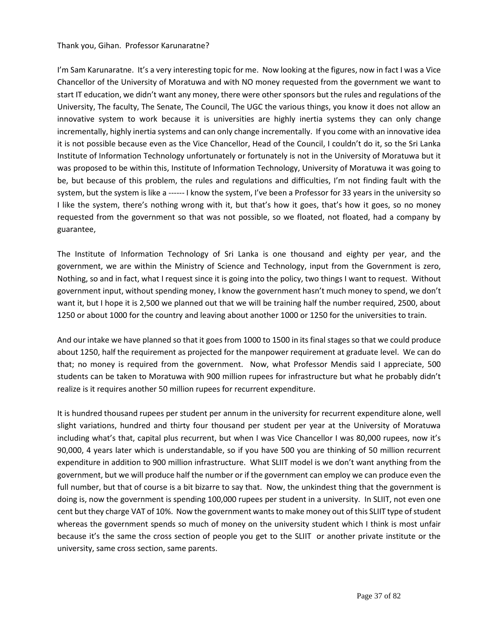#### Thank you, Gihan. Professor Karunaratne?

I'm Sam Karunaratne. It's a very interesting topic for me. Now looking at the figures, now in fact I was a Vice Chancellor of the University of Moratuwa and with NO money requested from the government we want to start IT education, we didn't want any money, there were other sponsors but the rules and regulations of the University, The faculty, The Senate, The Council, The UGC the various things, you know it does not allow an innovative system to work because it is universities are highly inertia systems they can only change incrementally, highly inertia systems and can only change incrementally. If you come with an innovative idea it is not possible because even as the Vice Chancellor, Head of the Council, I couldn't do it, so the Sri Lanka Institute of Information Technology unfortunately or fortunately is not in the University of Moratuwa but it was proposed to be within this, Institute of Information Technology, University of Moratuwa it was going to be, but because of this problem, the rules and regulations and difficulties, I'm not finding fault with the system, but the system is like a ------ I know the system, I've been a Professor for 33 years in the university so I like the system, there's nothing wrong with it, but that's how it goes, that's how it goes, so no money requested from the government so that was not possible, so we floated, not floated, had a company by guarantee,

The Institute of Information Technology of Sri Lanka is one thousand and eighty per year, and the government, we are within the Ministry of Science and Technology, input from the Government is zero, Nothing, so and in fact, what I request since it is going into the policy, two things I want to request. Without government input, without spending money, I know the government hasn't much money to spend, we don't want it, but I hope it is 2,500 we planned out that we will be training half the number required, 2500, about 1250 or about 1000 for the country and leaving about another 1000 or 1250 for the universities to train.

And our intake we have planned so that it goes from 1000 to 1500 in its final stages so that we could produce about 1250, half the requirement as projected for the manpower requirement at graduate level. We can do that; no money is required from the government. Now, what Professor Mendis said I appreciate, 500 students can be taken to Moratuwa with 900 million rupees for infrastructure but what he probably didn't realize is it requires another 50 million rupees for recurrent expenditure.

It is hundred thousand rupees per student per annum in the university for recurrent expenditure alone, well slight variations, hundred and thirty four thousand per student per year at the University of Moratuwa including what's that, capital plus recurrent, but when I was Vice Chancellor I was 80,000 rupees, now it's 90,000, 4 years later which is understandable, so if you have 500 you are thinking of 50 million recurrent expenditure in addition to 900 million infrastructure. What SLIIT model is we don't want anything from the government, but we will produce half the number or if the government can employ we can produce even the full number, but that of course is a bit bizarre to say that. Now, the unkindest thing that the government is doing is, now the government is spending 100,000 rupees per student in a university. In SLIIT, not even one cent but they charge VAT of 10%. Now the government wants to make money out of this SLIIT type of student whereas the government spends so much of money on the university student which I think is most unfair because it's the same the cross section of people you get to the SLIIT or another private institute or the university, same cross section, same parents.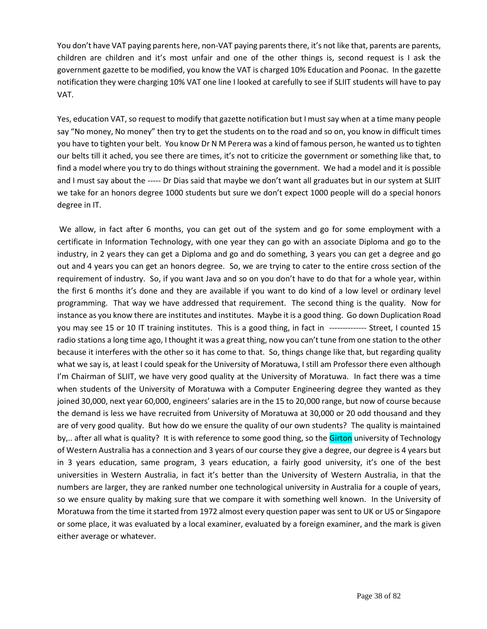You don't have VAT paying parents here, non-VAT paying parents there, it's not like that, parents are parents, children are children and it's most unfair and one of the other things is, second request is I ask the government gazette to be modified, you know the VAT is charged 10% Education and Poonac. In the gazette notification they were charging 10% VAT one line I looked at carefully to see if SLIIT students will have to pay VAT.

Yes, education VAT, so request to modify that gazette notification but I must say when at a time many people say "No money, No money" then try to get the students on to the road and so on, you know in difficult times you have to tighten your belt. You know Dr N M Perera was a kind of famous person, he wanted us to tighten our belts till it ached, you see there are times, it's not to criticize the government or something like that, to find a model where you try to do things without straining the government. We had a model and it is possible and I must say about the ----- Dr Dias said that maybe we don't want all graduates but in our system at SLIIT we take for an honors degree 1000 students but sure we don't expect 1000 people will do a special honors degree in IT.

We allow, in fact after 6 months, you can get out of the system and go for some employment with a certificate in Information Technology, with one year they can go with an associate Diploma and go to the industry, in 2 years they can get a Diploma and go and do something, 3 years you can get a degree and go out and 4 years you can get an honors degree. So, we are trying to cater to the entire cross section of the requirement of industry. So, if you want Java and so on you don't have to do that for a whole year, within the first 6 months it's done and they are available if you want to do kind of a low level or ordinary level programming. That way we have addressed that requirement. The second thing is the quality. Now for instance as you know there are institutes and institutes. Maybe it is a good thing. Go down Duplication Road you may see 15 or 10 IT training institutes. This is a good thing, in fact in -------------- Street, I counted 15 radio stations a long time ago, I thought it was a great thing, now you can't tune from one station to the other because it interferes with the other so it has come to that. So, things change like that, but regarding quality what we say is, at least I could speak for the University of Moratuwa, I still am Professor there even although I'm Chairman of SLIIT, we have very good quality at the University of Moratuwa. In fact there was a time when students of the University of Moratuwa with a Computer Engineering degree they wanted as they joined 30,000, next year 60,000, engineers' salaries are in the 15 to 20,000 range, but now of course because the demand is less we have recruited from University of Moratuwa at 30,000 or 20 odd thousand and they are of very good quality. But how do we ensure the quality of our own students? The quality is maintained by,.. after all what is quality? It is with reference to some good thing, so the Girton university of Technology of Western Australia has a connection and 3 years of our course they give a degree, our degree is 4 years but in 3 years education, same program, 3 years education, a fairly good university, it's one of the best universities in Western Australia, in fact it's better than the University of Western Australia, in that the numbers are larger, they are ranked number one technological university in Australia for a couple of years, so we ensure quality by making sure that we compare it with something well known. In the University of Moratuwa from the time it started from 1972 almost every question paper was sent to UK or US or Singapore or some place, it was evaluated by a local examiner, evaluated by a foreign examiner, and the mark is given either average or whatever.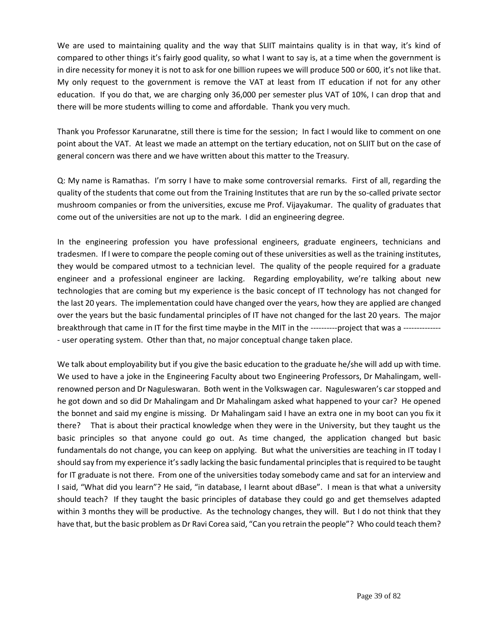We are used to maintaining quality and the way that SLIIT maintains quality is in that way, it's kind of compared to other things it's fairly good quality, so what I want to say is, at a time when the government is in dire necessity for money it is not to ask for one billion rupees we will produce 500 or 600, it's not like that. My only request to the government is remove the VAT at least from IT education if not for any other education. If you do that, we are charging only 36,000 per semester plus VAT of 10%, I can drop that and there will be more students willing to come and affordable. Thank you very much.

Thank you Professor Karunaratne, still there is time for the session; In fact I would like to comment on one point about the VAT. At least we made an attempt on the tertiary education, not on SLIIT but on the case of general concern was there and we have written about this matter to the Treasury.

Q: My name is Ramathas. I'm sorry I have to make some controversial remarks. First of all, regarding the quality of the students that come out from the Training Institutes that are run by the so-called private sector mushroom companies or from the universities, excuse me Prof. Vijayakumar. The quality of graduates that come out of the universities are not up to the mark. I did an engineering degree.

In the engineering profession you have professional engineers, graduate engineers, technicians and tradesmen. If I were to compare the people coming out of these universities as well as the training institutes, they would be compared utmost to a technician level. The quality of the people required for a graduate engineer and a professional engineer are lacking. Regarding employability, we're talking about new technologies that are coming but my experience is the basic concept of IT technology has not changed for the last 20 years. The implementation could have changed over the years, how they are applied are changed over the years but the basic fundamental principles of IT have not changed for the last 20 years. The major breakthrough that came in IT for the first time maybe in the MIT in the ----------project that was a -------------- user operating system. Other than that, no major conceptual change taken place.

We talk about employability but if you give the basic education to the graduate he/she will add up with time. We used to have a joke in the Engineering Faculty about two Engineering Professors, Dr Mahalingam, wellrenowned person and Dr Naguleswaran. Both went in the Volkswagen car. Naguleswaren's car stopped and he got down and so did Dr Mahalingam and Dr Mahalingam asked what happened to your car? He opened the bonnet and said my engine is missing. Dr Mahalingam said I have an extra one in my boot can you fix it there? That is about their practical knowledge when they were in the University, but they taught us the basic principles so that anyone could go out. As time changed, the application changed but basic fundamentals do not change, you can keep on applying. But what the universities are teaching in IT today I should say from my experience it's sadly lacking the basic fundamental principles that is required to be taught for IT graduate is not there. From one of the universities today somebody came and sat for an interview and I said, "What did you learn"? He said, "in database, I learnt about dBase". I mean is that what a university should teach? If they taught the basic principles of database they could go and get themselves adapted within 3 months they will be productive. As the technology changes, they will. But I do not think that they have that, but the basic problem as Dr Ravi Corea said, "Can you retrain the people"? Who could teach them?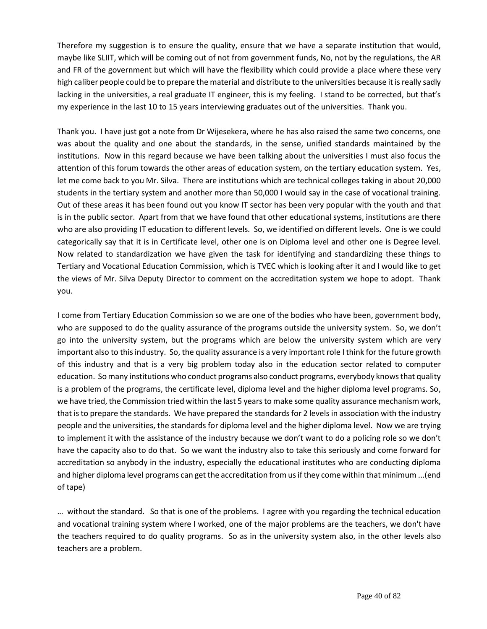Therefore my suggestion is to ensure the quality, ensure that we have a separate institution that would, maybe like SLIIT, which will be coming out of not from government funds, No, not by the regulations, the AR and FR of the government but which will have the flexibility which could provide a place where these very high caliber people could be to prepare the material and distribute to the universities because it is really sadly lacking in the universities, a real graduate IT engineer, this is my feeling. I stand to be corrected, but that's my experience in the last 10 to 15 years interviewing graduates out of the universities. Thank you.

Thank you. I have just got a note from Dr Wijesekera, where he has also raised the same two concerns, one was about the quality and one about the standards, in the sense, unified standards maintained by the institutions. Now in this regard because we have been talking about the universities I must also focus the attention of this forum towards the other areas of education system, on the tertiary education system. Yes, let me come back to you Mr. Silva. There are institutions which are technical colleges taking in about 20,000 students in the tertiary system and another more than 50,000 I would say in the case of vocational training. Out of these areas it has been found out you know IT sector has been very popular with the youth and that is in the public sector. Apart from that we have found that other educational systems, institutions are there who are also providing IT education to different levels. So, we identified on different levels. One is we could categorically say that it is in Certificate level, other one is on Diploma level and other one is Degree level. Now related to standardization we have given the task for identifying and standardizing these things to Tertiary and Vocational Education Commission, which is TVEC which is looking after it and I would like to get the views of Mr. Silva Deputy Director to comment on the accreditation system we hope to adopt. Thank you.

I come from Tertiary Education Commission so we are one of the bodies who have been, government body, who are supposed to do the quality assurance of the programs outside the university system. So, we don't go into the university system, but the programs which are below the university system which are very important also to this industry. So, the quality assurance is a very important role I think for the future growth of this industry and that is a very big problem today also in the education sector related to computer education. So many institutions who conduct programs also conduct programs, everybody knows that quality is a problem of the programs, the certificate level, diploma level and the higher diploma level programs. So, we have tried, the Commission tried within the last 5 years to make some quality assurance mechanism work, that is to prepare the standards. We have prepared the standards for 2 levels in association with the industry people and the universities, the standards for diploma level and the higher diploma level. Now we are trying to implement it with the assistance of the industry because we don't want to do a policing role so we don't have the capacity also to do that. So we want the industry also to take this seriously and come forward for accreditation so anybody in the industry, especially the educational institutes who are conducting diploma and higher diploma level programs can get the accreditation from us if they come within that minimum ...(end of tape)

… without the standard. So that is one of the problems. I agree with you regarding the technical education and vocational training system where I worked, one of the major problems are the teachers, we don't have the teachers required to do quality programs. So as in the university system also, in the other levels also teachers are a problem.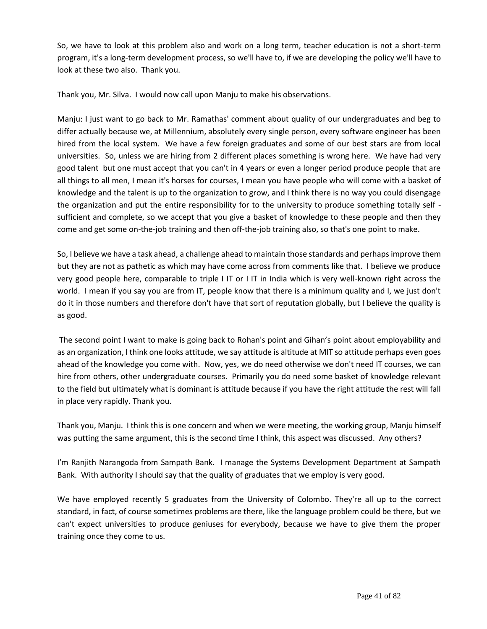So, we have to look at this problem also and work on a long term, teacher education is not a short-term program, it's a long-term development process, so we'll have to, if we are developing the policy we'll have to look at these two also. Thank you.

Thank you, Mr. Silva. I would now call upon Manju to make his observations.

Manju: I just want to go back to Mr. Ramathas' comment about quality of our undergraduates and beg to differ actually because we, at Millennium, absolutely every single person, every software engineer has been hired from the local system. We have a few foreign graduates and some of our best stars are from local universities. So, unless we are hiring from 2 different places something is wrong here. We have had very good talent but one must accept that you can't in 4 years or even a longer period produce people that are all things to all men, I mean it's horses for courses, I mean you have people who will come with a basket of knowledge and the talent is up to the organization to grow, and I think there is no way you could disengage the organization and put the entire responsibility for to the university to produce something totally self sufficient and complete, so we accept that you give a basket of knowledge to these people and then they come and get some on-the-job training and then off-the-job training also, so that's one point to make.

So, I believe we have a task ahead, a challenge ahead to maintain those standards and perhaps improve them but they are not as pathetic as which may have come across from comments like that. I believe we produce very good people here, comparable to triple I IT or I IT in India which is very well-known right across the world. I mean if you say you are from IT, people know that there is a minimum quality and I, we just don't do it in those numbers and therefore don't have that sort of reputation globally, but I believe the quality is as good.

The second point I want to make is going back to Rohan's point and Gihan's point about employability and as an organization, I think one looks attitude, we say attitude is altitude at MIT so attitude perhaps even goes ahead of the knowledge you come with. Now, yes, we do need otherwise we don't need IT courses, we can hire from others, other undergraduate courses. Primarily you do need some basket of knowledge relevant to the field but ultimately what is dominant is attitude because if you have the right attitude the rest will fall in place very rapidly. Thank you.

Thank you, Manju. I think this is one concern and when we were meeting, the working group, Manju himself was putting the same argument, this is the second time I think, this aspect was discussed. Any others?

I'm Ranjith Narangoda from Sampath Bank. I manage the Systems Development Department at Sampath Bank. With authority I should say that the quality of graduates that we employ is very good.

We have employed recently 5 graduates from the University of Colombo. They're all up to the correct standard, in fact, of course sometimes problems are there, like the language problem could be there, but we can't expect universities to produce geniuses for everybody, because we have to give them the proper training once they come to us.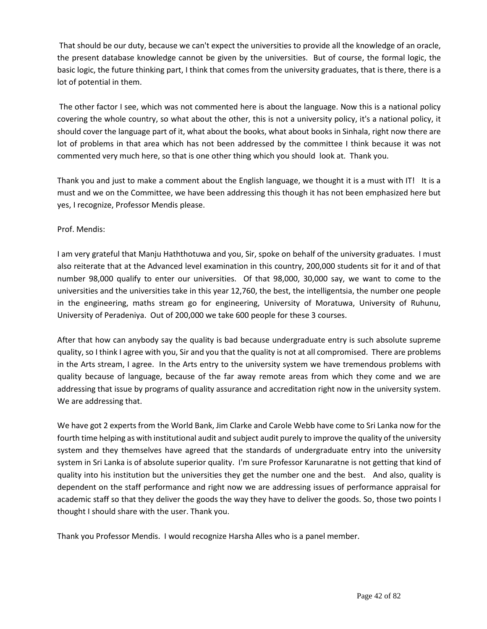That should be our duty, because we can't expect the universities to provide all the knowledge of an oracle, the present database knowledge cannot be given by the universities. But of course, the formal logic, the basic logic, the future thinking part, I think that comes from the university graduates, that is there, there is a lot of potential in them.

The other factor I see, which was not commented here is about the language. Now this is a national policy covering the whole country, so what about the other, this is not a university policy, it's a national policy, it should cover the language part of it, what about the books, what about books in Sinhala, right now there are lot of problems in that area which has not been addressed by the committee I think because it was not commented very much here, so that is one other thing which you should look at. Thank you.

Thank you and just to make a comment about the English language, we thought it is a must with IT! It is a must and we on the Committee, we have been addressing this though it has not been emphasized here but yes, I recognize, Professor Mendis please.

# Prof. Mendis:

I am very grateful that Manju Haththotuwa and you, Sir, spoke on behalf of the university graduates. I must also reiterate that at the Advanced level examination in this country, 200,000 students sit for it and of that number 98,000 qualify to enter our universities. Of that 98,000, 30,000 say, we want to come to the universities and the universities take in this year 12,760, the best, the intelligentsia, the number one people in the engineering, maths stream go for engineering, University of Moratuwa, University of Ruhunu, University of Peradeniya. Out of 200,000 we take 600 people for these 3 courses.

After that how can anybody say the quality is bad because undergraduate entry is such absolute supreme quality, so I think I agree with you, Sir and you that the quality is not at all compromised. There are problems in the Arts stream, I agree. In the Arts entry to the university system we have tremendous problems with quality because of language, because of the far away remote areas from which they come and we are addressing that issue by programs of quality assurance and accreditation right now in the university system. We are addressing that.

We have got 2 experts from the World Bank, Jim Clarke and Carole Webb have come to Sri Lanka now for the fourth time helping as with institutional audit and subject audit purely to improve the quality of the university system and they themselves have agreed that the standards of undergraduate entry into the university system in Sri Lanka is of absolute superior quality. I'm sure Professor Karunaratne is not getting that kind of quality into his institution but the universities they get the number one and the best. And also, quality is dependent on the staff performance and right now we are addressing issues of performance appraisal for academic staff so that they deliver the goods the way they have to deliver the goods. So, those two points I thought I should share with the user. Thank you.

Thank you Professor Mendis. I would recognize Harsha Alles who is a panel member.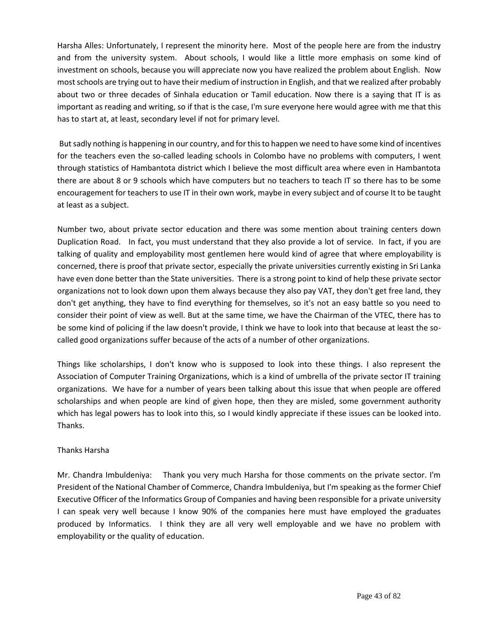Harsha Alles: Unfortunately, I represent the minority here. Most of the people here are from the industry and from the university system. About schools, I would like a little more emphasis on some kind of investment on schools, because you will appreciate now you have realized the problem about English. Now most schools are trying out to have their medium of instruction in English, and that we realized after probably about two or three decades of Sinhala education or Tamil education. Now there is a saying that IT is as important as reading and writing, so if that is the case, I'm sure everyone here would agree with me that this has to start at, at least, secondary level if not for primary level.

But sadly nothing is happening in our country, and for this to happen we need to have some kind of incentives for the teachers even the so-called leading schools in Colombo have no problems with computers, I went through statistics of Hambantota district which I believe the most difficult area where even in Hambantota there are about 8 or 9 schools which have computers but no teachers to teach IT so there has to be some encouragement for teachers to use IT in their own work, maybe in every subject and of course It to be taught at least as a subject.

Number two, about private sector education and there was some mention about training centers down Duplication Road. In fact, you must understand that they also provide a lot of service. In fact, if you are talking of quality and employability most gentlemen here would kind of agree that where employability is concerned, there is proof that private sector, especially the private universities currently existing in Sri Lanka have even done better than the State universities. There is a strong point to kind of help these private sector organizations not to look down upon them always because they also pay VAT, they don't get free land, they don't get anything, they have to find everything for themselves, so it's not an easy battle so you need to consider their point of view as well. But at the same time, we have the Chairman of the VTEC, there has to be some kind of policing if the law doesn't provide, I think we have to look into that because at least the socalled good organizations suffer because of the acts of a number of other organizations.

Things like scholarships, I don't know who is supposed to look into these things. I also represent the Association of Computer Training Organizations, which is a kind of umbrella of the private sector IT training organizations. We have for a number of years been talking about this issue that when people are offered scholarships and when people are kind of given hope, then they are misled, some government authority which has legal powers has to look into this, so I would kindly appreciate if these issues can be looked into. Thanks.

## Thanks Harsha

Mr. Chandra Imbuldeniya: Thank you very much Harsha for those comments on the private sector. I'm President of the National Chamber of Commerce, Chandra Imbuldeniya, but I'm speaking as the former Chief Executive Officer of the Informatics Group of Companies and having been responsible for a private university I can speak very well because I know 90% of the companies here must have employed the graduates produced by Informatics. I think they are all very well employable and we have no problem with employability or the quality of education.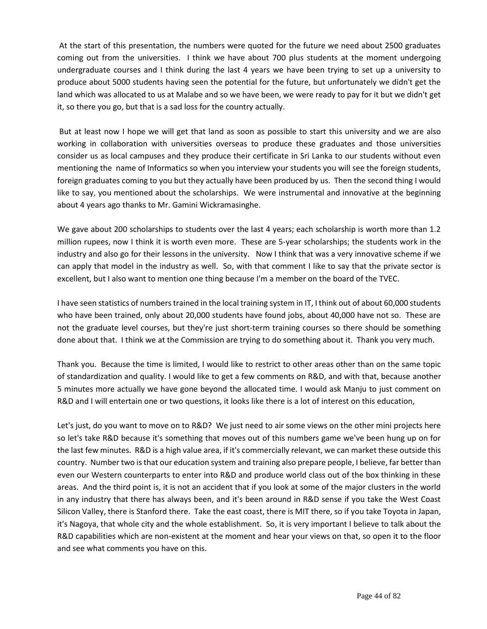At the start of this presentation, the numbers were quoted for the future we need about 2500 graduates coming out from the universities. I think we have about 700 plus students at the moment undergoing undergraduate courses and I think during the last 4 years we have been trying to set up a university to produce about 5000 students having seen the potential for the future, but unfortunately we didn't get the land which was allocated to us at Malabe and so we have been, we were ready to pay for it but we didn't get it, so there you go, but that is a sad loss for the country actually.

But at least now I hope we will get that land as soon as possible to start this university and we are also working in collaboration with universities overseas to produce these graduates and those universities consider us as local campuses and they produce their certificate in Sri Lanka to our students without even mentioning the name of Informatics so when you interview your students you will see the foreign students, foreign graduates coming to you but they actually have been produced by us. Then the second thing I would like to say, you mentioned about the scholarships. We were instrumental and innovative at the beginning about 4 years ago thanks to Mr. Gamini Wickramasinghe.

We gave about 200 scholarships to students over the last 4 years; each scholarship is worth more than 1.2 million rupees, now I think it is worth even more. These are 5-year scholarships; the students work in the industry and also go for their lessons in the university. Now I think that was a very innovative scheme if we can apply that model in the industry as well. So, with that comment I like to say that the private sector is excellent, but I also want to mention one thing because I'm a member on the board of the TVEC.

I have seen statistics of numbers trained in the local training system in IT, I think out of about 60,000 students who have been trained, only about 20,000 students have found jobs, about 40,000 have not so. These are not the graduate level courses, but they're just short-term training courses so there should be something done about that. I think we at the Commission are trying to do something about it. Thank you very much.

Thank you. Because the time is limited, I would like to restrict to other areas other than on the same topic of standardization and quality. I would like to get a few comments on R&D, and with that, because another 5 minutes more actually we have gone beyond the allocated time. I would ask Manju to just comment on R&D and I will entertain one or two questions, it looks like there is a lot of interest on this education,

Let's just, do you want to move on to R&D? We just need to air some views on the other mini projects here so let's take R&D because it's something that moves out of this numbers game we've been hung up on for the last few minutes. R&D is a high value area, if it's commercially relevant, we can market these outside this country. Number two is that our education system and training also prepare people, I believe, far better than even our Western counterparts to enter into R&D and produce world class out of the box thinking in these areas. And the third point is, it is not an accident that if you look at some of the major clusters in the world in any industry that there has always been, and it's been around in R&D sense if you take the West Coast Silicon Valley, there is Stanford there. Take the east coast, there is MIT there, so if you take Toyota in Japan, it's Nagoya, that whole city and the whole establishment. So, it is very important I believe to talk about the R&D capabilities which are non-existent at the moment and hear your views on that, so open it to the floor and see what comments you have on this.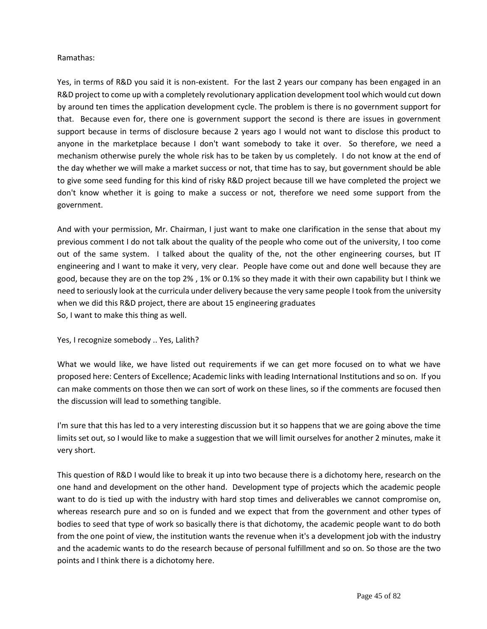### Ramathas:

Yes, in terms of R&D you said it is non-existent. For the last 2 years our company has been engaged in an R&D project to come up with a completely revolutionary application development tool which would cut down by around ten times the application development cycle. The problem is there is no government support for that. Because even for, there one is government support the second is there are issues in government support because in terms of disclosure because 2 years ago I would not want to disclose this product to anyone in the marketplace because I don't want somebody to take it over. So therefore, we need a mechanism otherwise purely the whole risk has to be taken by us completely. I do not know at the end of the day whether we will make a market success or not, that time has to say, but government should be able to give some seed funding for this kind of risky R&D project because till we have completed the project we don't know whether it is going to make a success or not, therefore we need some support from the government.

And with your permission, Mr. Chairman, I just want to make one clarification in the sense that about my previous comment I do not talk about the quality of the people who come out of the university, I too come out of the same system. I talked about the quality of the, not the other engineering courses, but IT engineering and I want to make it very, very clear. People have come out and done well because they are good, because they are on the top 2% , 1% or 0.1% so they made it with their own capability but I think we need to seriously look at the curricula under delivery because the very same people I took from the university when we did this R&D project, there are about 15 engineering graduates So, I want to make this thing as well.

Yes, I recognize somebody .. Yes, Lalith?

What we would like, we have listed out requirements if we can get more focused on to what we have proposed here: Centers of Excellence; Academic links with leading International Institutions and so on. If you can make comments on those then we can sort of work on these lines, so if the comments are focused then the discussion will lead to something tangible.

I'm sure that this has led to a very interesting discussion but it so happens that we are going above the time limits set out, so I would like to make a suggestion that we will limit ourselves for another 2 minutes, make it very short.

This question of R&D I would like to break it up into two because there is a dichotomy here, research on the one hand and development on the other hand. Development type of projects which the academic people want to do is tied up with the industry with hard stop times and deliverables we cannot compromise on, whereas research pure and so on is funded and we expect that from the government and other types of bodies to seed that type of work so basically there is that dichotomy, the academic people want to do both from the one point of view, the institution wants the revenue when it's a development job with the industry and the academic wants to do the research because of personal fulfillment and so on. So those are the two points and I think there is a dichotomy here.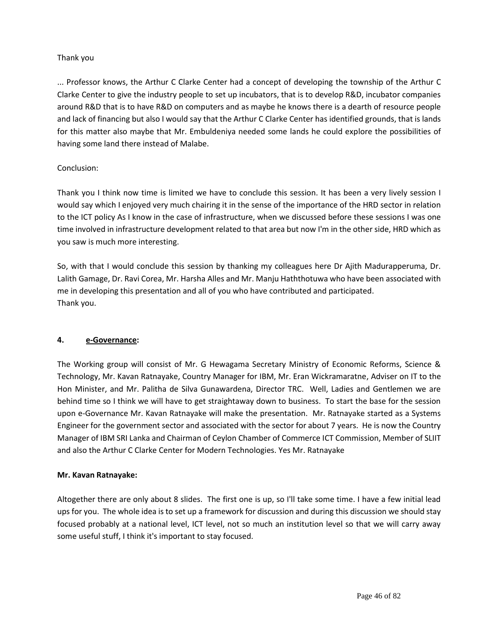## Thank you

... Professor knows, the Arthur C Clarke Center had a concept of developing the township of the Arthur C Clarke Center to give the industry people to set up incubators, that is to develop R&D, incubator companies around R&D that is to have R&D on computers and as maybe he knows there is a dearth of resource people and lack of financing but also I would say that the Arthur C Clarke Center has identified grounds, that is lands for this matter also maybe that Mr. Embuldeniya needed some lands he could explore the possibilities of having some land there instead of Malabe.

# Conclusion:

Thank you I think now time is limited we have to conclude this session. It has been a very lively session I would say which I enjoyed very much chairing it in the sense of the importance of the HRD sector in relation to the ICT policy As I know in the case of infrastructure, when we discussed before these sessions I was one time involved in infrastructure development related to that area but now I'm in the other side, HRD which as you saw is much more interesting.

So, with that I would conclude this session by thanking my colleagues here Dr Ajith Madurapperuma, Dr. Lalith Gamage, Dr. Ravi Corea, Mr. Harsha Alles and Mr. Manju Haththotuwa who have been associated with me in developing this presentation and all of you who have contributed and participated. Thank you.

## **4. e-Governance:**

The Working group will consist of Mr. G Hewagama Secretary Ministry of Economic Reforms, Science & Technology, Mr. Kavan Ratnayake, Country Manager for IBM, Mr. Eran Wickramaratne, Adviser on IT to the Hon Minister, and Mr. Palitha de Silva Gunawardena, Director TRC. Well, Ladies and Gentlemen we are behind time so I think we will have to get straightaway down to business. To start the base for the session upon e-Governance Mr. Kavan Ratnayake will make the presentation. Mr. Ratnayake started as a Systems Engineer for the government sector and associated with the sector for about 7 years. He is now the Country Manager of IBM SRI Lanka and Chairman of Ceylon Chamber of Commerce ICT Commission, Member of SLIIT and also the Arthur C Clarke Center for Modern Technologies. Yes Mr. Ratnayake

## **Mr. Kavan Ratnayake:**

Altogether there are only about 8 slides. The first one is up, so I'll take some time. I have a few initial lead ups for you. The whole idea is to set up a framework for discussion and during this discussion we should stay focused probably at a national level, ICT level, not so much an institution level so that we will carry away some useful stuff, I think it's important to stay focused.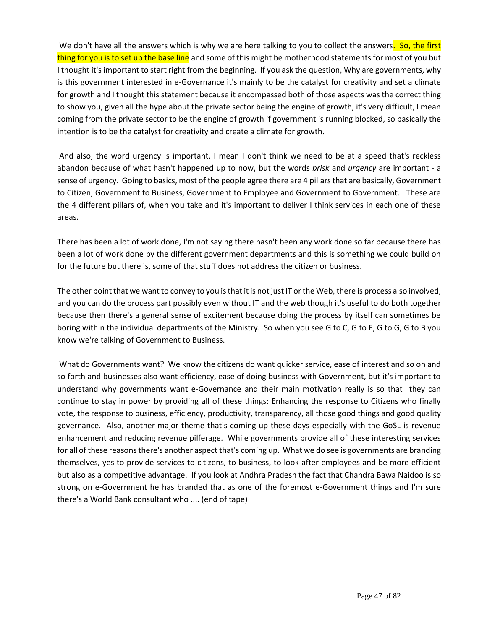We don't have all the answers which is why we are here talking to you to collect the answers. So, the first thing for you is to set up the base line and some of this might be motherhood statements for most of you but I thought it's important to start right from the beginning. If you ask the question, Why are governments, why is this government interested in e-Governance it's mainly to be the catalyst for creativity and set a climate for growth and I thought this statement because it encompassed both of those aspects was the correct thing to show you, given all the hype about the private sector being the engine of growth, it's very difficult, I mean coming from the private sector to be the engine of growth if government is running blocked, so basically the intention is to be the catalyst for creativity and create a climate for growth.

And also, the word urgency is important, I mean I don't think we need to be at a speed that's reckless abandon because of what hasn't happened up to now, but the words *brisk* and *urgency* are important - a sense of urgency. Going to basics, most of the people agree there are 4 pillars that are basically, Government to Citizen, Government to Business, Government to Employee and Government to Government. These are the 4 different pillars of, when you take and it's important to deliver I think services in each one of these areas.

There has been a lot of work done, I'm not saying there hasn't been any work done so far because there has been a lot of work done by the different government departments and this is something we could build on for the future but there is, some of that stuff does not address the citizen or business.

The other point that we want to convey to you is that it is not just IT or the Web, there is process also involved, and you can do the process part possibly even without IT and the web though it's useful to do both together because then there's a general sense of excitement because doing the process by itself can sometimes be boring within the individual departments of the Ministry. So when you see G to C, G to E, G to G, G to B you know we're talking of Government to Business.

What do Governments want? We know the citizens do want quicker service, ease of interest and so on and so forth and businesses also want efficiency, ease of doing business with Government, but it's important to understand why governments want e-Governance and their main motivation really is so that they can continue to stay in power by providing all of these things: Enhancing the response to Citizens who finally vote, the response to business, efficiency, productivity, transparency, all those good things and good quality governance. Also, another major theme that's coming up these days especially with the GoSL is revenue enhancement and reducing revenue pilferage. While governments provide all of these interesting services for all of these reasons there's another aspect that's coming up. What we do see is governments are branding themselves, yes to provide services to citizens, to business, to look after employees and be more efficient but also as a competitive advantage. If you look at Andhra Pradesh the fact that Chandra Bawa Naidoo is so strong on e-Government he has branded that as one of the foremost e-Government things and I'm sure there's a World Bank consultant who .... (end of tape)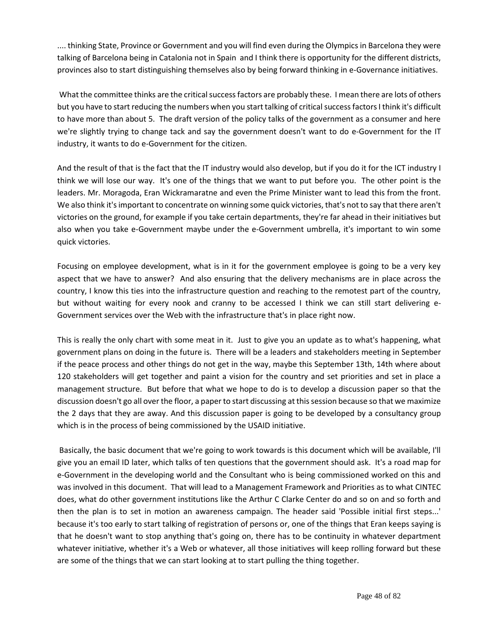.... thinking State, Province or Government and you will find even during the Olympics in Barcelona they were talking of Barcelona being in Catalonia not in Spain and I think there is opportunity for the different districts, provinces also to start distinguishing themselves also by being forward thinking in e-Governance initiatives.

What the committee thinks are the critical success factors are probably these. I mean there are lots of others but you have to start reducing the numbers when you start talking of critical success factors I think it's difficult to have more than about 5. The draft version of the policy talks of the government as a consumer and here we're slightly trying to change tack and say the government doesn't want to do e-Government for the IT industry, it wants to do e-Government for the citizen.

And the result of that is the fact that the IT industry would also develop, but if you do it for the ICT industry I think we will lose our way. It's one of the things that we want to put before you. The other point is the leaders. Mr. Moragoda, Eran Wickramaratne and even the Prime Minister want to lead this from the front. We also think it's important to concentrate on winning some quick victories, that's not to say that there aren't victories on the ground, for example if you take certain departments, they're far ahead in their initiatives but also when you take e-Government maybe under the e-Government umbrella, it's important to win some quick victories.

Focusing on employee development, what is in it for the government employee is going to be a very key aspect that we have to answer? And also ensuring that the delivery mechanisms are in place across the country, I know this ties into the infrastructure question and reaching to the remotest part of the country, but without waiting for every nook and cranny to be accessed I think we can still start delivering e-Government services over the Web with the infrastructure that's in place right now.

This is really the only chart with some meat in it. Just to give you an update as to what's happening, what government plans on doing in the future is. There will be a leaders and stakeholders meeting in September if the peace process and other things do not get in the way, maybe this September 13th, 14th where about 120 stakeholders will get together and paint a vision for the country and set priorities and set in place a management structure. But before that what we hope to do is to develop a discussion paper so that the discussion doesn't go all over the floor, a paper to start discussing at this session because so that we maximize the 2 days that they are away. And this discussion paper is going to be developed by a consultancy group which is in the process of being commissioned by the USAID initiative.

Basically, the basic document that we're going to work towards is this document which will be available, I'll give you an email ID later, which talks of ten questions that the government should ask. It's a road map for e-Government in the developing world and the Consultant who is being commissioned worked on this and was involved in this document. That will lead to a Management Framework and Priorities as to what CINTEC does, what do other government institutions like the Arthur C Clarke Center do and so on and so forth and then the plan is to set in motion an awareness campaign. The header said 'Possible initial first steps...' because it's too early to start talking of registration of persons or, one of the things that Eran keeps saying is that he doesn't want to stop anything that's going on, there has to be continuity in whatever department whatever initiative, whether it's a Web or whatever, all those initiatives will keep rolling forward but these are some of the things that we can start looking at to start pulling the thing together.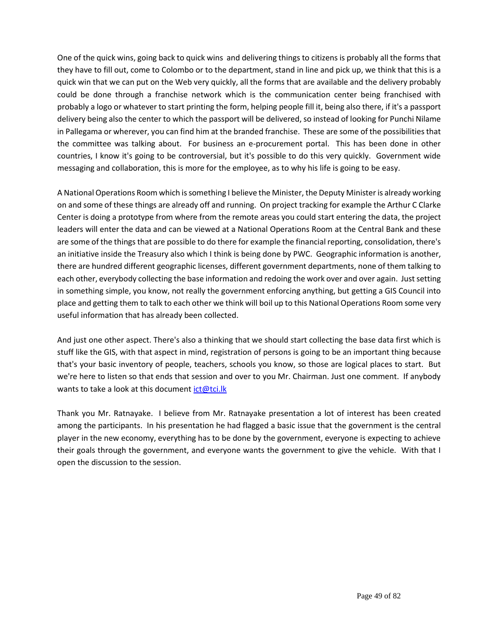One of the quick wins, going back to quick wins and delivering things to citizens is probably all the forms that they have to fill out, come to Colombo or to the department, stand in line and pick up, we think that this is a quick win that we can put on the Web very quickly, all the forms that are available and the delivery probably could be done through a franchise network which is the communication center being franchised with probably a logo or whatever to start printing the form, helping people fill it, being also there, if it's a passport delivery being also the center to which the passport will be delivered, so instead of looking for Punchi Nilame in Pallegama or wherever, you can find him at the branded franchise. These are some of the possibilities that the committee was talking about. For business an e-procurement portal. This has been done in other countries, I know it's going to be controversial, but it's possible to do this very quickly. Government wide messaging and collaboration, this is more for the employee, as to why his life is going to be easy.

A National Operations Room which is something I believe the Minister, the Deputy Minister is already working on and some of these things are already off and running. On project tracking for example the Arthur C Clarke Center is doing a prototype from where from the remote areas you could start entering the data, the project leaders will enter the data and can be viewed at a National Operations Room at the Central Bank and these are some of the things that are possible to do there for example the financial reporting, consolidation, there's an initiative inside the Treasury also which I think is being done by PWC. Geographic information is another, there are hundred different geographic licenses, different government departments, none of them talking to each other, everybody collecting the base information and redoing the work over and over again. Just setting in something simple, you know, not really the government enforcing anything, but getting a GIS Council into place and getting them to talk to each other we think will boil up to this National Operations Room some very useful information that has already been collected.

And just one other aspect. There's also a thinking that we should start collecting the base data first which is stuff like the GIS, with that aspect in mind, registration of persons is going to be an important thing because that's your basic inventory of people, teachers, schools you know, so those are logical places to start. But we're here to listen so that ends that session and over to you Mr. Chairman. Just one comment. If anybody wants to take a look at this document  $ict@tci.lk$ 

Thank you Mr. Ratnayake. I believe from Mr. Ratnayake presentation a lot of interest has been created among the participants. In his presentation he had flagged a basic issue that the government is the central player in the new economy, everything has to be done by the government, everyone is expecting to achieve their goals through the government, and everyone wants the government to give the vehicle. With that I open the discussion to the session.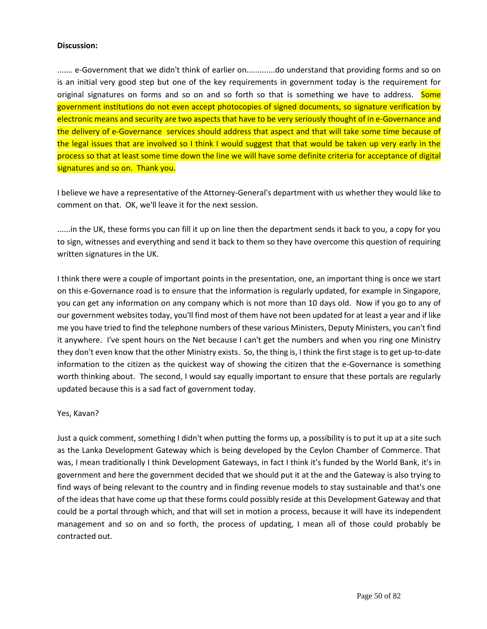### **Discussion:**

....... e-Government that we didn't think of earlier on.............do understand that providing forms and so on is an initial very good step but one of the key requirements in government today is the requirement for original signatures on forms and so on and so forth so that is something we have to address. Some government institutions do not even accept photocopies of signed documents, so signature verification by electronic means and security are two aspects that have to be very seriously thought of in e-Governance and the delivery of e-Governance services should address that aspect and that will take some time because of the legal issues that are involved so I think I would suggest that that would be taken up very early in the process so that at least some time down the line we will have some definite criteria for acceptance of digital signatures and so on. Thank you.

I believe we have a representative of the Attorney-General's department with us whether they would like to comment on that. OK, we'll leave it for the next session.

......in the UK, these forms you can fill it up on line then the department sends it back to you, a copy for you to sign, witnesses and everything and send it back to them so they have overcome this question of requiring written signatures in the UK.

I think there were a couple of important points in the presentation, one, an important thing is once we start on this e-Governance road is to ensure that the information is regularly updated, for example in Singapore, you can get any information on any company which is not more than 10 days old. Now if you go to any of our government websites today, you'll find most of them have not been updated for at least a year and if like me you have tried to find the telephone numbers of these various Ministers, Deputy Ministers, you can't find it anywhere. I've spent hours on the Net because I can't get the numbers and when you ring one Ministry they don't even know that the other Ministry exists. So, the thing is, I think the first stage is to get up-to-date information to the citizen as the quickest way of showing the citizen that the e-Governance is something worth thinking about. The second, I would say equally important to ensure that these portals are regularly updated because this is a sad fact of government today.

## Yes, Kavan?

Just a quick comment, something I didn't when putting the forms up, a possibility is to put it up at a site such as the Lanka Development Gateway which is being developed by the Ceylon Chamber of Commerce. That was, I mean traditionally I think Development Gateways, in fact I think it's funded by the World Bank, it's in government and here the government decided that we should put it at the and the Gateway is also trying to find ways of being relevant to the country and in finding revenue models to stay sustainable and that's one of the ideas that have come up that these forms could possibly reside at this Development Gateway and that could be a portal through which, and that will set in motion a process, because it will have its independent management and so on and so forth, the process of updating, I mean all of those could probably be contracted out.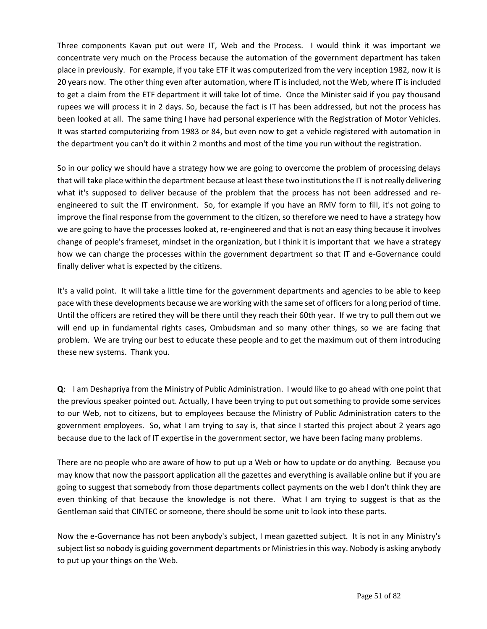Three components Kavan put out were IT, Web and the Process. I would think it was important we concentrate very much on the Process because the automation of the government department has taken place in previously. For example, if you take ETF it was computerized from the very inception 1982, now it is 20 years now. The other thing even after automation, where IT is included, not the Web, where IT is included to get a claim from the ETF department it will take lot of time. Once the Minister said if you pay thousand rupees we will process it in 2 days. So, because the fact is IT has been addressed, but not the process has been looked at all. The same thing I have had personal experience with the Registration of Motor Vehicles. It was started computerizing from 1983 or 84, but even now to get a vehicle registered with automation in the department you can't do it within 2 months and most of the time you run without the registration.

So in our policy we should have a strategy how we are going to overcome the problem of processing delays that will take place within the department because at least these two institutions the IT is not really delivering what it's supposed to deliver because of the problem that the process has not been addressed and reengineered to suit the IT environment. So, for example if you have an RMV form to fill, it's not going to improve the final response from the government to the citizen, so therefore we need to have a strategy how we are going to have the processes looked at, re-engineered and that is not an easy thing because it involves change of people's frameset, mindset in the organization, but I think it is important that we have a strategy how we can change the processes within the government department so that IT and e-Governance could finally deliver what is expected by the citizens.

It's a valid point. It will take a little time for the government departments and agencies to be able to keep pace with these developments because we are working with the same set of officers for a long period of time. Until the officers are retired they will be there until they reach their 60th year. If we try to pull them out we will end up in fundamental rights cases, Ombudsman and so many other things, so we are facing that problem. We are trying our best to educate these people and to get the maximum out of them introducing these new systems. Thank you.

**Q**: I am Deshapriya from the Ministry of Public Administration. I would like to go ahead with one point that the previous speaker pointed out. Actually, I have been trying to put out something to provide some services to our Web, not to citizens, but to employees because the Ministry of Public Administration caters to the government employees. So, what I am trying to say is, that since I started this project about 2 years ago because due to the lack of IT expertise in the government sector, we have been facing many problems.

There are no people who are aware of how to put up a Web or how to update or do anything. Because you may know that now the passport application all the gazettes and everything is available online but if you are going to suggest that somebody from those departments collect payments on the web I don't think they are even thinking of that because the knowledge is not there. What I am trying to suggest is that as the Gentleman said that CINTEC or someone, there should be some unit to look into these parts.

Now the e-Governance has not been anybody's subject, I mean gazetted subject. It is not in any Ministry's subject list so nobody is guiding government departments or Ministries in this way. Nobody is asking anybody to put up your things on the Web.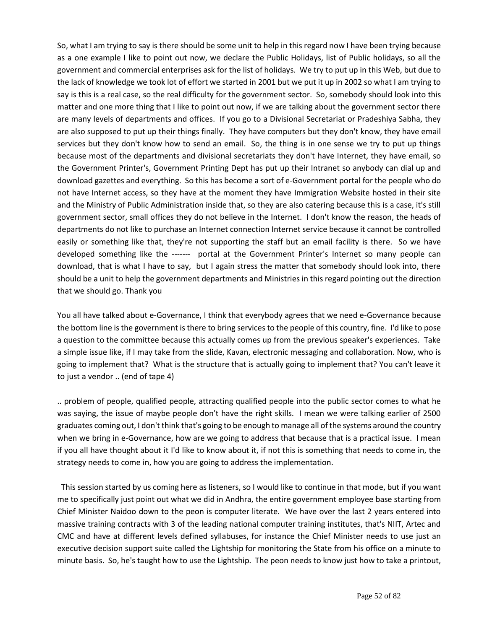So, what I am trying to say is there should be some unit to help in this regard now I have been trying because as a one example I like to point out now, we declare the Public Holidays, list of Public holidays, so all the government and commercial enterprises ask for the list of holidays. We try to put up in this Web, but due to the lack of knowledge we took lot of effort we started in 2001 but we put it up in 2002 so what I am trying to say is this is a real case, so the real difficulty for the government sector. So, somebody should look into this matter and one more thing that I like to point out now, if we are talking about the government sector there are many levels of departments and offices. If you go to a Divisional Secretariat or Pradeshiya Sabha, they are also supposed to put up their things finally. They have computers but they don't know, they have email services but they don't know how to send an email. So, the thing is in one sense we try to put up things because most of the departments and divisional secretariats they don't have Internet, they have email, so the Government Printer's, Government Printing Dept has put up their Intranet so anybody can dial up and download gazettes and everything. So this has become a sort of e-Government portal for the people who do not have Internet access, so they have at the moment they have Immigration Website hosted in their site and the Ministry of Public Administration inside that, so they are also catering because this is a case, it's still government sector, small offices they do not believe in the Internet. I don't know the reason, the heads of departments do not like to purchase an Internet connection Internet service because it cannot be controlled easily or something like that, they're not supporting the staff but an email facility is there. So we have developed something like the ------- portal at the Government Printer's Internet so many people can download, that is what I have to say, but I again stress the matter that somebody should look into, there should be a unit to help the government departments and Ministries in this regard pointing out the direction that we should go. Thank you

You all have talked about e-Governance, I think that everybody agrees that we need e-Governance because the bottom line is the government is there to bring services to the people of this country, fine. I'd like to pose a question to the committee because this actually comes up from the previous speaker's experiences. Take a simple issue like, if I may take from the slide, Kavan, electronic messaging and collaboration. Now, who is going to implement that? What is the structure that is actually going to implement that? You can't leave it to just a vendor .. (end of tape 4)

.. problem of people, qualified people, attracting qualified people into the public sector comes to what he was saying, the issue of maybe people don't have the right skills. I mean we were talking earlier of 2500 graduates coming out, I don't think that's going to be enough to manage all of the systems around the country when we bring in e-Governance, how are we going to address that because that is a practical issue. I mean if you all have thought about it I'd like to know about it, if not this is something that needs to come in, the strategy needs to come in, how you are going to address the implementation.

 This session started by us coming here as listeners, so I would like to continue in that mode, but if you want me to specifically just point out what we did in Andhra, the entire government employee base starting from Chief Minister Naidoo down to the peon is computer literate. We have over the last 2 years entered into massive training contracts with 3 of the leading national computer training institutes, that's NIIT, Artec and CMC and have at different levels defined syllabuses, for instance the Chief Minister needs to use just an executive decision support suite called the Lightship for monitoring the State from his office on a minute to minute basis. So, he's taught how to use the Lightship. The peon needs to know just how to take a printout,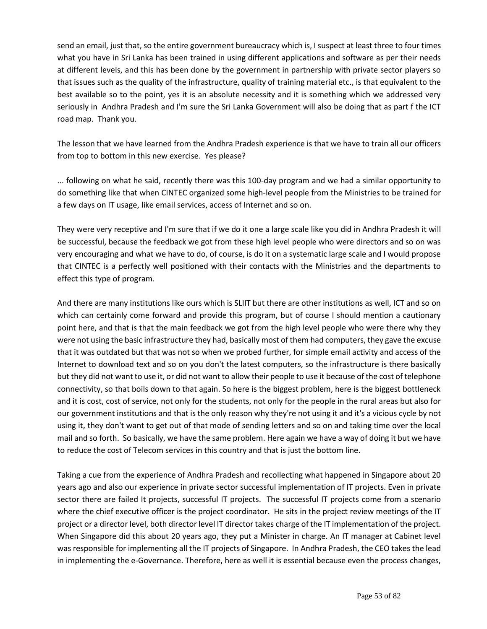send an email, just that, so the entire government bureaucracy which is, I suspect at least three to four times what you have in Sri Lanka has been trained in using different applications and software as per their needs at different levels, and this has been done by the government in partnership with private sector players so that issues such as the quality of the infrastructure, quality of training material etc., is that equivalent to the best available so to the point, yes it is an absolute necessity and it is something which we addressed very seriously in Andhra Pradesh and I'm sure the Sri Lanka Government will also be doing that as part f the ICT road map. Thank you.

The lesson that we have learned from the Andhra Pradesh experience is that we have to train all our officers from top to bottom in this new exercise. Yes please?

... following on what he said, recently there was this 100-day program and we had a similar opportunity to do something like that when CINTEC organized some high-level people from the Ministries to be trained for a few days on IT usage, like email services, access of Internet and so on.

They were very receptive and I'm sure that if we do it one a large scale like you did in Andhra Pradesh it will be successful, because the feedback we got from these high level people who were directors and so on was very encouraging and what we have to do, of course, is do it on a systematic large scale and I would propose that CINTEC is a perfectly well positioned with their contacts with the Ministries and the departments to effect this type of program.

And there are many institutions like ours which is SLIIT but there are other institutions as well, ICT and so on which can certainly come forward and provide this program, but of course I should mention a cautionary point here, and that is that the main feedback we got from the high level people who were there why they were not using the basic infrastructure they had, basically most of them had computers, they gave the excuse that it was outdated but that was not so when we probed further, for simple email activity and access of the Internet to download text and so on you don't the latest computers, so the infrastructure is there basically but they did not want to use it, or did not want to allow their people to use it because of the cost of telephone connectivity, so that boils down to that again. So here is the biggest problem, here is the biggest bottleneck and it is cost, cost of service, not only for the students, not only for the people in the rural areas but also for our government institutions and that is the only reason why they're not using it and it's a vicious cycle by not using it, they don't want to get out of that mode of sending letters and so on and taking time over the local mail and so forth. So basically, we have the same problem. Here again we have a way of doing it but we have to reduce the cost of Telecom services in this country and that is just the bottom line.

Taking a cue from the experience of Andhra Pradesh and recollecting what happened in Singapore about 20 years ago and also our experience in private sector successful implementation of IT projects. Even in private sector there are failed It projects, successful IT projects. The successful IT projects come from a scenario where the chief executive officer is the project coordinator. He sits in the project review meetings of the IT project or a director level, both director level IT director takes charge of the IT implementation of the project. When Singapore did this about 20 years ago, they put a Minister in charge. An IT manager at Cabinet level was responsible for implementing all the IT projects of Singapore. In Andhra Pradesh, the CEO takes the lead in implementing the e-Governance. Therefore, here as well it is essential because even the process changes,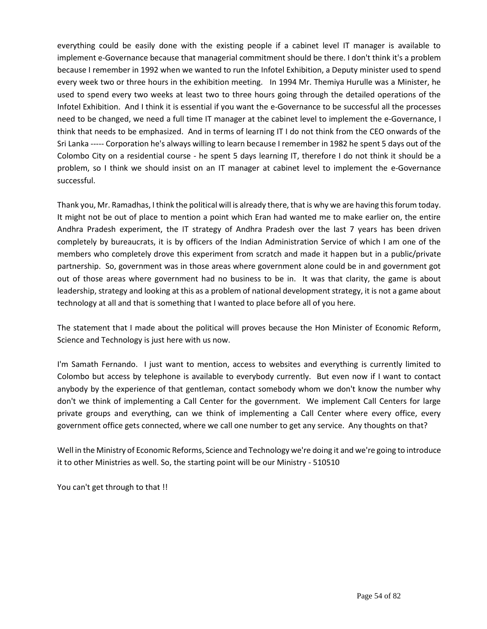everything could be easily done with the existing people if a cabinet level IT manager is available to implement e-Governance because that managerial commitment should be there. I don't think it's a problem because I remember in 1992 when we wanted to run the Infotel Exhibition, a Deputy minister used to spend every week two or three hours in the exhibition meeting. In 1994 Mr. Themiya Hurulle was a Minister, he used to spend every two weeks at least two to three hours going through the detailed operations of the Infotel Exhibition. And I think it is essential if you want the e-Governance to be successful all the processes need to be changed, we need a full time IT manager at the cabinet level to implement the e-Governance, I think that needs to be emphasized. And in terms of learning IT I do not think from the CEO onwards of the Sri Lanka ----- Corporation he's always willing to learn because I remember in 1982 he spent 5 days out of the Colombo City on a residential course - he spent 5 days learning IT, therefore I do not think it should be a problem, so I think we should insist on an IT manager at cabinet level to implement the e-Governance successful.

Thank you, Mr. Ramadhas, I think the political will is already there, that is why we are having this forum today. It might not be out of place to mention a point which Eran had wanted me to make earlier on, the entire Andhra Pradesh experiment, the IT strategy of Andhra Pradesh over the last 7 years has been driven completely by bureaucrats, it is by officers of the Indian Administration Service of which I am one of the members who completely drove this experiment from scratch and made it happen but in a public/private partnership. So, government was in those areas where government alone could be in and government got out of those areas where government had no business to be in. It was that clarity, the game is about leadership, strategy and looking at this as a problem of national development strategy, it is not a game about technology at all and that is something that I wanted to place before all of you here.

The statement that I made about the political will proves because the Hon Minister of Economic Reform, Science and Technology is just here with us now.

I'm Samath Fernando. I just want to mention, access to websites and everything is currently limited to Colombo but access by telephone is available to everybody currently. But even now if I want to contact anybody by the experience of that gentleman, contact somebody whom we don't know the number why don't we think of implementing a Call Center for the government. We implement Call Centers for large private groups and everything, can we think of implementing a Call Center where every office, every government office gets connected, where we call one number to get any service. Any thoughts on that?

Well in the Ministry of Economic Reforms, Science and Technology we're doing it and we're going to introduce it to other Ministries as well. So, the starting point will be our Ministry - 510510

You can't get through to that !!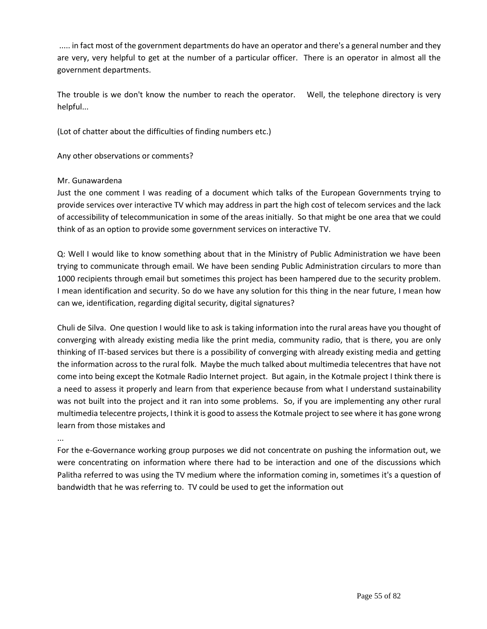..... in fact most of the government departments do have an operator and there's a general number and they are very, very helpful to get at the number of a particular officer. There is an operator in almost all the government departments.

The trouble is we don't know the number to reach the operator. Well, the telephone directory is very helpful...

(Lot of chatter about the difficulties of finding numbers etc.)

Any other observations or comments?

# Mr. Gunawardena

Just the one comment I was reading of a document which talks of the European Governments trying to provide services over interactive TV which may address in part the high cost of telecom services and the lack of accessibility of telecommunication in some of the areas initially. So that might be one area that we could think of as an option to provide some government services on interactive TV.

Q: Well I would like to know something about that in the Ministry of Public Administration we have been trying to communicate through email. We have been sending Public Administration circulars to more than 1000 recipients through email but sometimes this project has been hampered due to the security problem. I mean identification and security. So do we have any solution for this thing in the near future, I mean how can we, identification, regarding digital security, digital signatures?

Chuli de Silva. One question I would like to ask is taking information into the rural areas have you thought of converging with already existing media like the print media, community radio, that is there, you are only thinking of IT-based services but there is a possibility of converging with already existing media and getting the information across to the rural folk. Maybe the much talked about multimedia telecentres that have not come into being except the Kotmale Radio Internet project. But again, in the Kotmale project I think there is a need to assess it properly and learn from that experience because from what I understand sustainability was not built into the project and it ran into some problems. So, if you are implementing any other rural multimedia telecentre projects, I think it is good to assess the Kotmale project to see where it has gone wrong learn from those mistakes and

...

For the e-Governance working group purposes we did not concentrate on pushing the information out, we were concentrating on information where there had to be interaction and one of the discussions which Palitha referred to was using the TV medium where the information coming in, sometimes it's a question of bandwidth that he was referring to. TV could be used to get the information out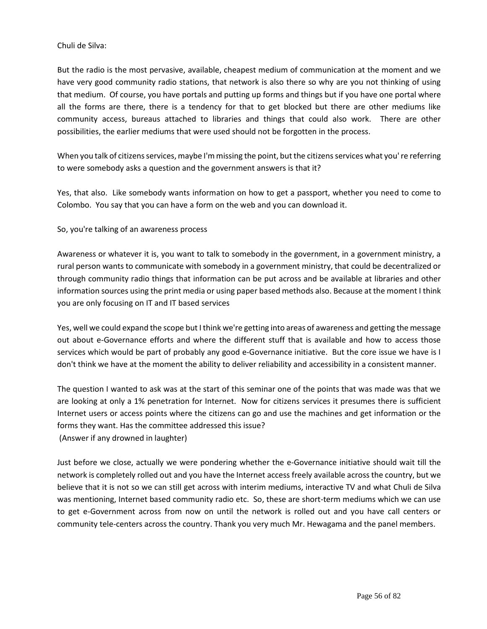### Chuli de Silva:

But the radio is the most pervasive, available, cheapest medium of communication at the moment and we have very good community radio stations, that network is also there so why are you not thinking of using that medium. Of course, you have portals and putting up forms and things but if you have one portal where all the forms are there, there is a tendency for that to get blocked but there are other mediums like community access, bureaus attached to libraries and things that could also work. There are other possibilities, the earlier mediums that were used should not be forgotten in the process.

When you talk of citizens services, maybe I'm missing the point, but the citizens services what you' re referring to were somebody asks a question and the government answers is that it?

Yes, that also. Like somebody wants information on how to get a passport, whether you need to come to Colombo. You say that you can have a form on the web and you can download it.

## So, you're talking of an awareness process

Awareness or whatever it is, you want to talk to somebody in the government, in a government ministry, a rural person wants to communicate with somebody in a government ministry, that could be decentralized or through community radio things that information can be put across and be available at libraries and other information sources using the print media or using paper based methods also. Because at the moment I think you are only focusing on IT and IT based services

Yes, well we could expand the scope but I think we're getting into areas of awareness and getting the message out about e-Governance efforts and where the different stuff that is available and how to access those services which would be part of probably any good e-Governance initiative. But the core issue we have is I don't think we have at the moment the ability to deliver reliability and accessibility in a consistent manner.

The question I wanted to ask was at the start of this seminar one of the points that was made was that we are looking at only a 1% penetration for Internet. Now for citizens services it presumes there is sufficient Internet users or access points where the citizens can go and use the machines and get information or the forms they want. Has the committee addressed this issue?

(Answer if any drowned in laughter)

Just before we close, actually we were pondering whether the e-Governance initiative should wait till the network is completely rolled out and you have the Internet access freely available across the country, but we believe that it is not so we can still get across with interim mediums, interactive TV and what Chuli de Silva was mentioning, Internet based community radio etc. So, these are short-term mediums which we can use to get e-Government across from now on until the network is rolled out and you have call centers or community tele-centers across the country. Thank you very much Mr. Hewagama and the panel members.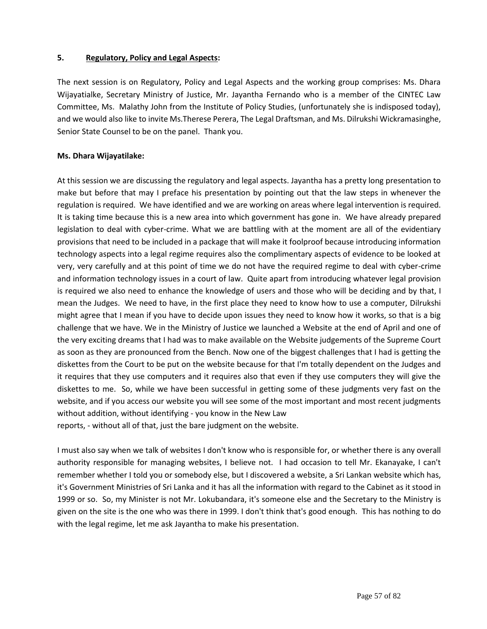# **5. Regulatory, Policy and Legal Aspects:**

The next session is on Regulatory, Policy and Legal Aspects and the working group comprises: Ms. Dhara Wijayatialke, Secretary Ministry of Justice, Mr. Jayantha Fernando who is a member of the CINTEC Law Committee, Ms. Malathy John from the Institute of Policy Studies, (unfortunately she is indisposed today), and we would also like to invite Ms.Therese Perera, The Legal Draftsman, and Ms. Dilrukshi Wickramasinghe, Senior State Counsel to be on the panel. Thank you.

# **Ms. Dhara Wijayatilake:**

At this session we are discussing the regulatory and legal aspects. Jayantha has a pretty long presentation to make but before that may I preface his presentation by pointing out that the law steps in whenever the regulation is required. We have identified and we are working on areas where legal intervention is required. It is taking time because this is a new area into which government has gone in. We have already prepared legislation to deal with cyber-crime. What we are battling with at the moment are all of the evidentiary provisions that need to be included in a package that will make it foolproof because introducing information technology aspects into a legal regime requires also the complimentary aspects of evidence to be looked at very, very carefully and at this point of time we do not have the required regime to deal with cyber-crime and information technology issues in a court of law. Quite apart from introducing whatever legal provision is required we also need to enhance the knowledge of users and those who will be deciding and by that, I mean the Judges. We need to have, in the first place they need to know how to use a computer, Dilrukshi might agree that I mean if you have to decide upon issues they need to know how it works, so that is a big challenge that we have. We in the Ministry of Justice we launched a Website at the end of April and one of the very exciting dreams that I had was to make available on the Website judgements of the Supreme Court as soon as they are pronounced from the Bench. Now one of the biggest challenges that I had is getting the diskettes from the Court to be put on the website because for that I'm totally dependent on the Judges and it requires that they use computers and it requires also that even if they use computers they will give the diskettes to me. So, while we have been successful in getting some of these judgments very fast on the website, and if you access our website you will see some of the most important and most recent judgments without addition, without identifying - you know in the New Law reports, - without all of that, just the bare judgment on the website.

I must also say when we talk of websites I don't know who is responsible for, or whether there is any overall authority responsible for managing websites, I believe not. I had occasion to tell Mr. Ekanayake, I can't remember whether I told you or somebody else, but I discovered a website, a Sri Lankan website which has, it's Government Ministries of Sri Lanka and it has all the information with regard to the Cabinet as it stood in 1999 or so. So, my Minister is not Mr. Lokubandara, it's someone else and the Secretary to the Ministry is given on the site is the one who was there in 1999. I don't think that's good enough. This has nothing to do with the legal regime, let me ask Jayantha to make his presentation.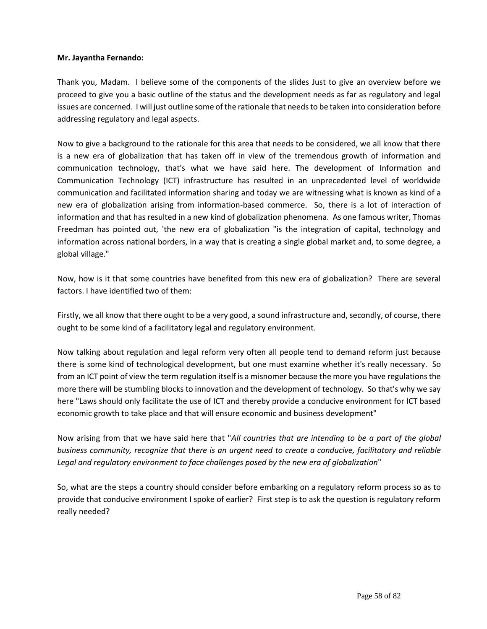#### **Mr. Jayantha Fernando:**

Thank you, Madam. I believe some of the components of the slides Just to give an overview before we proceed to give you a basic outline of the status and the development needs as far as regulatory and legal issues are concerned. I will just outline some of the rationale that needs to be taken into consideration before addressing regulatory and legal aspects.

Now to give a background to the rationale for this area that needs to be considered, we all know that there is a new era of globalization that has taken off in view of the tremendous growth of information and communication technology, that's what we have said here. The development of Information and Communication Technology (ICT) infrastructure has resulted in an unprecedented level of worldwide communication and facilitated information sharing and today we are witnessing what is known as kind of a new era of globalization arising from information-based commerce. So, there is a lot of interaction of information and that has resulted in a new kind of globalization phenomena. As one famous writer, Thomas Freedman has pointed out, 'the new era of globalization "is the integration of capital, technology and information across national borders, in a way that is creating a single global market and, to some degree, a global village."

Now, how is it that some countries have benefited from this new era of globalization? There are several factors. I have identified two of them:

Firstly, we all know that there ought to be a very good, a sound infrastructure and, secondly, of course, there ought to be some kind of a facilitatory legal and regulatory environment.

Now talking about regulation and legal reform very often all people tend to demand reform just because there is some kind of technological development, but one must examine whether it's really necessary. So from an ICT point of view the term regulation itself is a misnomer because the more you have regulations the more there will be stumbling blocks to innovation and the development of technology. So that's why we say here "Laws should only facilitate the use of ICT and thereby provide a conducive environment for ICT based economic growth to take place and that will ensure economic and business development"

Now arising from that we have said here that "*All countries that are intending to be a part of the global business community, recognize that there is an urgent need to create a conducive, facilitatory and reliable Legal and regulatory environment to face challenges posed by the new era of globalization*"

So, what are the steps a country should consider before embarking on a regulatory reform process so as to provide that conducive environment I spoke of earlier? First step is to ask the question is regulatory reform really needed?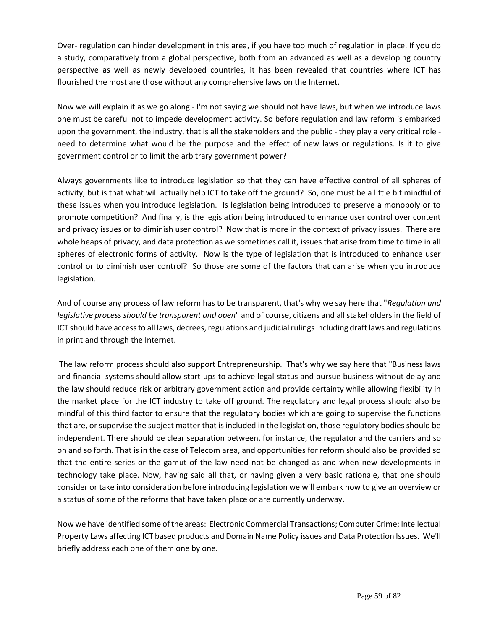Over- regulation can hinder development in this area, if you have too much of regulation in place. If you do a study, comparatively from a global perspective, both from an advanced as well as a developing country perspective as well as newly developed countries, it has been revealed that countries where ICT has flourished the most are those without any comprehensive laws on the Internet.

Now we will explain it as we go along - I'm not saying we should not have laws, but when we introduce laws one must be careful not to impede development activity. So before regulation and law reform is embarked upon the government, the industry, that is all the stakeholders and the public - they play a very critical role need to determine what would be the purpose and the effect of new laws or regulations. Is it to give government control or to limit the arbitrary government power?

Always governments like to introduce legislation so that they can have effective control of all spheres of activity, but is that what will actually help ICT to take off the ground? So, one must be a little bit mindful of these issues when you introduce legislation. Is legislation being introduced to preserve a monopoly or to promote competition? And finally, is the legislation being introduced to enhance user control over content and privacy issues or to diminish user control? Now that is more in the context of privacy issues. There are whole heaps of privacy, and data protection as we sometimes call it, issues that arise from time to time in all spheres of electronic forms of activity. Now is the type of legislation that is introduced to enhance user control or to diminish user control? So those are some of the factors that can arise when you introduce legislation.

And of course any process of law reform has to be transparent, that's why we say here that "*Regulation and legislative process should be transparent and open*" and of course, citizens and all stakeholders in the field of ICT should have access to all laws, decrees, regulations and judicial rulings including draft laws and regulations in print and through the Internet.

The law reform process should also support Entrepreneurship. That's why we say here that "Business laws and financial systems should allow start-ups to achieve legal status and pursue business without delay and the law should reduce risk or arbitrary government action and provide certainty while allowing flexibility in the market place for the ICT industry to take off ground. The regulatory and legal process should also be mindful of this third factor to ensure that the regulatory bodies which are going to supervise the functions that are, or supervise the subject matter that is included in the legislation, those regulatory bodies should be independent. There should be clear separation between, for instance, the regulator and the carriers and so on and so forth. That is in the case of Telecom area, and opportunities for reform should also be provided so that the entire series or the gamut of the law need not be changed as and when new developments in technology take place. Now, having said all that, or having given a very basic rationale, that one should consider or take into consideration before introducing legislation we will embark now to give an overview or a status of some of the reforms that have taken place or are currently underway.

Now we have identified some of the areas: Electronic Commercial Transactions; Computer Crime; Intellectual Property Laws affecting ICT based products and Domain Name Policy issues and Data Protection Issues. We'll briefly address each one of them one by one.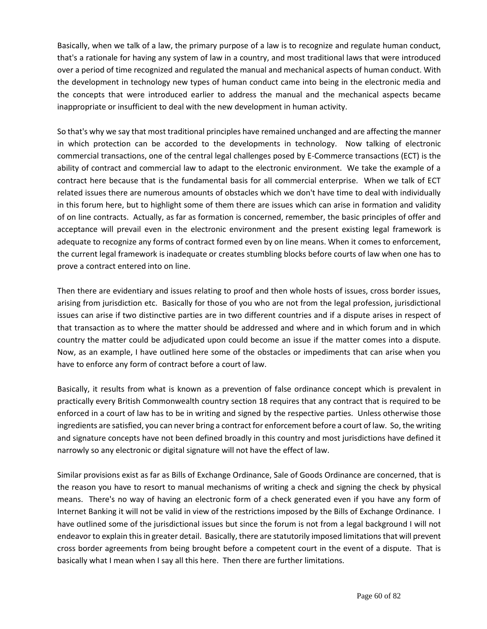Basically, when we talk of a law, the primary purpose of a law is to recognize and regulate human conduct, that's a rationale for having any system of law in a country, and most traditional laws that were introduced over a period of time recognized and regulated the manual and mechanical aspects of human conduct. With the development in technology new types of human conduct came into being in the electronic media and the concepts that were introduced earlier to address the manual and the mechanical aspects became inappropriate or insufficient to deal with the new development in human activity.

So that's why we say that most traditional principles have remained unchanged and are affecting the manner in which protection can be accorded to the developments in technology. Now talking of electronic commercial transactions, one of the central legal challenges posed by E-Commerce transactions (ECT) is the ability of contract and commercial law to adapt to the electronic environment. We take the example of a contract here because that is the fundamental basis for all commercial enterprise. When we talk of ECT related issues there are numerous amounts of obstacles which we don't have time to deal with individually in this forum here, but to highlight some of them there are issues which can arise in formation and validity of on line contracts. Actually, as far as formation is concerned, remember, the basic principles of offer and acceptance will prevail even in the electronic environment and the present existing legal framework is adequate to recognize any forms of contract formed even by on line means. When it comes to enforcement, the current legal framework is inadequate or creates stumbling blocks before courts of law when one has to prove a contract entered into on line.

Then there are evidentiary and issues relating to proof and then whole hosts of issues, cross border issues, arising from jurisdiction etc. Basically for those of you who are not from the legal profession, jurisdictional issues can arise if two distinctive parties are in two different countries and if a dispute arises in respect of that transaction as to where the matter should be addressed and where and in which forum and in which country the matter could be adjudicated upon could become an issue if the matter comes into a dispute. Now, as an example, I have outlined here some of the obstacles or impediments that can arise when you have to enforce any form of contract before a court of law.

Basically, it results from what is known as a prevention of false ordinance concept which is prevalent in practically every British Commonwealth country section 18 requires that any contract that is required to be enforced in a court of law has to be in writing and signed by the respective parties. Unless otherwise those ingredients are satisfied, you can never bring a contract for enforcement before a court of law. So, the writing and signature concepts have not been defined broadly in this country and most jurisdictions have defined it narrowly so any electronic or digital signature will not have the effect of law.

Similar provisions exist as far as Bills of Exchange Ordinance, Sale of Goods Ordinance are concerned, that is the reason you have to resort to manual mechanisms of writing a check and signing the check by physical means. There's no way of having an electronic form of a check generated even if you have any form of Internet Banking it will not be valid in view of the restrictions imposed by the Bills of Exchange Ordinance. I have outlined some of the jurisdictional issues but since the forum is not from a legal background I will not endeavor to explain this in greater detail. Basically, there are statutorily imposed limitations that will prevent cross border agreements from being brought before a competent court in the event of a dispute. That is basically what I mean when I say all this here. Then there are further limitations.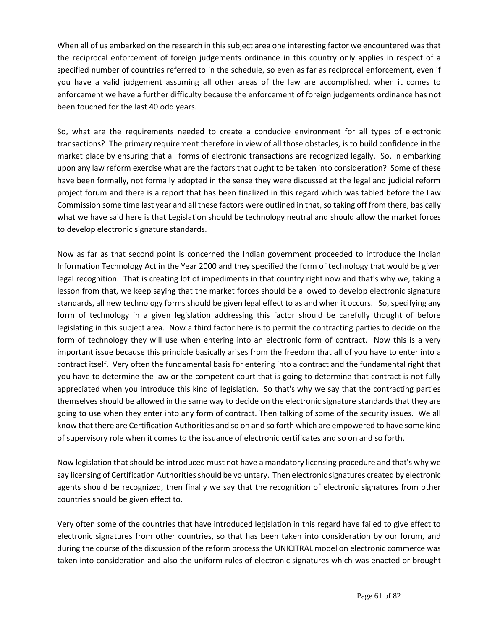When all of us embarked on the research in this subject area one interesting factor we encountered was that the reciprocal enforcement of foreign judgements ordinance in this country only applies in respect of a specified number of countries referred to in the schedule, so even as far as reciprocal enforcement, even if you have a valid judgement assuming all other areas of the law are accomplished, when it comes to enforcement we have a further difficulty because the enforcement of foreign judgements ordinance has not been touched for the last 40 odd years.

So, what are the requirements needed to create a conducive environment for all types of electronic transactions? The primary requirement therefore in view of all those obstacles, is to build confidence in the market place by ensuring that all forms of electronic transactions are recognized legally. So, in embarking upon any law reform exercise what are the factors that ought to be taken into consideration? Some of these have been formally, not formally adopted in the sense they were discussed at the legal and judicial reform project forum and there is a report that has been finalized in this regard which was tabled before the Law Commission some time last year and all these factors were outlined in that, so taking off from there, basically what we have said here is that Legislation should be technology neutral and should allow the market forces to develop electronic signature standards.

Now as far as that second point is concerned the Indian government proceeded to introduce the Indian Information Technology Act in the Year 2000 and they specified the form of technology that would be given legal recognition. That is creating lot of impediments in that country right now and that's why we, taking a lesson from that, we keep saying that the market forces should be allowed to develop electronic signature standards, all new technology forms should be given legal effect to as and when it occurs. So, specifying any form of technology in a given legislation addressing this factor should be carefully thought of before legislating in this subject area. Now a third factor here is to permit the contracting parties to decide on the form of technology they will use when entering into an electronic form of contract. Now this is a very important issue because this principle basically arises from the freedom that all of you have to enter into a contract itself. Very often the fundamental basis for entering into a contract and the fundamental right that you have to determine the law or the competent court that is going to determine that contract is not fully appreciated when you introduce this kind of legislation. So that's why we say that the contracting parties themselves should be allowed in the same way to decide on the electronic signature standards that they are going to use when they enter into any form of contract. Then talking of some of the security issues. We all know that there are Certification Authorities and so on and so forth which are empowered to have some kind of supervisory role when it comes to the issuance of electronic certificates and so on and so forth.

Now legislation that should be introduced must not have a mandatory licensing procedure and that's why we say licensing of Certification Authorities should be voluntary. Then electronic signatures created by electronic agents should be recognized, then finally we say that the recognition of electronic signatures from other countries should be given effect to.

Very often some of the countries that have introduced legislation in this regard have failed to give effect to electronic signatures from other countries, so that has been taken into consideration by our forum, and during the course of the discussion of the reform process the UNICITRAL model on electronic commerce was taken into consideration and also the uniform rules of electronic signatures which was enacted or brought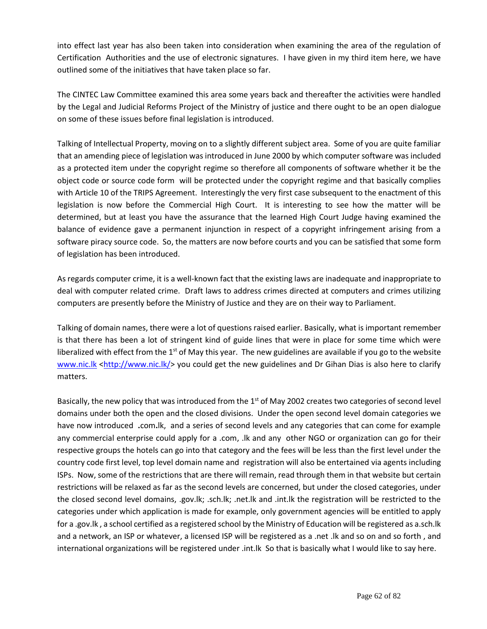into effect last year has also been taken into consideration when examining the area of the regulation of Certification Authorities and the use of electronic signatures. I have given in my third item here, we have outlined some of the initiatives that have taken place so far.

The CINTEC Law Committee examined this area some years back and thereafter the activities were handled by the Legal and Judicial Reforms Project of the Ministry of justice and there ought to be an open dialogue on some of these issues before final legislation is introduced.

Talking of Intellectual Property, moving on to a slightly different subject area. Some of you are quite familiar that an amending piece of legislation was introduced in June 2000 by which computer software was included as a protected item under the copyright regime so therefore all components of software whether it be the object code or source code form will be protected under the copyright regime and that basically complies with Article 10 of the TRIPS Agreement. Interestingly the very first case subsequent to the enactment of this legislation is now before the Commercial High Court. It is interesting to see how the matter will be determined, but at least you have the assurance that the learned High Court Judge having examined the balance of evidence gave a permanent injunction in respect of a copyright infringement arising from a software piracy source code. So, the matters are now before courts and you can be satisfied that some form of legislation has been introduced.

As regards computer crime, it is a well-known fact that the existing laws are inadequate and inappropriate to deal with computer related crime. Draft laws to address crimes directed at computers and crimes utilizing computers are presently before the Ministry of Justice and they are on their way to Parliament.

Talking of domain names, there were a lot of questions raised earlier. Basically, what is important remember is that there has been a lot of stringent kind of guide lines that were in place for some time which were liberalized with effect from the  $1<sup>st</sup>$  of May this year. The new guidelines are available if you go to the website [www.nic.lk](http://www.nic.lk/) <http://www.nic.lk/> you could get the new guidelines and Dr Gihan Dias is also here to clarify matters.

Basically, the new policy that was introduced from the 1<sup>st</sup> of May 2002 creates two categories of second level domains under both the open and the closed divisions. Under the open second level domain categories we have now introduced **.**com**.**lk, and a series of second levels and any categories that can come for example any commercial enterprise could apply for a .com, .lk and any other NGO or organization can go for their respective groups the hotels can go into that category and the fees will be less than the first level under the country code first level, top level domain name and registration will also be entertained via agents including ISPs. Now, some of the restrictions that are there will remain, read through them in that website but certain restrictions will be relaxed as far as the second levels are concerned, but under the closed categories, under the closed second level domains, .gov.lk; .sch.lk; .net.lk and .int.lk the registration will be restricted to the categories under which application is made for example, only government agencies will be entitled to apply for a .gov.lk , a school certified as a registered school by the Ministry of Education will be registered as a.sch.lk and a network, an ISP or whatever, a licensed ISP will be registered as a .net .lk and so on and so forth , and international organizations will be registered under .int.lk So that is basically what I would like to say here.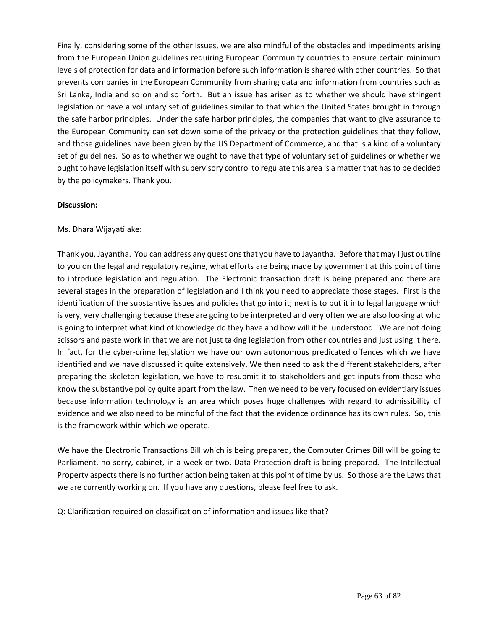Finally, considering some of the other issues, we are also mindful of the obstacles and impediments arising from the European Union guidelines requiring European Community countries to ensure certain minimum levels of protection for data and information before such information is shared with other countries. So that prevents companies in the European Community from sharing data and information from countries such as Sri Lanka, India and so on and so forth. But an issue has arisen as to whether we should have stringent legislation or have a voluntary set of guidelines similar to that which the United States brought in through the safe harbor principles. Under the safe harbor principles, the companies that want to give assurance to the European Community can set down some of the privacy or the protection guidelines that they follow, and those guidelines have been given by the US Department of Commerce, and that is a kind of a voluntary set of guidelines. So as to whether we ought to have that type of voluntary set of guidelines or whether we ought to have legislation itself with supervisory control to regulate this area is a matter that has to be decided by the policymakers. Thank you.

## **Discussion:**

# Ms. Dhara Wijayatilake:

Thank you, Jayantha. You can address any questions that you have to Jayantha. Before that may I just outline to you on the legal and regulatory regime, what efforts are being made by government at this point of time to introduce legislation and regulation. The Electronic transaction draft is being prepared and there are several stages in the preparation of legislation and I think you need to appreciate those stages. First is the identification of the substantive issues and policies that go into it; next is to put it into legal language which is very, very challenging because these are going to be interpreted and very often we are also looking at who is going to interpret what kind of knowledge do they have and how will it be understood. We are not doing scissors and paste work in that we are not just taking legislation from other countries and just using it here. In fact, for the cyber-crime legislation we have our own autonomous predicated offences which we have identified and we have discussed it quite extensively. We then need to ask the different stakeholders, after preparing the skeleton legislation, we have to resubmit it to stakeholders and get inputs from those who know the substantive policy quite apart from the law. Then we need to be very focused on evidentiary issues because information technology is an area which poses huge challenges with regard to admissibility of evidence and we also need to be mindful of the fact that the evidence ordinance has its own rules. So, this is the framework within which we operate.

We have the Electronic Transactions Bill which is being prepared, the Computer Crimes Bill will be going to Parliament, no sorry, cabinet, in a week or two. Data Protection draft is being prepared. The Intellectual Property aspects there is no further action being taken at this point of time by us. So those are the Laws that we are currently working on. If you have any questions, please feel free to ask.

Q: Clarification required on classification of information and issues like that?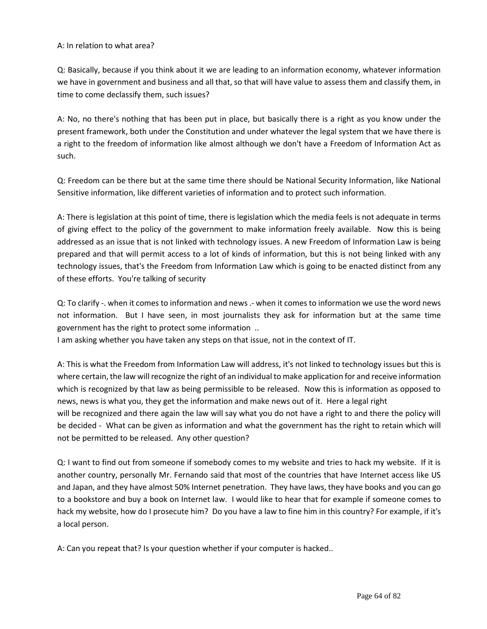### A: In relation to what area?

Q: Basically, because if you think about it we are leading to an information economy, whatever information we have in government and business and all that, so that will have value to assess them and classify them, in time to come declassify them, such issues?

A: No, no there's nothing that has been put in place, but basically there is a right as you know under the present framework, both under the Constitution and under whatever the legal system that we have there is a right to the freedom of information like almost although we don't have a Freedom of Information Act as such.

Q: Freedom can be there but at the same time there should be National Security Information, like National Sensitive information, like different varieties of information and to protect such information.

A: There is legislation at this point of time, there is legislation which the media feels is not adequate in terms of giving effect to the policy of the government to make information freely available. Now this is being addressed as an issue that is not linked with technology issues. A new Freedom of Information Law is being prepared and that will permit access to a lot of kinds of information, but this is not being linked with any technology issues, that's the Freedom from Information Law which is going to be enacted distinct from any of these efforts. You're talking of security

Q: To clarify -. when it comes to information and news .- when it comes to information we use the word news not information. But I have seen, in most journalists they ask for information but at the same time government has the right to protect some information ..

I am asking whether you have taken any steps on that issue, not in the context of IT.

A: This is what the Freedom from Information Law will address, it's not linked to technology issues but this is where certain, the law will recognize the right of an individual to make application for and receive information which is recognized by that law as being permissible to be released. Now this is information as opposed to news, news is what you, they get the information and make news out of it. Here a legal right will be recognized and there again the law will say what you do not have a right to and there the policy will be decided - What can be given as information and what the government has the right to retain which will not be permitted to be released. Any other question?

Q: I want to find out from someone if somebody comes to my website and tries to hack my website. If it is another country, personally Mr. Fernando said that most of the countries that have Internet access like US and Japan, and they have almost 50% Internet penetration. They have laws, they have books and you can go to a bookstore and buy a book on Internet law. I would like to hear that for example if someone comes to hack my website, how do I prosecute him? Do you have a law to fine him in this country? For example, if it's a local person.

A: Can you repeat that? Is your question whether if your computer is hacked..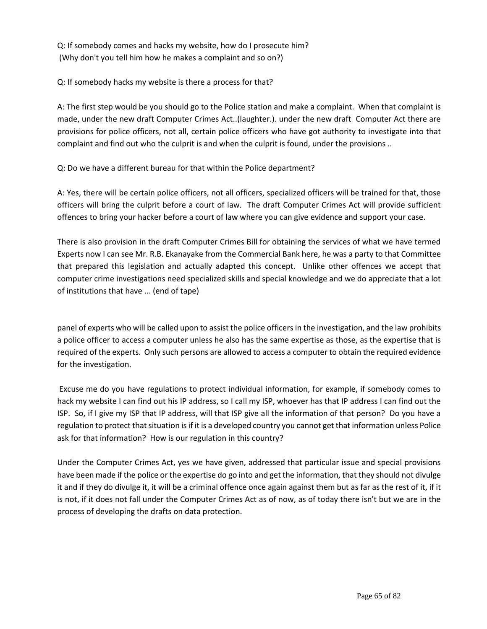Q: If somebody comes and hacks my website, how do I prosecute him? (Why don't you tell him how he makes a complaint and so on?)

Q: If somebody hacks my website is there a process for that?

A: The first step would be you should go to the Police station and make a complaint. When that complaint is made, under the new draft Computer Crimes Act..(laughter.). under the new draft Computer Act there are provisions for police officers, not all, certain police officers who have got authority to investigate into that complaint and find out who the culprit is and when the culprit is found, under the provisions ..

Q: Do we have a different bureau for that within the Police department?

A: Yes, there will be certain police officers, not all officers, specialized officers will be trained for that, those officers will bring the culprit before a court of law. The draft Computer Crimes Act will provide sufficient offences to bring your hacker before a court of law where you can give evidence and support your case.

There is also provision in the draft Computer Crimes Bill for obtaining the services of what we have termed Experts now I can see Mr. R.B. Ekanayake from the Commercial Bank here, he was a party to that Committee that prepared this legislation and actually adapted this concept. Unlike other offences we accept that computer crime investigations need specialized skills and special knowledge and we do appreciate that a lot of institutions that have ... (end of tape)

panel of experts who will be called upon to assist the police officers in the investigation, and the law prohibits a police officer to access a computer unless he also has the same expertise as those, as the expertise that is required of the experts. Only such persons are allowed to access a computer to obtain the required evidence for the investigation.

Excuse me do you have regulations to protect individual information, for example, if somebody comes to hack my website I can find out his IP address, so I call my ISP, whoever has that IP address I can find out the ISP. So, if I give my ISP that IP address, will that ISP give all the information of that person? Do you have a regulation to protect that situation is if it is a developed country you cannot get that information unless Police ask for that information? How is our regulation in this country?

Under the Computer Crimes Act, yes we have given, addressed that particular issue and special provisions have been made if the police or the expertise do go into and get the information, that they should not divulge it and if they do divulge it, it will be a criminal offence once again against them but as far as the rest of it, if it is not, if it does not fall under the Computer Crimes Act as of now, as of today there isn't but we are in the process of developing the drafts on data protection.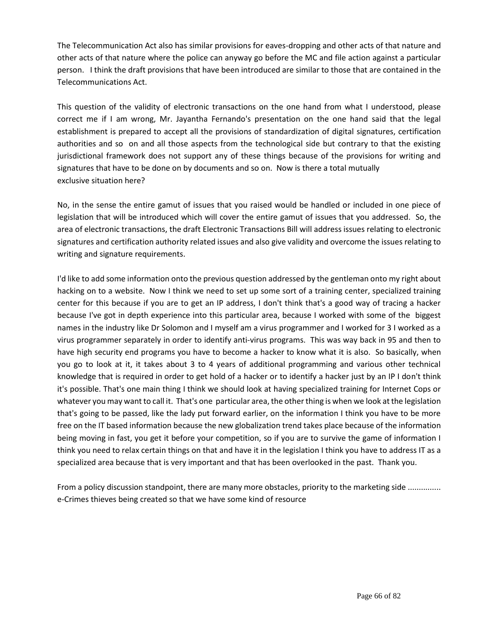The Telecommunication Act also has similar provisions for eaves-dropping and other acts of that nature and other acts of that nature where the police can anyway go before the MC and file action against a particular person. I think the draft provisions that have been introduced are similar to those that are contained in the Telecommunications Act.

This question of the validity of electronic transactions on the one hand from what I understood, please correct me if I am wrong, Mr. Jayantha Fernando's presentation on the one hand said that the legal establishment is prepared to accept all the provisions of standardization of digital signatures, certification authorities and so on and all those aspects from the technological side but contrary to that the existing jurisdictional framework does not support any of these things because of the provisions for writing and signatures that have to be done on by documents and so on. Now is there a total mutually exclusive situation here?

No, in the sense the entire gamut of issues that you raised would be handled or included in one piece of legislation that will be introduced which will cover the entire gamut of issues that you addressed. So, the area of electronic transactions, the draft Electronic Transactions Bill will address issues relating to electronic signatures and certification authority related issues and also give validity and overcome the issues relating to writing and signature requirements.

I'd like to add some information onto the previous question addressed by the gentleman onto my right about hacking on to a website. Now I think we need to set up some sort of a training center, specialized training center for this because if you are to get an IP address, I don't think that's a good way of tracing a hacker because I've got in depth experience into this particular area, because I worked with some of the biggest names in the industry like Dr Solomon and I myself am a virus programmer and I worked for 3 I worked as a virus programmer separately in order to identify anti-virus programs. This was way back in 95 and then to have high security end programs you have to become a hacker to know what it is also. So basically, when you go to look at it, it takes about 3 to 4 years of additional programming and various other technical knowledge that is required in order to get hold of a hacker or to identify a hacker just by an IP I don't think it's possible. That's one main thing I think we should look at having specialized training for Internet Cops or whatever you may want to call it. That's one particular area, the other thing is when we look at the legislation that's going to be passed, like the lady put forward earlier, on the information I think you have to be more free on the IT based information because the new globalization trend takes place because of the information being moving in fast, you get it before your competition, so if you are to survive the game of information I think you need to relax certain things on that and have it in the legislation I think you have to address IT as a specialized area because that is very important and that has been overlooked in the past. Thank you.

From a policy discussion standpoint, there are many more obstacles, priority to the marketing side .............. e-Crimes thieves being created so that we have some kind of resource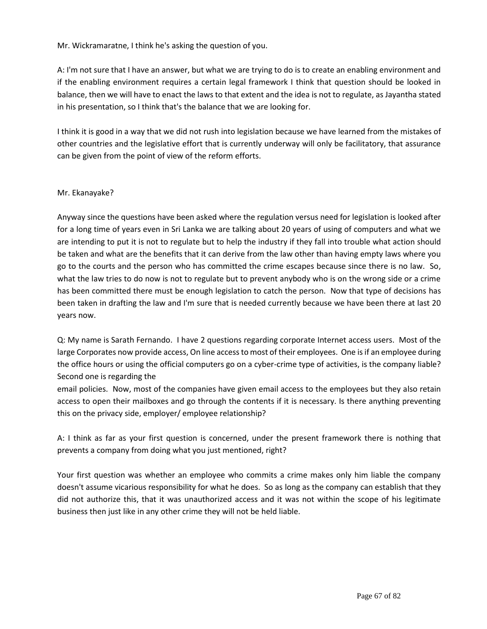Mr. Wickramaratne, I think he's asking the question of you.

A: I'm not sure that I have an answer, but what we are trying to do is to create an enabling environment and if the enabling environment requires a certain legal framework I think that question should be looked in balance, then we will have to enact the laws to that extent and the idea is not to regulate, as Jayantha stated in his presentation, so I think that's the balance that we are looking for.

I think it is good in a way that we did not rush into legislation because we have learned from the mistakes of other countries and the legislative effort that is currently underway will only be facilitatory, that assurance can be given from the point of view of the reform efforts.

# Mr. Ekanayake?

Anyway since the questions have been asked where the regulation versus need for legislation is looked after for a long time of years even in Sri Lanka we are talking about 20 years of using of computers and what we are intending to put it is not to regulate but to help the industry if they fall into trouble what action should be taken and what are the benefits that it can derive from the law other than having empty laws where you go to the courts and the person who has committed the crime escapes because since there is no law. So, what the law tries to do now is not to regulate but to prevent anybody who is on the wrong side or a crime has been committed there must be enough legislation to catch the person. Now that type of decisions has been taken in drafting the law and I'm sure that is needed currently because we have been there at last 20 years now.

Q: My name is Sarath Fernando. I have 2 questions regarding corporate Internet access users. Most of the large Corporates now provide access, On line access to most of their employees. One is if an employee during the office hours or using the official computers go on a cyber-crime type of activities, is the company liable? Second one is regarding the

email policies. Now, most of the companies have given email access to the employees but they also retain access to open their mailboxes and go through the contents if it is necessary. Is there anything preventing this on the privacy side, employer/ employee relationship?

A: I think as far as your first question is concerned, under the present framework there is nothing that prevents a company from doing what you just mentioned, right?

Your first question was whether an employee who commits a crime makes only him liable the company doesn't assume vicarious responsibility for what he does. So as long as the company can establish that they did not authorize this, that it was unauthorized access and it was not within the scope of his legitimate business then just like in any other crime they will not be held liable.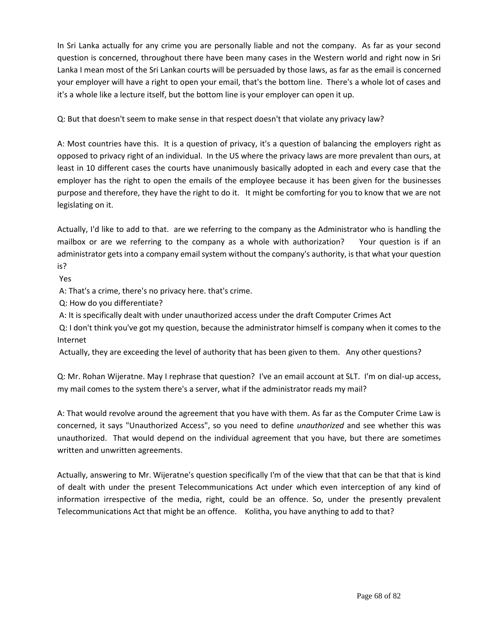In Sri Lanka actually for any crime you are personally liable and not the company. As far as your second question is concerned, throughout there have been many cases in the Western world and right now in Sri Lanka I mean most of the Sri Lankan courts will be persuaded by those laws, as far as the email is concerned your employer will have a right to open your email, that's the bottom line. There's a whole lot of cases and it's a whole like a lecture itself, but the bottom line is your employer can open it up.

Q: But that doesn't seem to make sense in that respect doesn't that violate any privacy law?

A: Most countries have this. It is a question of privacy, it's a question of balancing the employers right as opposed to privacy right of an individual. In the US where the privacy laws are more prevalent than ours, at least in 10 different cases the courts have unanimously basically adopted in each and every case that the employer has the right to open the emails of the employee because it has been given for the businesses purpose and therefore, they have the right to do it. It might be comforting for you to know that we are not legislating on it.

Actually, I'd like to add to that. are we referring to the company as the Administrator who is handling the mailbox or are we referring to the company as a whole with authorization? Your question is if an administrator gets into a company email system without the company's authority, is that what your question is?

Yes

A: That's a crime, there's no privacy here. that's crime.

Q: How do you differentiate?

A: It is specifically dealt with under unauthorized access under the draft Computer Crimes Act

Q: I don't think you've got my question, because the administrator himself is company when it comes to the Internet

Actually, they are exceeding the level of authority that has been given to them. Any other questions?

Q: Mr. Rohan Wijeratne. May I rephrase that question? I've an email account at SLT. I'm on dial-up access, my mail comes to the system there's a server, what if the administrator reads my mail?

A: That would revolve around the agreement that you have with them. As far as the Computer Crime Law is concerned, it says "Unauthorized Access", so you need to define *unauthorized* and see whether this was unauthorized. That would depend on the individual agreement that you have, but there are sometimes written and unwritten agreements.

Actually, answering to Mr. Wijeratne's question specifically I'm of the view that that can be that that is kind of dealt with under the present Telecommunications Act under which even interception of any kind of information irrespective of the media, right, could be an offence. So, under the presently prevalent Telecommunications Act that might be an offence. Kolitha, you have anything to add to that?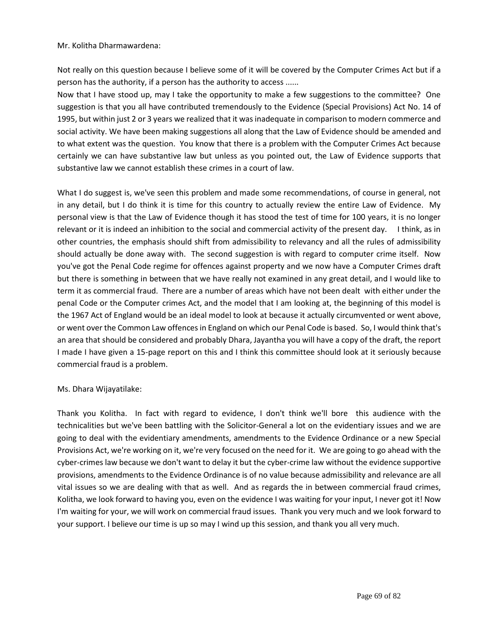#### Mr. Kolitha Dharmawardena:

Not really on this question because I believe some of it will be covered by the Computer Crimes Act but if a person has the authority, if a person has the authority to access ......

Now that I have stood up, may I take the opportunity to make a few suggestions to the committee? One suggestion is that you all have contributed tremendously to the Evidence (Special Provisions) Act No. 14 of 1995, but within just 2 or 3 years we realized that it was inadequate in comparison to modern commerce and social activity. We have been making suggestions all along that the Law of Evidence should be amended and to what extent was the question. You know that there is a problem with the Computer Crimes Act because certainly we can have substantive law but unless as you pointed out, the Law of Evidence supports that substantive law we cannot establish these crimes in a court of law.

What I do suggest is, we've seen this problem and made some recommendations, of course in general, not in any detail, but I do think it is time for this country to actually review the entire Law of Evidence. My personal view is that the Law of Evidence though it has stood the test of time for 100 years, it is no longer relevant or it is indeed an inhibition to the social and commercial activity of the present day. I think, as in other countries, the emphasis should shift from admissibility to relevancy and all the rules of admissibility should actually be done away with. The second suggestion is with regard to computer crime itself. Now you've got the Penal Code regime for offences against property and we now have a Computer Crimes draft but there is something in between that we have really not examined in any great detail, and I would like to term it as commercial fraud. There are a number of areas which have not been dealt with either under the penal Code or the Computer crimes Act, and the model that I am looking at, the beginning of this model is the 1967 Act of England would be an ideal model to look at because it actually circumvented or went above, or went over the Common Law offences in England on which our Penal Code is based. So, I would think that's an area that should be considered and probably Dhara, Jayantha you will have a copy of the draft, the report I made I have given a 15-page report on this and I think this committee should look at it seriously because commercial fraud is a problem.

## Ms. Dhara Wijayatilake:

Thank you Kolitha. In fact with regard to evidence, I don't think we'll bore this audience with the technicalities but we've been battling with the Solicitor-General a lot on the evidentiary issues and we are going to deal with the evidentiary amendments, amendments to the Evidence Ordinance or a new Special Provisions Act, we're working on it, we're very focused on the need for it. We are going to go ahead with the cyber-crimes law because we don't want to delay it but the cyber-crime law without the evidence supportive provisions, amendments to the Evidence Ordinance is of no value because admissibility and relevance are all vital issues so we are dealing with that as well. And as regards the in between commercial fraud crimes, Kolitha, we look forward to having you, even on the evidence I was waiting for your input, I never got it! Now I'm waiting for your, we will work on commercial fraud issues. Thank you very much and we look forward to your support. I believe our time is up so may I wind up this session, and thank you all very much.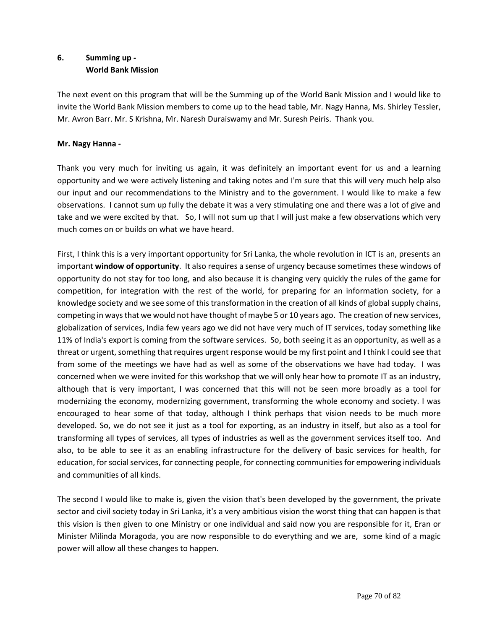# **6. Summing up - World Bank Mission**

The next event on this program that will be the Summing up of the World Bank Mission and I would like to invite the World Bank Mission members to come up to the head table, Mr. Nagy Hanna, Ms. Shirley Tessler, Mr. Avron Barr. Mr. S Krishna, Mr. Naresh Duraiswamy and Mr. Suresh Peiris. Thank you.

# **Mr. Nagy Hanna -**

Thank you very much for inviting us again, it was definitely an important event for us and a learning opportunity and we were actively listening and taking notes and I'm sure that this will very much help also our input and our recommendations to the Ministry and to the government. I would like to make a few observations. I cannot sum up fully the debate it was a very stimulating one and there was a lot of give and take and we were excited by that. So, I will not sum up that I will just make a few observations which very much comes on or builds on what we have heard.

First, I think this is a very important opportunity for Sri Lanka, the whole revolution in ICT is an, presents an important **window of opportunity**. It also requires a sense of urgency because sometimes these windows of opportunity do not stay for too long, and also because it is changing very quickly the rules of the game for competition, for integration with the rest of the world, for preparing for an information society, for a knowledge society and we see some of this transformation in the creation of all kinds of global supply chains, competing in ways that we would not have thought of maybe 5 or 10 years ago. The creation of new services, globalization of services, India few years ago we did not have very much of IT services, today something like 11% of India's export is coming from the software services. So, both seeing it as an opportunity, as well as a threat or urgent, something that requires urgent response would be my first point and I think I could see that from some of the meetings we have had as well as some of the observations we have had today. I was concerned when we were invited for this workshop that we will only hear how to promote IT as an industry, although that is very important, I was concerned that this will not be seen more broadly as a tool for modernizing the economy, modernizing government, transforming the whole economy and society. I was encouraged to hear some of that today, although I think perhaps that vision needs to be much more developed. So, we do not see it just as a tool for exporting, as an industry in itself, but also as a tool for transforming all types of services, all types of industries as well as the government services itself too. And also, to be able to see it as an enabling infrastructure for the delivery of basic services for health, for education, for social services, for connecting people, for connecting communities for empowering individuals and communities of all kinds.

The second I would like to make is, given the vision that's been developed by the government, the private sector and civil society today in Sri Lanka, it's a very ambitious vision the worst thing that can happen is that this vision is then given to one Ministry or one individual and said now you are responsible for it, Eran or Minister Milinda Moragoda, you are now responsible to do everything and we are, some kind of a magic power will allow all these changes to happen.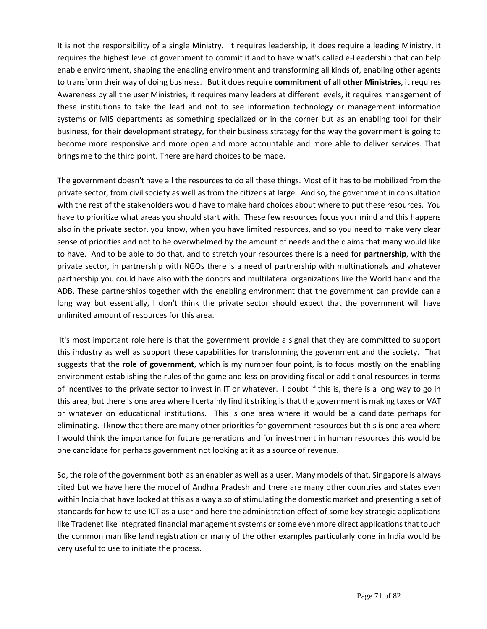It is not the responsibility of a single Ministry. It requires leadership, it does require a leading Ministry, it requires the highest level of government to commit it and to have what's called e-Leadership that can help enable environment, shaping the enabling environment and transforming all kinds of, enabling other agents to transform their way of doing business. But it does require **commitment of all other Ministries**, it requires Awareness by all the user Ministries, it requires many leaders at different levels, it requires management of these institutions to take the lead and not to see information technology or management information systems or MIS departments as something specialized or in the corner but as an enabling tool for their business, for their development strategy, for their business strategy for the way the government is going to become more responsive and more open and more accountable and more able to deliver services. That brings me to the third point. There are hard choices to be made.

The government doesn't have all the resources to do all these things. Most of it has to be mobilized from the private sector, from civil society as well as from the citizens at large. And so, the government in consultation with the rest of the stakeholders would have to make hard choices about where to put these resources. You have to prioritize what areas you should start with. These few resources focus your mind and this happens also in the private sector, you know, when you have limited resources, and so you need to make very clear sense of priorities and not to be overwhelmed by the amount of needs and the claims that many would like to have. And to be able to do that, and to stretch your resources there is a need for **partnership**, with the private sector, in partnership with NGOs there is a need of partnership with multinationals and whatever partnership you could have also with the donors and multilateral organizations like the World bank and the ADB. These partnerships together with the enabling environment that the government can provide can a long way but essentially, I don't think the private sector should expect that the government will have unlimited amount of resources for this area.

It's most important role here is that the government provide a signal that they are committed to support this industry as well as support these capabilities for transforming the government and the society. That suggests that the **role of government**, which is my number four point, is to focus mostly on the enabling environment establishing the rules of the game and less on providing fiscal or additional resources in terms of incentives to the private sector to invest in IT or whatever. I doubt if this is, there is a long way to go in this area, but there is one area where I certainly find it striking is that the government is making taxes or VAT or whatever on educational institutions. This is one area where it would be a candidate perhaps for eliminating. I know that there are many other priorities for government resources but this is one area where I would think the importance for future generations and for investment in human resources this would be one candidate for perhaps government not looking at it as a source of revenue.

So, the role of the government both as an enabler as well as a user. Many models of that, Singapore is always cited but we have here the model of Andhra Pradesh and there are many other countries and states even within India that have looked at this as a way also of stimulating the domestic market and presenting a set of standards for how to use ICT as a user and here the administration effect of some key strategic applications like Tradenet like integrated financial management systems or some even more direct applications that touch the common man like land registration or many of the other examples particularly done in India would be very useful to use to initiate the process.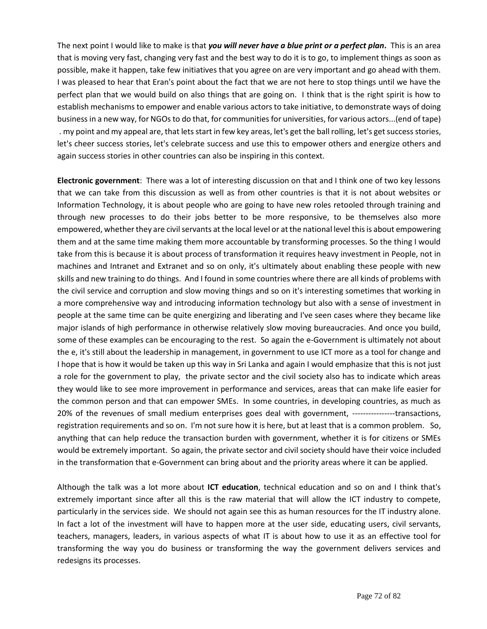The next point I would like to make is that *you will never have a blue print or a perfect plan***.** This is an area that is moving very fast, changing very fast and the best way to do it is to go, to implement things as soon as possible, make it happen, take few initiatives that you agree on are very important and go ahead with them. I was pleased to hear that Eran's point about the fact that we are not here to stop things until we have the perfect plan that we would build on also things that are going on. I think that is the right spirit is how to establish mechanisms to empower and enable various actors to take initiative, to demonstrate ways of doing business in a new way, for NGOs to do that, for communities for universities, for various actors...(end of tape) . my point and my appeal are, that lets start in few key areas, let's get the ball rolling, let's get success stories, let's cheer success stories, let's celebrate success and use this to empower others and energize others and again success stories in other countries can also be inspiring in this context.

**Electronic government**: There was a lot of interesting discussion on that and I think one of two key lessons that we can take from this discussion as well as from other countries is that it is not about websites or Information Technology, it is about people who are going to have new roles retooled through training and through new processes to do their jobs better to be more responsive, to be themselves also more empowered, whether they are civil servants at the local level or at the national level this is about empowering them and at the same time making them more accountable by transforming processes. So the thing I would take from this is because it is about process of transformation it requires heavy investment in People, not in machines and Intranet and Extranet and so on only, it's ultimately about enabling these people with new skills and new training to do things. And I found in some countries where there are all kinds of problems with the civil service and corruption and slow moving things and so on it's interesting sometimes that working in a more comprehensive way and introducing information technology but also with a sense of investment in people at the same time can be quite energizing and liberating and I've seen cases where they became like major islands of high performance in otherwise relatively slow moving bureaucracies. And once you build, some of these examples can be encouraging to the rest. So again the e-Government is ultimately not about the e, it's still about the leadership in management, in government to use ICT more as a tool for change and I hope that is how it would be taken up this way in Sri Lanka and again I would emphasize that this is not just a role for the government to play, the private sector and the civil society also has to indicate which areas they would like to see more improvement in performance and services, areas that can make life easier for the common person and that can empower SMEs. In some countries, in developing countries, as much as 20% of the revenues of small medium enterprises goes deal with government, ----------------transactions, registration requirements and so on. I'm not sure how it is here, but at least that is a common problem. So, anything that can help reduce the transaction burden with government, whether it is for citizens or SMEs would be extremely important. So again, the private sector and civil society should have their voice included in the transformation that e-Government can bring about and the priority areas where it can be applied.

Although the talk was a lot more about **ICT education**, technical education and so on and I think that's extremely important since after all this is the raw material that will allow the ICT industry to compete, particularly in the services side. We should not again see this as human resources for the IT industry alone. In fact a lot of the investment will have to happen more at the user side, educating users, civil servants, teachers, managers, leaders, in various aspects of what IT is about how to use it as an effective tool for transforming the way you do business or transforming the way the government delivers services and redesigns its processes.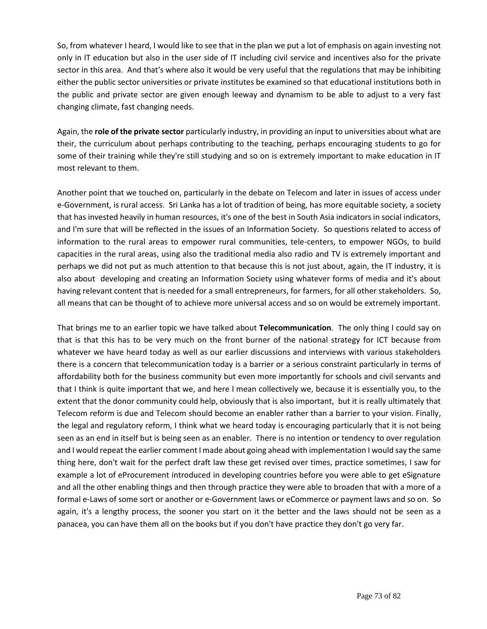So, from whatever I heard, I would like to see that in the plan we put a lot of emphasis on again investing not only in IT education but also in the user side of IT including civil service and incentives also for the private sector in this area. And that's where also it would be very useful that the regulations that may be inhibiting either the public sector universities or private institutes be examined so that educational institutions both in the public and private sector are given enough leeway and dynamism to be able to adjust to a very fast changing climate, fast changing needs.

Again, the **role of the private sector** particularly industry, in providing an input to universities about what are their, the curriculum about perhaps contributing to the teaching, perhaps encouraging students to go for some of their training while they're still studying and so on is extremely important to make education in IT most relevant to them.

Another point that we touched on, particularly in the debate on Telecom and later in issues of access under e-Government, is rural access. Sri Lanka has a lot of tradition of being, has more equitable society, a society that has invested heavily in human resources, it's one of the best in South Asia indicators in social indicators, and I'm sure that will be reflected in the issues of an Information Society. So questions related to access of information to the rural areas to empower rural communities, tele-centers, to empower NGOs, to build capacities in the rural areas, using also the traditional media also radio and TV is extremely important and perhaps we did not put as much attention to that because this is not just about, again, the IT industry, it is also about developing and creating an Information Society using whatever forms of media and it's about having relevant content that is needed for a small entrepreneurs, for farmers, for all other stakeholders. So, all means that can be thought of to achieve more universal access and so on would be extremely important.

That brings me to an earlier topic we have talked about **Telecommunication**. The only thing I could say on that is that this has to be very much on the front burner of the national strategy for ICT because from whatever we have heard today as well as our earlier discussions and interviews with various stakeholders there is a concern that telecommunication today is a barrier or a serious constraint particularly in terms of affordability both for the business community but even more importantly for schools and civil servants and that I think is quite important that we, and here I mean collectively we, because it is essentially you, to the extent that the donor community could help, obviously that is also important, but it is really ultimately that Telecom reform is due and Telecom should become an enabler rather than a barrier to your vision. Finally, the legal and regulatory reform, I think what we heard today is encouraging particularly that it is not being seen as an end in itself but is being seen as an enabler. There is no intention or tendency to over regulation and I would repeat the earlier comment I made about going ahead with implementation I would say the same thing here, don't wait for the perfect draft law these get revised over times, practice sometimes, I saw for example a lot of eProcurement introduced in developing countries before you were able to get eSignature and all the other enabling things and then through practice they were able to broaden that with a more of a formal e-Laws of some sort or another or e-Government laws or eCommerce or payment laws and so on. So again, it's a lengthy process, the sooner you start on it the better and the laws should not be seen as a panacea, you can have them all on the books but if you don't have practice they don't go very far.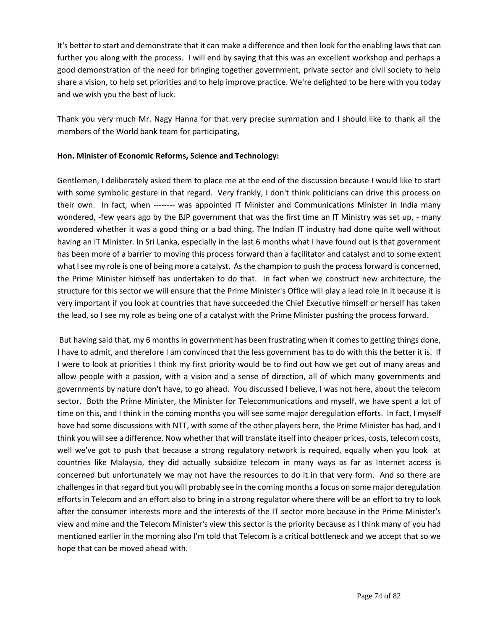It's better to start and demonstrate that it can make a difference and then look for the enabling laws that can further you along with the process. I will end by saying that this was an excellent workshop and perhaps a good demonstration of the need for bringing together government, private sector and civil society to help share a vision, to help set priorities and to help improve practice. We're delighted to be here with you today and we wish you the best of luck.

Thank you very much Mr. Nagy Hanna for that very precise summation and I should like to thank all the members of the World bank team for participating,

## **Hon. Minister of Economic Reforms, Science and Technology:**

Gentlemen, I deliberately asked them to place me at the end of the discussion because I would like to start with some symbolic gesture in that regard. Very frankly, I don't think politicians can drive this process on their own. In fact, when -------- was appointed IT Minister and Communications Minister in India many wondered, -few years ago by the BJP government that was the first time an IT Ministry was set up, - many wondered whether it was a good thing or a bad thing. The Indian IT industry had done quite well without having an IT Minister. In Sri Lanka, especially in the last 6 months what I have found out is that government has been more of a barrier to moving this process forward than a facilitator and catalyst and to some extent what I see my role is one of being more a catalyst. As the champion to push the process forward is concerned, the Prime Minister himself has undertaken to do that. In fact when we construct new architecture, the structure for this sector we will ensure that the Prime Minister's Office will play a lead role in it because it is very important if you look at countries that have succeeded the Chief Executive himself or herself has taken the lead, so I see my role as being one of a catalyst with the Prime Minister pushing the process forward.

But having said that, my 6 months in government has been frustrating when it comes to getting things done, I have to admit, and therefore I am convinced that the less government has to do with this the better it is. If I were to look at priorities I think my first priority would be to find out how we get out of many areas and allow people with a passion, with a vision and a sense of direction, all of which many governments and governments by nature don't have, to go ahead. You discussed I believe, I was not here, about the telecom sector. Both the Prime Minister, the Minister for Telecommunications and myself, we have spent a lot of time on this, and I think in the coming months you will see some major deregulation efforts. In fact, I myself have had some discussions with NTT, with some of the other players here, the Prime Minister has had, and I think you will see a difference. Now whether that will translate itself into cheaper prices, costs, telecom costs, well we've got to push that because a strong regulatory network is required, equally when you look at countries like Malaysia, they did actually subsidize telecom in many ways as far as Internet access is concerned but unfortunately we may not have the resources to do it in that very form. And so there are challenges in that regard but you will probably see in the coming months a focus on some major deregulation efforts in Telecom and an effort also to bring in a strong regulator where there will be an effort to try to look after the consumer interests more and the interests of the IT sector more because in the Prime Minister's view and mine and the Telecom Minister's view this sector is the priority because as I think many of you had mentioned earlier in the morning also I'm told that Telecom is a critical bottleneck and we accept that so we hope that can be moved ahead with.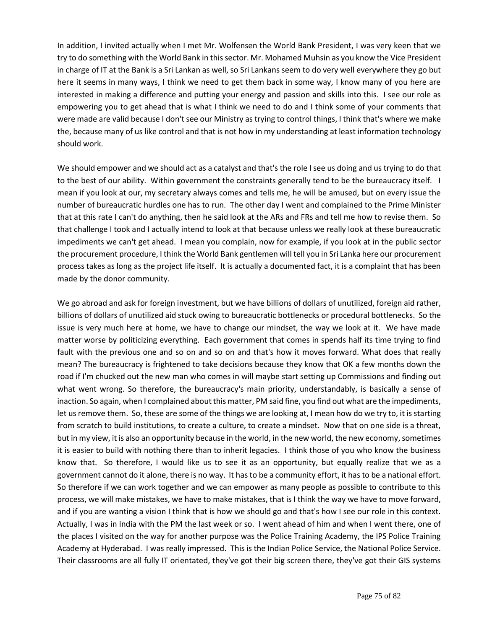In addition, I invited actually when I met Mr. Wolfensen the World Bank President, I was very keen that we try to do something with the World Bank in this sector. Mr. Mohamed Muhsin as you know the Vice President in charge of IT at the Bank is a Sri Lankan as well, so Sri Lankans seem to do very well everywhere they go but here it seems in many ways, I think we need to get them back in some way, I know many of you here are interested in making a difference and putting your energy and passion and skills into this. I see our role as empowering you to get ahead that is what I think we need to do and I think some of your comments that were made are valid because I don't see our Ministry as trying to control things, I think that's where we make the, because many of us like control and that is not how in my understanding at least information technology should work.

We should empower and we should act as a catalyst and that's the role I see us doing and us trying to do that to the best of our ability. Within government the constraints generally tend to be the bureaucracy itself. I mean if you look at our, my secretary always comes and tells me, he will be amused, but on every issue the number of bureaucratic hurdles one has to run. The other day I went and complained to the Prime Minister that at this rate I can't do anything, then he said look at the ARs and FRs and tell me how to revise them. So that challenge I took and I actually intend to look at that because unless we really look at these bureaucratic impediments we can't get ahead. I mean you complain, now for example, if you look at in the public sector the procurement procedure, I think the World Bank gentlemen will tell you in Sri Lanka here our procurement process takes as long as the project life itself. It is actually a documented fact, it is a complaint that has been made by the donor community.

We go abroad and ask for foreign investment, but we have billions of dollars of unutilized, foreign aid rather, billions of dollars of unutilized aid stuck owing to bureaucratic bottlenecks or procedural bottlenecks. So the issue is very much here at home, we have to change our mindset, the way we look at it. We have made matter worse by politicizing everything. Each government that comes in spends half its time trying to find fault with the previous one and so on and so on and that's how it moves forward. What does that really mean? The bureaucracy is frightened to take decisions because they know that OK a few months down the road if I'm chucked out the new man who comes in will maybe start setting up Commissions and finding out what went wrong. So therefore, the bureaucracy's main priority, understandably, is basically a sense of inaction. So again, when I complained about this matter, PM said fine, you find out what are the impediments, let us remove them. So, these are some of the things we are looking at, I mean how do we try to, it is starting from scratch to build institutions, to create a culture, to create a mindset. Now that on one side is a threat, but in my view, it is also an opportunity because in the world, in the new world, the new economy, sometimes it is easier to build with nothing there than to inherit legacies. I think those of you who know the business know that. So therefore, I would like us to see it as an opportunity, but equally realize that we as a government cannot do it alone, there is no way. It has to be a community effort, it has to be a national effort. So therefore if we can work together and we can empower as many people as possible to contribute to this process, we will make mistakes, we have to make mistakes, that is I think the way we have to move forward, and if you are wanting a vision I think that is how we should go and that's how I see our role in this context. Actually, I was in India with the PM the last week or so. I went ahead of him and when I went there, one of the places I visited on the way for another purpose was the Police Training Academy, the IPS Police Training Academy at Hyderabad. I was really impressed. This is the Indian Police Service, the National Police Service. Their classrooms are all fully IT orientated, they've got their big screen there, they've got their GIS systems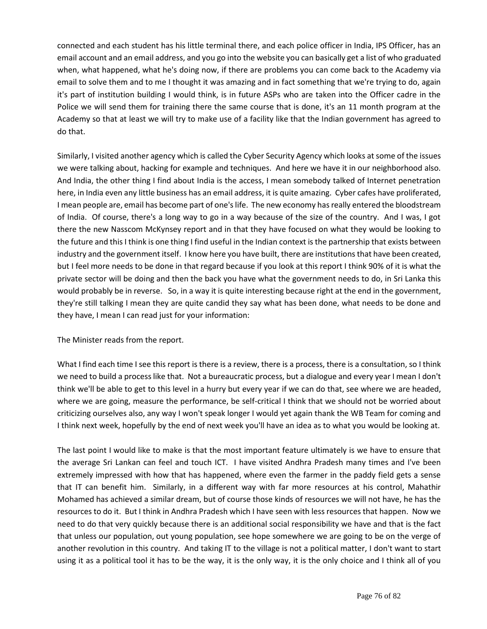connected and each student has his little terminal there, and each police officer in India, IPS Officer, has an email account and an email address, and you go into the website you can basically get a list of who graduated when, what happened, what he's doing now, if there are problems you can come back to the Academy via email to solve them and to me I thought it was amazing and in fact something that we're trying to do, again it's part of institution building I would think, is in future ASPs who are taken into the Officer cadre in the Police we will send them for training there the same course that is done, it's an 11 month program at the Academy so that at least we will try to make use of a facility like that the Indian government has agreed to do that.

Similarly, I visited another agency which is called the Cyber Security Agency which looks at some of the issues we were talking about, hacking for example and techniques. And here we have it in our neighborhood also. And India, the other thing I find about India is the access, I mean somebody talked of Internet penetration here, in India even any little business has an email address, it is quite amazing. Cyber cafes have proliferated, I mean people are, email has become part of one's life. The new economy has really entered the bloodstream of India. Of course, there's a long way to go in a way because of the size of the country. And I was, I got there the new Nasscom McKynsey report and in that they have focused on what they would be looking to the future and this I think is one thing I find useful in the Indian context is the partnership that exists between industry and the government itself. I know here you have built, there are institutions that have been created, but I feel more needs to be done in that regard because if you look at this report I think 90% of it is what the private sector will be doing and then the back you have what the government needs to do, in Sri Lanka this would probably be in reverse. So, in a way it is quite interesting because right at the end in the government, they're still talking I mean they are quite candid they say what has been done, what needs to be done and they have, I mean I can read just for your information:

The Minister reads from the report.

What I find each time I see this report is there is a review, there is a process, there is a consultation, so I think we need to build a process like that. Not a bureaucratic process, but a dialogue and every year I mean I don't think we'll be able to get to this level in a hurry but every year if we can do that, see where we are headed, where we are going, measure the performance, be self-critical I think that we should not be worried about criticizing ourselves also, any way I won't speak longer I would yet again thank the WB Team for coming and I think next week, hopefully by the end of next week you'll have an idea as to what you would be looking at.

The last point I would like to make is that the most important feature ultimately is we have to ensure that the average Sri Lankan can feel and touch ICT. I have visited Andhra Pradesh many times and I've been extremely impressed with how that has happened, where even the farmer in the paddy field gets a sense that IT can benefit him. Similarly, in a different way with far more resources at his control, Mahathir Mohamed has achieved a similar dream, but of course those kinds of resources we will not have, he has the resources to do it. But I think in Andhra Pradesh which I have seen with less resources that happen. Now we need to do that very quickly because there is an additional social responsibility we have and that is the fact that unless our population, out young population, see hope somewhere we are going to be on the verge of another revolution in this country. And taking IT to the village is not a political matter, I don't want to start using it as a political tool it has to be the way, it is the only way, it is the only choice and I think all of you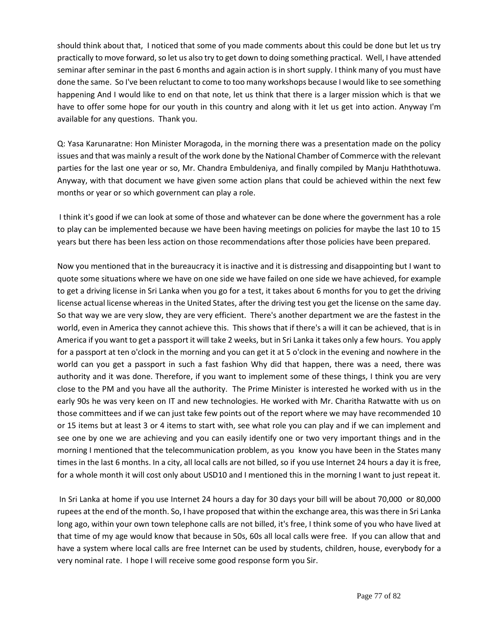should think about that, I noticed that some of you made comments about this could be done but let us try practically to move forward, so let us also try to get down to doing something practical. Well, I have attended seminar after seminar in the past 6 months and again action is in short supply. I think many of you must have done the same. So I've been reluctant to come to too many workshops because I would like to see something happening And I would like to end on that note, let us think that there is a larger mission which is that we have to offer some hope for our youth in this country and along with it let us get into action. Anyway I'm available for any questions. Thank you.

Q: Yasa Karunaratne: Hon Minister Moragoda, in the morning there was a presentation made on the policy issues and that was mainly a result of the work done by the National Chamber of Commerce with the relevant parties for the last one year or so, Mr. Chandra Embuldeniya, and finally compiled by Manju Haththotuwa. Anyway, with that document we have given some action plans that could be achieved within the next few months or year or so which government can play a role.

I think it's good if we can look at some of those and whatever can be done where the government has a role to play can be implemented because we have been having meetings on policies for maybe the last 10 to 15 years but there has been less action on those recommendations after those policies have been prepared.

Now you mentioned that in the bureaucracy it is inactive and it is distressing and disappointing but I want to quote some situations where we have on one side we have failed on one side we have achieved, for example to get a driving license in Sri Lanka when you go for a test, it takes about 6 months for you to get the driving license actual license whereas in the United States, after the driving test you get the license on the same day. So that way we are very slow, they are very efficient. There's another department we are the fastest in the world, even in America they cannot achieve this. This shows that if there's a will it can be achieved, that is in America if you want to get a passport it will take 2 weeks, but in Sri Lanka it takes only a few hours. You apply for a passport at ten o'clock in the morning and you can get it at 5 o'clock in the evening and nowhere in the world can you get a passport in such a fast fashion Why did that happen, there was a need, there was authority and it was done. Therefore, if you want to implement some of these things, I think you are very close to the PM and you have all the authority. The Prime Minister is interested he worked with us in the early 90s he was very keen on IT and new technologies. He worked with Mr. Charitha Ratwatte with us on those committees and if we can just take few points out of the report where we may have recommended 10 or 15 items but at least 3 or 4 items to start with, see what role you can play and if we can implement and see one by one we are achieving and you can easily identify one or two very important things and in the morning I mentioned that the telecommunication problem, as you know you have been in the States many times in the last 6 months. In a city, all local calls are not billed, so if you use Internet 24 hours a day it is free, for a whole month it will cost only about USD10 and I mentioned this in the morning I want to just repeat it.

In Sri Lanka at home if you use Internet 24 hours a day for 30 days your bill will be about 70,000 or 80,000 rupees at the end of the month. So, I have proposed that within the exchange area, this was there in Sri Lanka long ago, within your own town telephone calls are not billed, it's free, I think some of you who have lived at that time of my age would know that because in 50s, 60s all local calls were free. If you can allow that and have a system where local calls are free Internet can be used by students, children, house, everybody for a very nominal rate. I hope I will receive some good response form you Sir.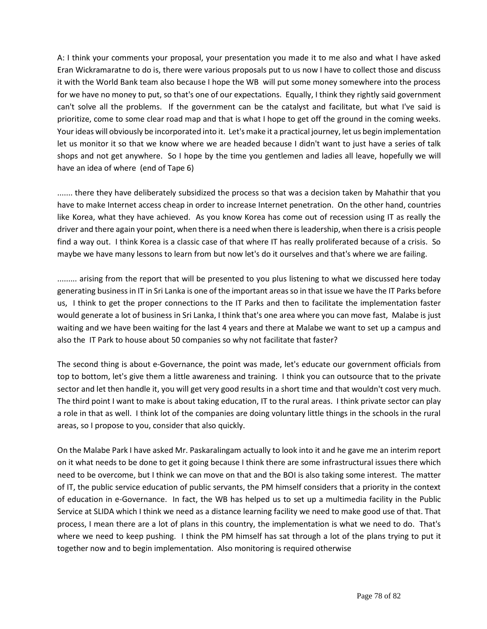A: I think your comments your proposal, your presentation you made it to me also and what I have asked Eran Wickramaratne to do is, there were various proposals put to us now I have to collect those and discuss it with the World Bank team also because I hope the WB will put some money somewhere into the process for we have no money to put, so that's one of our expectations. Equally, I think they rightly said government can't solve all the problems. If the government can be the catalyst and facilitate, but what I've said is prioritize, come to some clear road map and that is what I hope to get off the ground in the coming weeks. Your ideas will obviously be incorporated into it. Let's make it a practical journey, let us begin implementation let us monitor it so that we know where we are headed because I didn't want to just have a series of talk shops and not get anywhere. So I hope by the time you gentlemen and ladies all leave, hopefully we will have an idea of where (end of Tape 6)

....... there they have deliberately subsidized the process so that was a decision taken by Mahathir that you have to make Internet access cheap in order to increase Internet penetration. On the other hand, countries like Korea, what they have achieved. As you know Korea has come out of recession using IT as really the driver and there again your point, when there is a need when there is leadership, when there is a crisis people find a way out. I think Korea is a classic case of that where IT has really proliferated because of a crisis. So maybe we have many lessons to learn from but now let's do it ourselves and that's where we are failing.

......... arising from the report that will be presented to you plus listening to what we discussed here today generating business in IT in Sri Lanka is one of the important areas so in that issue we have the IT Parks before us, I think to get the proper connections to the IT Parks and then to facilitate the implementation faster would generate a lot of business in Sri Lanka, I think that's one area where you can move fast, Malabe is just waiting and we have been waiting for the last 4 years and there at Malabe we want to set up a campus and also the IT Park to house about 50 companies so why not facilitate that faster?

The second thing is about e-Governance, the point was made, let's educate our government officials from top to bottom, let's give them a little awareness and training. I think you can outsource that to the private sector and let then handle it, you will get very good results in a short time and that wouldn't cost very much. The third point I want to make is about taking education, IT to the rural areas. I think private sector can play a role in that as well. I think lot of the companies are doing voluntary little things in the schools in the rural areas, so I propose to you, consider that also quickly.

On the Malabe Park I have asked Mr. Paskaralingam actually to look into it and he gave me an interim report on it what needs to be done to get it going because I think there are some infrastructural issues there which need to be overcome, but I think we can move on that and the BOI is also taking some interest. The matter of IT, the public service education of public servants, the PM himself considers that a priority in the context of education in e-Governance. In fact, the WB has helped us to set up a multimedia facility in the Public Service at SLIDA which I think we need as a distance learning facility we need to make good use of that. That process, I mean there are a lot of plans in this country, the implementation is what we need to do. That's where we need to keep pushing. I think the PM himself has sat through a lot of the plans trying to put it together now and to begin implementation. Also monitoring is required otherwise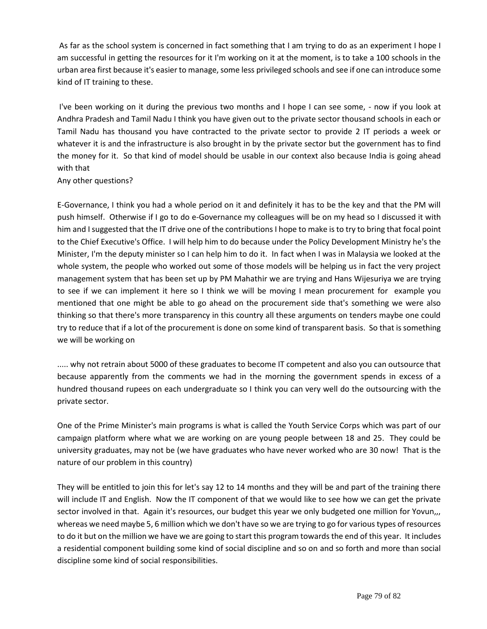As far as the school system is concerned in fact something that I am trying to do as an experiment I hope I am successful in getting the resources for it I'm working on it at the moment, is to take a 100 schools in the urban area first because it's easier to manage, some less privileged schools and see if one can introduce some kind of IT training to these.

I've been working on it during the previous two months and I hope I can see some, - now if you look at Andhra Pradesh and Tamil Nadu I think you have given out to the private sector thousand schools in each or Tamil Nadu has thousand you have contracted to the private sector to provide 2 IT periods a week or whatever it is and the infrastructure is also brought in by the private sector but the government has to find the money for it. So that kind of model should be usable in our context also because India is going ahead with that

Any other questions?

E-Governance, I think you had a whole period on it and definitely it has to be the key and that the PM will push himself. Otherwise if I go to do e-Governance my colleagues will be on my head so I discussed it with him and I suggested that the IT drive one of the contributions I hope to make is to try to bring that focal point to the Chief Executive's Office. I will help him to do because under the Policy Development Ministry he's the Minister, I'm the deputy minister so I can help him to do it. In fact when I was in Malaysia we looked at the whole system, the people who worked out some of those models will be helping us in fact the very project management system that has been set up by PM Mahathir we are trying and Hans Wijesuriya we are trying to see if we can implement it here so I think we will be moving I mean procurement for example you mentioned that one might be able to go ahead on the procurement side that's something we were also thinking so that there's more transparency in this country all these arguments on tenders maybe one could try to reduce that if a lot of the procurement is done on some kind of transparent basis. So that is something we will be working on

..... why not retrain about 5000 of these graduates to become IT competent and also you can outsource that because apparently from the comments we had in the morning the government spends in excess of a hundred thousand rupees on each undergraduate so I think you can very well do the outsourcing with the private sector.

One of the Prime Minister's main programs is what is called the Youth Service Corps which was part of our campaign platform where what we are working on are young people between 18 and 25. They could be university graduates, may not be (we have graduates who have never worked who are 30 now! That is the nature of our problem in this country)

They will be entitled to join this for let's say 12 to 14 months and they will be and part of the training there will include IT and English. Now the IT component of that we would like to see how we can get the private sector involved in that. Again it's resources, our budget this year we only budgeted one million for Yovun,,, whereas we need maybe 5, 6 million which we don't have so we are trying to go for various types of resources to do it but on the million we have we are going to start this program towards the end of this year. It includes a residential component building some kind of social discipline and so on and so forth and more than social discipline some kind of social responsibilities.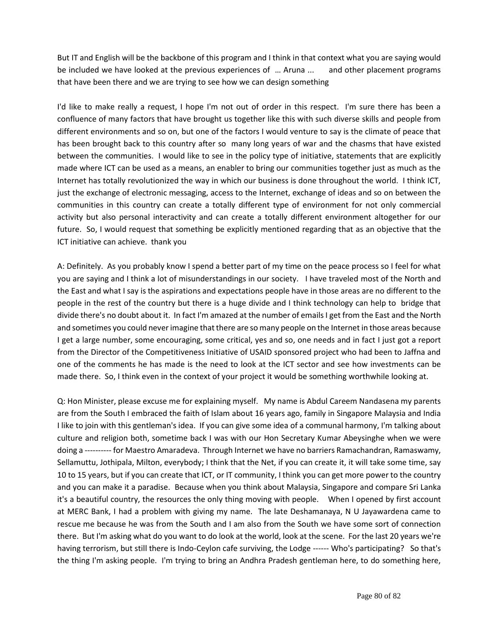But IT and English will be the backbone of this program and I think in that context what you are saying would be included we have looked at the previous experiences of … Aruna ... and other placement programs that have been there and we are trying to see how we can design something

I'd like to make really a request, I hope I'm not out of order in this respect. I'm sure there has been a confluence of many factors that have brought us together like this with such diverse skills and people from different environments and so on, but one of the factors I would venture to say is the climate of peace that has been brought back to this country after so many long years of war and the chasms that have existed between the communities. I would like to see in the policy type of initiative, statements that are explicitly made where ICT can be used as a means, an enabler to bring our communities together just as much as the Internet has totally revolutionized the way in which our business is done throughout the world. I think ICT, just the exchange of electronic messaging, access to the Internet, exchange of ideas and so on between the communities in this country can create a totally different type of environment for not only commercial activity but also personal interactivity and can create a totally different environment altogether for our future. So, I would request that something be explicitly mentioned regarding that as an objective that the ICT initiative can achieve. thank you

A: Definitely. As you probably know I spend a better part of my time on the peace process so I feel for what you are saying and I think a lot of misunderstandings in our society. I have traveled most of the North and the East and what I say is the aspirations and expectations people have in those areas are no different to the people in the rest of the country but there is a huge divide and I think technology can help to bridge that divide there's no doubt about it. In fact I'm amazed at the number of emails I get from the East and the North and sometimes you could never imagine that there are so many people on the Internet in those areas because I get a large number, some encouraging, some critical, yes and so, one needs and in fact I just got a report from the Director of the Competitiveness Initiative of USAID sponsored project who had been to Jaffna and one of the comments he has made is the need to look at the ICT sector and see how investments can be made there. So, I think even in the context of your project it would be something worthwhile looking at.

Q: Hon Minister, please excuse me for explaining myself. My name is Abdul Careem Nandasena my parents are from the South I embraced the faith of Islam about 16 years ago, family in Singapore Malaysia and India I like to join with this gentleman's idea. If you can give some idea of a communal harmony, I'm talking about culture and religion both, sometime back I was with our Hon Secretary Kumar Abeysinghe when we were doing a ---------- for Maestro Amaradeva. Through Internet we have no barriers Ramachandran, Ramaswamy, Sellamuttu, Jothipala, Milton, everybody; I think that the Net, if you can create it, it will take some time, say 10 to 15 years, but if you can create that ICT, or IT community, I think you can get more power to the country and you can make it a paradise. Because when you think about Malaysia, Singapore and compare Sri Lanka it's a beautiful country, the resources the only thing moving with people. When I opened by first account at MERC Bank, I had a problem with giving my name. The late Deshamanaya, N U Jayawardena came to rescue me because he was from the South and I am also from the South we have some sort of connection there. But I'm asking what do you want to do look at the world, look at the scene. For the last 20 years we're having terrorism, but still there is Indo-Ceylon cafe surviving, the Lodge ------ Who's participating? So that's the thing I'm asking people. I'm trying to bring an Andhra Pradesh gentleman here, to do something here,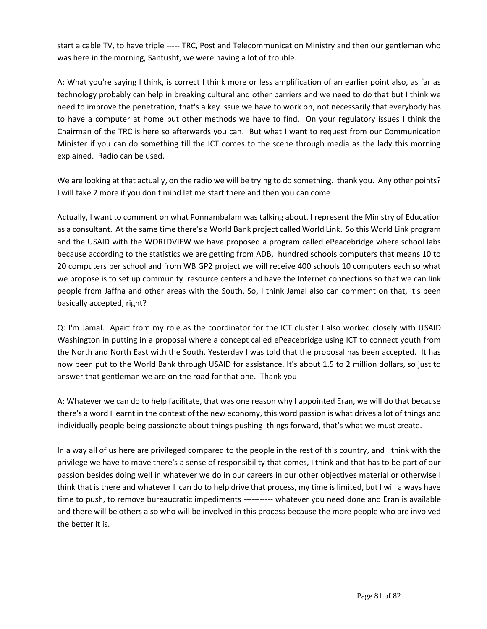start a cable TV, to have triple ----- TRC, Post and Telecommunication Ministry and then our gentleman who was here in the morning, Santusht, we were having a lot of trouble.

A: What you're saying I think, is correct I think more or less amplification of an earlier point also, as far as technology probably can help in breaking cultural and other barriers and we need to do that but I think we need to improve the penetration, that's a key issue we have to work on, not necessarily that everybody has to have a computer at home but other methods we have to find. On your regulatory issues I think the Chairman of the TRC is here so afterwards you can. But what I want to request from our Communication Minister if you can do something till the ICT comes to the scene through media as the lady this morning explained. Radio can be used.

We are looking at that actually, on the radio we will be trying to do something. thank you. Any other points? I will take 2 more if you don't mind let me start there and then you can come

Actually, I want to comment on what Ponnambalam was talking about. I represent the Ministry of Education as a consultant. At the same time there's a World Bank project called World Link. So this World Link program and the USAID with the WORLDVIEW we have proposed a program called ePeacebridge where school labs because according to the statistics we are getting from ADB, hundred schools computers that means 10 to 20 computers per school and from WB GP2 project we will receive 400 schools 10 computers each so what we propose is to set up community resource centers and have the Internet connections so that we can link people from Jaffna and other areas with the South. So, I think Jamal also can comment on that, it's been basically accepted, right?

Q: I'm Jamal. Apart from my role as the coordinator for the ICT cluster I also worked closely with USAID Washington in putting in a proposal where a concept called ePeacebridge using ICT to connect youth from the North and North East with the South. Yesterday I was told that the proposal has been accepted. It has now been put to the World Bank through USAID for assistance. It's about 1.5 to 2 million dollars, so just to answer that gentleman we are on the road for that one. Thank you

A: Whatever we can do to help facilitate, that was one reason why I appointed Eran, we will do that because there's a word I learnt in the context of the new economy, this word passion is what drives a lot of things and individually people being passionate about things pushing things forward, that's what we must create.

In a way all of us here are privileged compared to the people in the rest of this country, and I think with the privilege we have to move there's a sense of responsibility that comes, I think and that has to be part of our passion besides doing well in whatever we do in our careers in our other objectives material or otherwise I think that is there and whatever I can do to help drive that process, my time is limited, but I will always have time to push, to remove bureaucratic impediments ----------- whatever you need done and Eran is available and there will be others also who will be involved in this process because the more people who are involved the better it is.